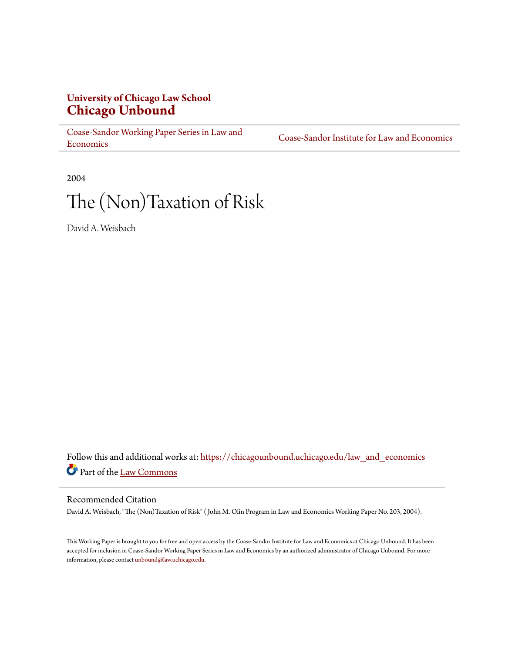## **University of Chicago Law School [Chicago Unbound](https://chicagounbound.uchicago.edu?utm_source=chicagounbound.uchicago.edu%2Flaw_and_economics%2F481&utm_medium=PDF&utm_campaign=PDFCoverPages)**

[Coase-Sandor Working Paper Series in Law and](https://chicagounbound.uchicago.edu/law_and_economics?utm_source=chicagounbound.uchicago.edu%2Flaw_and_economics%2F481&utm_medium=PDF&utm_campaign=PDFCoverPages) [Economics](https://chicagounbound.uchicago.edu/law_and_economics?utm_source=chicagounbound.uchicago.edu%2Flaw_and_economics%2F481&utm_medium=PDF&utm_campaign=PDFCoverPages)

[Coase-Sandor Institute for Law and Economics](https://chicagounbound.uchicago.edu/coase_sandor_institute?utm_source=chicagounbound.uchicago.edu%2Flaw_and_economics%2F481&utm_medium=PDF&utm_campaign=PDFCoverPages)

2004

# The (Non)Taxation of Risk

David A. Weisbach

Follow this and additional works at: [https://chicagounbound.uchicago.edu/law\\_and\\_economics](https://chicagounbound.uchicago.edu/law_and_economics?utm_source=chicagounbound.uchicago.edu%2Flaw_and_economics%2F481&utm_medium=PDF&utm_campaign=PDFCoverPages) Part of the [Law Commons](http://network.bepress.com/hgg/discipline/578?utm_source=chicagounbound.uchicago.edu%2Flaw_and_economics%2F481&utm_medium=PDF&utm_campaign=PDFCoverPages)

#### Recommended Citation

David A. Weisbach, "The (Non)Taxation of Risk" ( John M. Olin Program in Law and Economics Working Paper No. 203, 2004).

This Working Paper is brought to you for free and open access by the Coase-Sandor Institute for Law and Economics at Chicago Unbound. It has been accepted for inclusion in Coase-Sandor Working Paper Series in Law and Economics by an authorized administrator of Chicago Unbound. For more information, please contact [unbound@law.uchicago.edu.](mailto:unbound@law.uchicago.edu)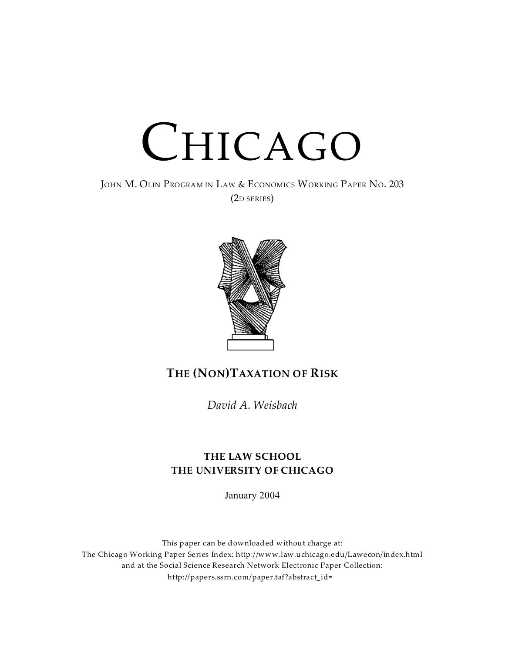# CHICAGO

JOHN M. OLIN PROGRAM IN LAW & ECONOMICS WORKING PAPER NO. 203 (2D SERIES)



# **THE (NON)TAXATION OF RISK**

*David A. Weisbach*

### **THE LAW SCHOOL THE UNIVERSITY OF CHICAGO**

January 2004

This paper can be downloaded without charge at: The Chicago Working Paper Series Index: http://www.law.uchicago.edu/Lawecon/index.html and at the Social Science Research Network Electronic Paper Collection: http://papers.ssrn.com/paper.taf?abstract\_id=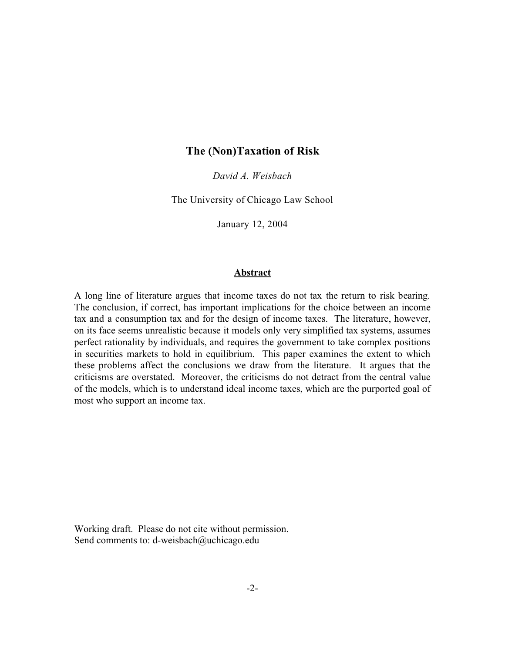#### **The (Non)Taxation of Risk**

*David A. Weisbach*

The University of Chicago Law School

January 12, 2004

#### **Abstract**

A long line of literature argues that income taxes do not tax the return to risk bearing. The conclusion, if correct, has important implications for the choice between an income tax and a consumption tax and for the design of income taxes. The literature, however, on its face seems unrealistic because it models only very simplified tax systems, assumes perfect rationality by individuals, and requires the government to take complex positions in securities markets to hold in equilibrium. This paper examines the extent to which these problems affect the conclusions we draw from the literature. It argues that the criticisms are overstated. Moreover, the criticisms do not detract from the central value of the models, which is to understand ideal income taxes, which are the purported goal of most who support an income tax.

Working draft. Please do not cite without permission. Send comments to: d-weisbach@uchicago.edu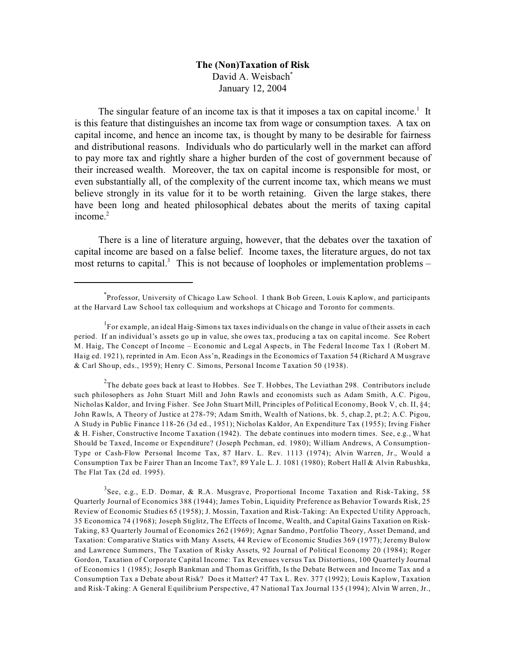#### **The (Non)Taxation of Risk** David A. Weisbach<sup>\*</sup> January 12, 2004

The singular feature of an income tax is that it imposes a tax on capital income.<sup>1</sup> It is this feature that distinguishes an income tax from wage or consumption taxes. A tax on capital income, and hence an income tax, is thought by many to be desirable for fairness and distributional reasons. Individuals who do particularly well in the market can afford to pay more tax and rightly share a higher burden of the cost of government because of their increased wealth. Moreover, the tax on capital income is responsible for most, or even substantially all, of the complexity of the current income tax, which means we must believe strongly in its value for it to be worth retaining. Given the large stakes, there have been long and heated philosophical debates about the merits of taxing capital income. $2$ 

There is a line of literature arguing, however, that the debates over the taxation of capital income are based on a false belief. Income taxes, the literature argues, do not tax most returns to capital.<sup>3</sup> This is not because of loopholes or implementation problems  $-$ 

 $2$ The debate goes back at least to Hobbes. See T. Hobbes, The Leviathan 298. Contributors include such philosophers as John Stuart Mill and John Rawls and economists such as Adam Smith, A.C. Pigou, Nicholas Kaldor, and Irving Fisher. See John Stuart Mill, Principles of Political Economy, Book V, ch. II, §4; John Rawls, A Theory of Justice at 278-79; Adam Smith, Wealth of Nations, bk. 5, chap.2, pt.2; A.C. Pigou, A Study in Public Finance 118-26 (3d ed., 1951); Nicholas Kaldor, An Expenditure Tax (1955); Irving Fisher & H. Fisher, Constructive Income Taxation (1942). The debate continues into modern times. See, e.g., What Should be Taxed, Income or Expenditure? (Joseph Pechman, ed. 1980); William Andrews, A Consumption-Type or Cash-Flow Personal Income Tax, 87 Harv. L. Rev. 1113 (1974); Alvin Warren, Jr., Would a Consumption Tax be Fairer Than an Income Tax?, 89 Yale L. J. 1081 (1980); Robert Hall & Alvin Rabushka, The Flat Tax (2d ed. 1995).

<sup>3</sup>See, e.g., E.D. Domar, & R.A. Musgrave, Proportional Income Taxation and Risk-Taking, 58 Quarterly Journal of Economics 388 (1944); James Tobin, Liquidity Preference as Behavior Towards Risk, 25 Review of Economic Studies 65 (1958); J. Mossin, Taxation and Risk-Taking: An Expected Utility Approach, 35 Economica 74 (1968); Joseph Stiglitz, The Effects of Income, Wealth, and Capital Gains Taxation on Risk-Taking, 83 Quarterly Journal of Economics 262 (1969); Agnar Sandmo, Portfolio Theory, Asset Demand, and Taxation: Comparative Statics with Many Assets, 44 Review of Economic Studies 369 (1977); Jeremy Bulow and Lawrence Summers, The Taxation of Risky Assets, 92 Journal of Political Economy 20 (1984); Roger Gordon, Taxation of Corporate Capital Income: Tax Revenues versus Tax Distortions, 100 Quarterly Journal of Economics 1 (1985); Joseph Bankman and Thomas Griffith, Is the Debate Between and Income Tax and a Consumption Tax a Debate about Risk? Does it Matter? 47 Tax L. Rev. 377 (1992); Louis Kaplow, Taxation and Risk-Taking: A General Equilibrium Perspective, 47 National Tax Journal 135 (1994); Alvin Warren, Jr.,

<sup>\*</sup> Professor, University of Chicago Law School. I thank Bob Green, Louis Kaplow, and participants at the Harvard Law School tax colloquium and workshops at Chicago and Toronto for comments.

<sup>&</sup>lt;sup>1</sup>For example, an ideal Haig-Simons tax taxes individuals on the change in value of their assets in each period. If an individual's assets go up in value, she owes tax, producing a tax on capital income. See Robert M. Haig, The Concept of Income – Economic and Legal Aspects, in The Federal Income Tax 1 (Robert M. Haig ed. 1921), reprinted in Am. Econ Ass'n, Readings in the Economics of Taxation 54 (Richard A Musgrave & Carl Shoup, eds., 1959); Henry C. Simons, Personal Income Taxation 50 (1938).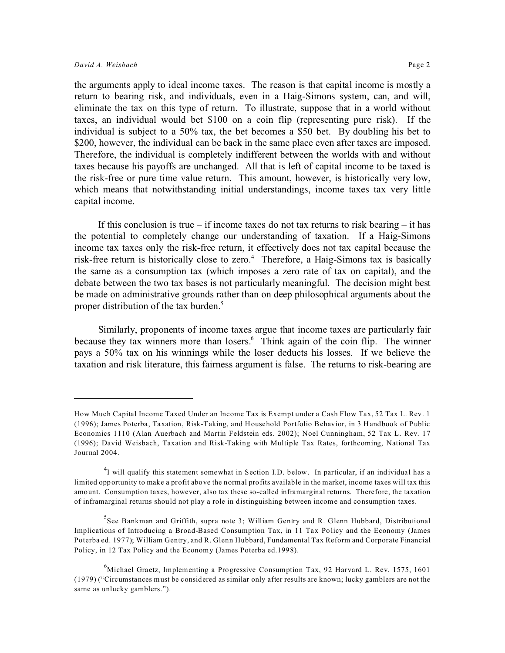the arguments apply to ideal income taxes. The reason is that capital income is mostly a return to bearing risk, and individuals, even in a Haig-Simons system, can, and will, eliminate the tax on this type of return. To illustrate, suppose that in a world without taxes, an individual would bet \$100 on a coin flip (representing pure risk). If the individual is subject to a 50% tax, the bet becomes a \$50 bet. By doubling his bet to \$200, however, the individual can be back in the same place even after taxes are imposed. Therefore, the individual is completely indifferent between the worlds with and without taxes because his payoffs are unchanged. All that is left of capital income to be taxed is the risk-free or pure time value return. This amount, however, is historically very low, which means that notwithstanding initial understandings, income taxes tax very little capital income.

If this conclusion is true – if income taxes do not tax returns to risk bearing – it has the potential to completely change our understanding of taxation. If a Haig-Simons income tax taxes only the risk-free return, it effectively does not tax capital because the risk-free return is historically close to zero.<sup>4</sup> Therefore, a Haig-Simons tax is basically the same as a consumption tax (which imposes a zero rate of tax on capital), and the debate between the two tax bases is not particularly meaningful. The decision might best be made on administrative grounds rather than on deep philosophical arguments about the proper distribution of the tax burden.<sup>5</sup>

Similarly, proponents of income taxes argue that income taxes are particularly fair because they tax winners more than losers.<sup>6</sup> Think again of the coin flip. The winner pays a 50% tax on his winnings while the loser deducts his losses. If we believe the taxation and risk literature, this fairness argument is false. The returns to risk-bearing are

How Much Capital Income Taxed Under an Income Tax is Exempt under a Cash Flow Tax, 52 Tax L. Rev. 1 (1996); James Poterba, Taxation, Risk-Taking, and Household Portfolio Behavior, in 3 Handbook of Public Economics 1110 (Alan Auerbach and Martin Feldstein eds. 2002); Noel Cunningham, 52 Tax L. Rev. 17 (1996); David Weisbach, Taxation and Risk-Taking with Multiple Tax Rates, forthcoming, National Tax Journal 2004.

<sup>&</sup>lt;sup>4</sup>I will qualify this statement somewhat in Section I.D. below. In particular, if an individual has a limited opportunity to make a profit above the normal profits available in the market, income taxes will tax this amount. Consumption taxes, however, also tax these so-called inframarginal returns. Therefore, the taxation of inframarginal returns should not play a role in distinguishing between income and consumption taxes.

<sup>&</sup>lt;sup>5</sup>See Bankman and Griffith, supra note 3; William Gentry and R. Glenn Hubbard, Distributional Implications of Introducing a Broad-Based Consumption Tax, in 11 Tax Policy and the Economy (James Poterba ed. 1977); William Gentry, and R. Glenn Hubbard, Fundamental Tax Reform and Corporate Financial Policy, in 12 Tax Policy and the Economy (James Poterba ed.1998).

 $^{6}$ Michael Graetz, Implementing a Progressive Consumption Tax, 92 Harvard L. Rev. 1575, 1601 (1979) ("Circumstances must be considered as similar only after results are known; lucky gamblers are not the same as unlucky gamblers.").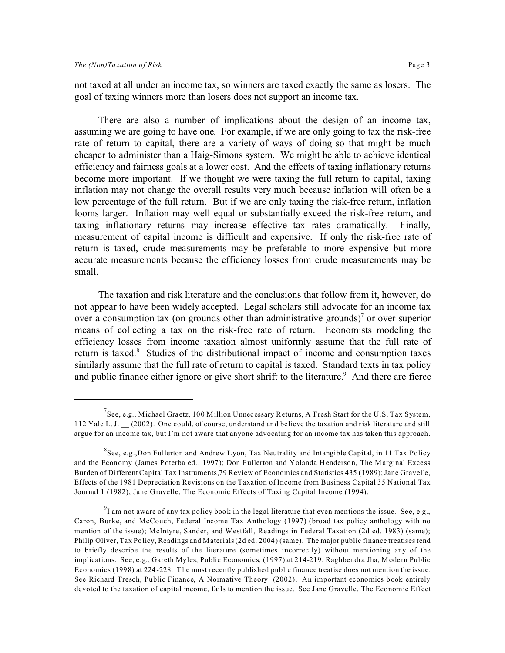not taxed at all under an income tax, so winners are taxed exactly the same as losers. The goal of taxing winners more than losers does not support an income tax.

There are also a number of implications about the design of an income tax, assuming we are going to have one. For example, if we are only going to tax the risk-free rate of return to capital, there are a variety of ways of doing so that might be much cheaper to administer than a Haig-Simons system. We might be able to achieve identical efficiency and fairness goals at a lower cost. And the effects of taxing inflationary returns become more important. If we thought we were taxing the full return to capital, taxing inflation may not change the overall results very much because inflation will often be a low percentage of the full return. But if we are only taxing the risk-free return, inflation looms larger. Inflation may well equal or substantially exceed the risk-free return, and taxing inflationary returns may increase effective tax rates dramatically. Finally, measurement of capital income is difficult and expensive. If only the risk-free rate of return is taxed, crude measurements may be preferable to more expensive but more accurate measurements because the efficiency losses from crude measurements may be small.

The taxation and risk literature and the conclusions that follow from it, however, do not appear to have been widely accepted. Legal scholars still advocate for an income tax over a consumption tax (on grounds other than administrative grounds)<sup>7</sup> or over superior means of collecting a tax on the risk-free rate of return. Economists modeling the efficiency losses from income taxation almost uniformly assume that the full rate of return is taxed.<sup>8</sup> Studies of the distributional impact of income and consumption taxes similarly assume that the full rate of return to capital is taxed. Standard texts in tax policy and public finance either ignore or give short shrift to the literature.<sup>9</sup> And there are fierce

 $^7$ See, e.g., Michael Graetz, 100 Million Unnecessary Returns, A Fresh Start for the U.S. Tax System, 112 Yale L. J. \_\_ (2002). One could, of course, understand and believe the taxation and risk literature and still argue for an income tax, but I'm not aware that anyone advocating for an income tax has taken this approach.

 $^8$ See, e.g.,Don Fullerton and Andrew Lyon, Tax Neutrality and Intangible Capital, in 11 Tax Policy and the Economy (James Poterba ed., 1997); Don Fullerton and Yolanda Henderson, The Marginal Excess Burden of Different Capital Tax Instruments,79 Review of Economics and Statistics 435 (1989); Jane Gravelle, Effects of the 1981 Depreciation Revisions on the Taxation of Income from Business Capital 35 National Tax Journal 1 (1982); Jane Gravelle, The Economic Effects of Taxing Capital Income (1994).

 $^{9}$ I am not aware of any tax policy book in the legal literature that even mentions the issue. See, e.g., Caron, Burke, and McCouch, Federal Income Tax Anthology (1997) (broad tax policy anthology with no mention of the issue); McIntyre, Sander, and Westfall, Readings in Federal Taxation (2d ed. 1983) (same); Philip Oliver, Tax Policy, Readings and Materials (2d ed. 2004) (same). The major public finance treatises tend to briefly describe the results of the literature (sometimes incorrectly) without mentioning any of the implications. See, e.g., Gareth Myles, Public Economics, (1997) at 214-219; Raghbendra Jha, Modern Public Economics (1998) at 224-228. The most recently published public finance treatise does not mention the issue. See Richard Tresch, Public Finance, A Normative Theory (2002). An important economics book entirely devoted to the taxation of capital income, fails to mention the issue. See Jane Gravelle, The Economic Effect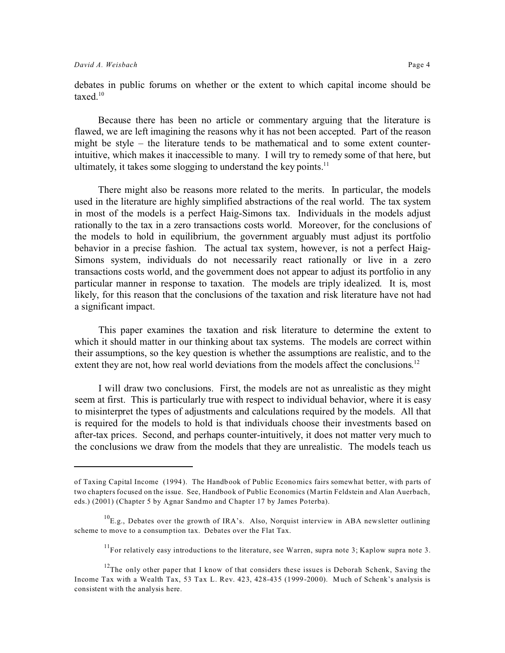debates in public forums on whether or the extent to which capital income should be taxed.<sup>10</sup>

Because there has been no article or commentary arguing that the literature is flawed, we are left imagining the reasons why it has not been accepted. Part of the reason might be style – the literature tends to be mathematical and to some extent counterintuitive, which makes it inaccessible to many. I will try to remedy some of that here, but ultimately, it takes some slogging to understand the key points.<sup>11</sup>

There might also be reasons more related to the merits. In particular, the models used in the literature are highly simplified abstractions of the real world. The tax system in most of the models is a perfect Haig-Simons tax. Individuals in the models adjust rationally to the tax in a zero transactions costs world. Moreover, for the conclusions of the models to hold in equilibrium, the government arguably must adjust its portfolio behavior in a precise fashion. The actual tax system, however, is not a perfect Haig-Simons system, individuals do not necessarily react rationally or live in a zero transactions costs world, and the government does not appear to adjust its portfolio in any particular manner in response to taxation. The models are triply idealized. It is, most likely, for this reason that the conclusions of the taxation and risk literature have not had a significant impact.

This paper examines the taxation and risk literature to determine the extent to which it should matter in our thinking about tax systems. The models are correct within their assumptions, so the key question is whether the assumptions are realistic, and to the extent they are not, how real world deviations from the models affect the conclusions.<sup>12</sup>

I will draw two conclusions. First, the models are not as unrealistic as they might seem at first. This is particularly true with respect to individual behavior, where it is easy to misinterpret the types of adjustments and calculations required by the models. All that is required for the models to hold is that individuals choose their investments based on after-tax prices. Second, and perhaps counter-intuitively, it does not matter very much to the conclusions we draw from the models that they are unrealistic. The models teach us

of Taxing Capital Income (1994). The Handbook of Public Economics fairs somewhat better, with parts of two chapters focused on the issue. See, Handbook of Public Economics (Martin Feldstein and Alan Auerbach, eds.) (2001) (Chapter 5 by Agnar Sandmo and Chapter 17 by James Poterba).

 $^{10}$ E.g., Debates over the growth of IRA's. Also, Norquist interview in ABA newsletter outlining scheme to move to a consumption tax. Debates over the Flat Tax.

 $11$ For relatively easy introductions to the literature, see Warren, supra note 3; Kaplow supra note 3.

 $12$ The only other paper that I know of that considers these issues is Deborah Schenk, Saving the Income Tax with a Wealth Tax, 53 Tax L. Rev. 423, 428-435 (1999-2000). Much of Schenk's analysis is consistent with the analysis here.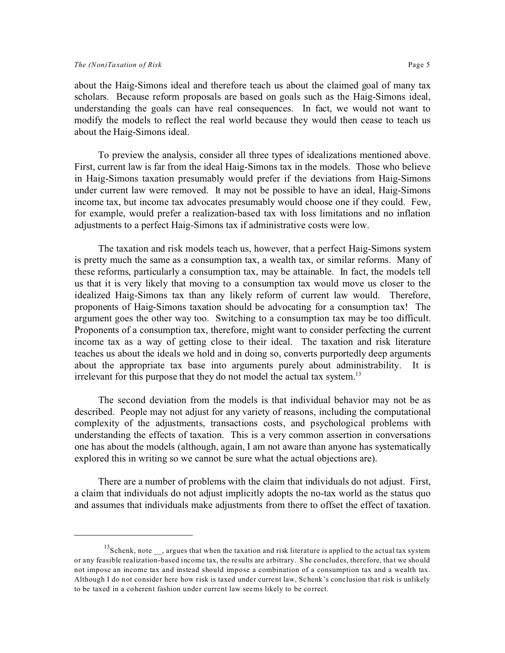about the Haig-Simons ideal and therefore teach us about the claimed goal of many tax scholars. Because reform proposals are based on goals such as the Haig-Simons ideal, understanding the goals can have real consequences. In fact, we would not want to modify the models to reflect the real world because they would then cease to teach us about the Haig-Simons ideal.

To preview the analysis, consider all three types of idealizations mentioned above. First, current law is far from the ideal Haig-Simons tax in the models. Those who believe in Haig-Simons taxation presumably would prefer if the deviations from Haig-Simons under current law were removed. It may not be possible to have an ideal, Haig-Simons income tax, but income tax advocates presumably would choose one if they could. Few, for example, would prefer a realization-based tax with loss limitations and no inflation adjustments to a perfect Haig-Simons tax if administrative costs were low.

The taxation and risk models teach us, however, that a perfect Haig-Simons system is pretty much the same as a consumption tax, a wealth tax, or similar reforms. Many of these reforms, particularly a consumption tax, may be attainable. In fact, the models tell us that it is very likely that moving to a consumption tax would move us closer to the idealized Haig-Simons tax than any likely reform of current law would. Therefore, proponents of Haig-Simons taxation should be advocating for a consumption tax! The argument goes the other way too. Switching to a consumption tax may be too difficult. Proponents of a consumption tax, therefore, might want to consider perfecting the current income tax as a way of getting close to their ideal. The taxation and risk literature teaches us about the ideals we hold and in doing so, converts purportedly deep arguments about the appropriate tax base into arguments purely about administrability. It is irrelevant for this purpose that they do not model the actual tax system.<sup>13</sup>

The second deviation from the models is that individual behavior may not be as described. People may not adjust for any variety of reasons, including the computational complexity of the adjustments, transactions costs, and psychological problems with understanding the effects of taxation. This is a very common assertion in conversations one has about the models (although, again, I am not aware than anyone has systematically explored this in writing so we cannot be sure what the actual objections are).

There are a number of problems with the claim that individuals do not adjust. First, a claim that individuals do not adjust implicitly adopts the no-tax world as the status quo and assumes that individuals make adjustments from there to offset the effect of taxation.

 $13$ Schenk, note  $\phantom{1}$ , argues that when the taxation and risk literature is applied to the actual tax system or any feasible realization-based income tax, the results are arbitrary. She concludes, therefore, that we should not impose an income tax and instead should impose a combination of a consumption tax and a wealth tax. Although I do not consider here how risk is taxed under current law, Schenk's conclusion that risk is unlikely to be taxed in a coherent fashion under current law seems likely to be correct.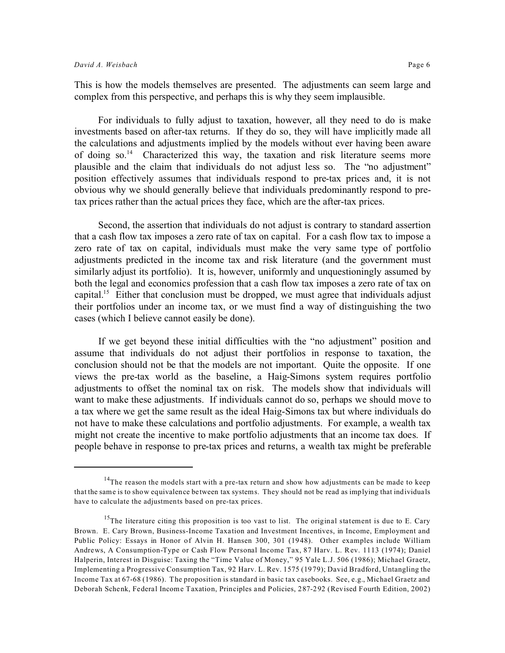This is how the models themselves are presented. The adjustments can seem large and complex from this perspective, and perhaps this is why they seem implausible.

For individuals to fully adjust to taxation, however, all they need to do is make investments based on after-tax returns. If they do so, they will have implicitly made all the calculations and adjustments implied by the models without ever having been aware of doing so.<sup>14</sup> Characterized this way, the taxation and risk literature seems more plausible and the claim that individuals do not adjust less so. The "no adjustment" position effectively assumes that individuals respond to pre-tax prices and, it is not obvious why we should generally believe that individuals predominantly respond to pretax prices rather than the actual prices they face, which are the after-tax prices.

Second, the assertion that individuals do not adjust is contrary to standard assertion that a cash flow tax imposes a zero rate of tax on capital. For a cash flow tax to impose a zero rate of tax on capital, individuals must make the very same type of portfolio adjustments predicted in the income tax and risk literature (and the government must similarly adjust its portfolio). It is, however, uniformly and unquestioningly assumed by both the legal and economics profession that a cash flow tax imposes a zero rate of tax on capital.<sup>15</sup> Either that conclusion must be dropped, we must agree that individuals adjust their portfolios under an income tax, or we must find a way of distinguishing the two cases (which I believe cannot easily be done).

If we get beyond these initial difficulties with the "no adjustment" position and assume that individuals do not adjust their portfolios in response to taxation, the conclusion should not be that the models are not important. Quite the opposite. If one views the pre-tax world as the baseline, a Haig-Simons system requires portfolio adjustments to offset the nominal tax on risk. The models show that individuals will want to make these adjustments. If individuals cannot do so, perhaps we should move to a tax where we get the same result as the ideal Haig-Simons tax but where individuals do not have to make these calculations and portfolio adjustments. For example, a wealth tax might not create the incentive to make portfolio adjustments that an income tax does. If people behave in response to pre-tax prices and returns, a wealth tax might be preferable

<sup>&</sup>lt;sup>14</sup>The reason the models start with a pre-tax return and show how adjustments can be made to keep that the same is to show equivalence between tax systems. They should not be read as implying that individuals have to calculate the adjustments based on pre-tax prices.

<sup>&</sup>lt;sup>15</sup>The literature citing this proposition is too vast to list. The original statement is due to E. Cary Brown. E. Cary Brown, Business-Income Taxation and Investment Incentives, in Income, Employment and Public Policy: Essays in Honor of Alvin H. Hansen 300, 301 (1948). Other examples include William Andrews, A Consumption-Type or Cash Flow Personal Income Tax, 87 Harv. L. Rev. 1113 (1974); Daniel Halperin, Interest in Disguise: Taxing the "Time Value of Money," 95 Yale L.J. 506 (1986); Michael Graetz, Implementing a Progressive Consumption Tax, 92 Harv. L. Rev. 1575 (1979); David Bradford, Untangling the Income Tax at 67-68 (1986). The proposition is standard in basic tax casebooks. See, e.g., Michael Graetz and Deborah Schenk, Federal Income Taxation, Principles and Policies, 287-292 (Revised Fourth Edition, 2002)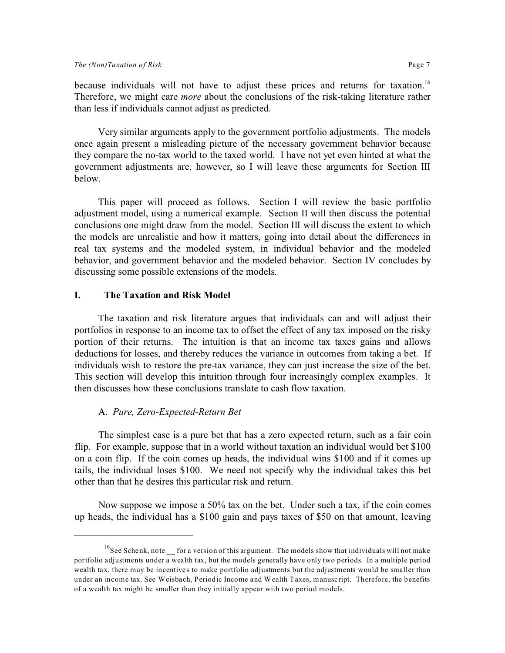because individuals will not have to adjust these prices and returns for taxation.<sup>16</sup> Therefore, we might care *more* about the conclusions of the risk-taking literature rather than less if individuals cannot adjust as predicted.

Very similar arguments apply to the government portfolio adjustments. The models once again present a misleading picture of the necessary government behavior because they compare the no-tax world to the taxed world. I have not yet even hinted at what the government adjustments are, however, so I will leave these arguments for Section III below.

This paper will proceed as follows. Section I will review the basic portfolio adjustment model, using a numerical example. Section II will then discuss the potential conclusions one might draw from the model. Section III will discuss the extent to which the models are unrealistic and how it matters, going into detail about the differences in real tax systems and the modeled system, in individual behavior and the modeled behavior, and government behavior and the modeled behavior. Section IV concludes by discussing some possible extensions of the models.

#### **I. The Taxation and Risk Model**

The taxation and risk literature argues that individuals can and will adjust their portfolios in response to an income tax to offset the effect of any tax imposed on the risky portion of their returns. The intuition is that an income tax taxes gains and allows deductions for losses, and thereby reduces the variance in outcomes from taking a bet. If individuals wish to restore the pre-tax variance, they can just increase the size of the bet. This section will develop this intuition through four increasingly complex examples. It then discusses how these conclusions translate to cash flow taxation.

#### A. *Pure, Zero-Expected-Return Bet*

The simplest case is a pure bet that has a zero expected return, such as a fair coin flip. For example, suppose that in a world without taxation an individual would bet \$100 on a coin flip. If the coin comes up heads, the individual wins \$100 and if it comes up tails, the individual loses \$100. We need not specify why the individual takes this bet other than that he desires this particular risk and return.

Now suppose we impose a 50% tax on the bet. Under such a tax, if the coin comes up heads, the individual has a \$100 gain and pays taxes of \$50 on that amount, leaving

<sup>&</sup>lt;sup>16</sup>See Schenk, note for a version of this argument. The models show that individuals will not make portfolio adjustments under a wealth tax, but the models generally have only two periods. In a multiple period wealth tax, there may be incentives to make portfolio adjustments but the adjustments would be smaller than under an income tax. See Weisbach, Periodic Income and Wealth Taxes, manuscript. Therefore, the benefits of a wealth tax might be smaller than they initially appear with two period models.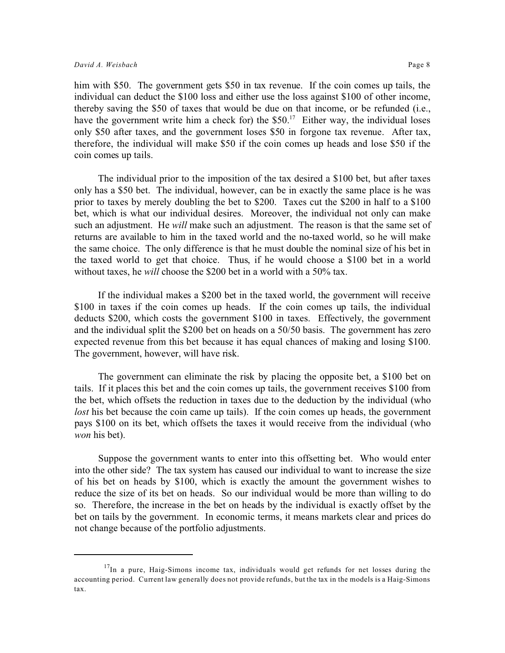him with \$50. The government gets \$50 in tax revenue. If the coin comes up tails, the individual can deduct the \$100 loss and either use the loss against \$100 of other income, thereby saving the \$50 of taxes that would be due on that income, or be refunded (i.e., have the government write him a check for) the  $$50<sup>17</sup>$  Either way, the individual loses only \$50 after taxes, and the government loses \$50 in forgone tax revenue. After tax, therefore, the individual will make \$50 if the coin comes up heads and lose \$50 if the coin comes up tails.

The individual prior to the imposition of the tax desired a \$100 bet, but after taxes only has a \$50 bet. The individual, however, can be in exactly the same place is he was prior to taxes by merely doubling the bet to \$200. Taxes cut the \$200 in half to a \$100 bet, which is what our individual desires. Moreover, the individual not only can make such an adjustment. He *will* make such an adjustment. The reason is that the same set of returns are available to him in the taxed world and the no-taxed world, so he will make the same choice. The only difference is that he must double the nominal size of his bet in the taxed world to get that choice. Thus, if he would choose a \$100 bet in a world without taxes, he *will* choose the \$200 bet in a world with a 50% tax.

If the individual makes a \$200 bet in the taxed world, the government will receive \$100 in taxes if the coin comes up heads. If the coin comes up tails, the individual deducts \$200, which costs the government \$100 in taxes. Effectively, the government and the individual split the \$200 bet on heads on a 50/50 basis. The government has zero expected revenue from this bet because it has equal chances of making and losing \$100. The government, however, will have risk.

The government can eliminate the risk by placing the opposite bet, a \$100 bet on tails. If it places this bet and the coin comes up tails, the government receives \$100 from the bet, which offsets the reduction in taxes due to the deduction by the individual (who *lost* his bet because the coin came up tails). If the coin comes up heads, the government pays \$100 on its bet, which offsets the taxes it would receive from the individual (who *won* his bet).

Suppose the government wants to enter into this offsetting bet. Who would enter into the other side? The tax system has caused our individual to want to increase the size of his bet on heads by \$100, which is exactly the amount the government wishes to reduce the size of its bet on heads. So our individual would be more than willing to do so. Therefore, the increase in the bet on heads by the individual is exactly offset by the bet on tails by the government. In economic terms, it means markets clear and prices do not change because of the portfolio adjustments.

 $17$ In a pure, Haig-Simons income tax, individuals would get refunds for net losses during the accounting period. Current law generally does not provide refunds, but the tax in the models is a Haig-Simons tax.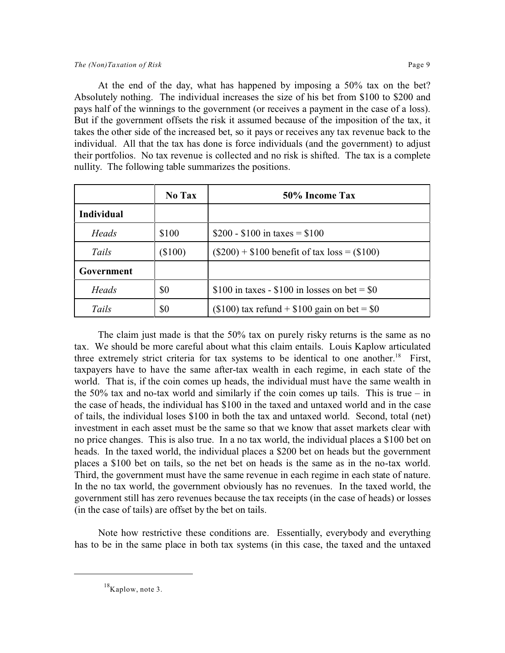At the end of the day, what has happened by imposing a 50% tax on the bet? Absolutely nothing. The individual increases the size of his bet from \$100 to \$200 and pays half of the winnings to the government (or receives a payment in the case of a loss). But if the government offsets the risk it assumed because of the imposition of the tax, it takes the other side of the increased bet, so it pays or receives any tax revenue back to the individual. All that the tax has done is force individuals (and the government) to adjust their portfolios. No tax revenue is collected and no risk is shifted. The tax is a complete nullity. The following table summarizes the positions.

|                   | No Tax    | 50% Income Tax                                  |  |
|-------------------|-----------|-------------------------------------------------|--|
| <b>Individual</b> |           |                                                 |  |
| Heads             | \$100     | \$200 - \$100 in taxes = \$100                  |  |
| Tails             | $(\$100)$ | $(\$200) + \$100$ benefit of tax $loss = \$100$ |  |
| Government        |           |                                                 |  |
| Heads             | \$0       | \$100 in taxes - \$100 in losses on bet = $\$0$ |  |
| Tails             | \$0       | $($100)$ tax refund + \$100 gain on bet = \$0   |  |

The claim just made is that the 50% tax on purely risky returns is the same as no tax. We should be more careful about what this claim entails. Louis Kaplow articulated three extremely strict criteria for tax systems to be identical to one another.<sup>18</sup> First, taxpayers have to have the same after-tax wealth in each regime, in each state of the world. That is, if the coin comes up heads, the individual must have the same wealth in the 50% tax and no-tax world and similarly if the coin comes up tails. This is true – in the case of heads, the individual has \$100 in the taxed and untaxed world and in the case of tails, the individual loses \$100 in both the tax and untaxed world. Second, total (net) investment in each asset must be the same so that we know that asset markets clear with no price changes. This is also true. In a no tax world, the individual places a \$100 bet on heads. In the taxed world, the individual places a \$200 bet on heads but the government places a \$100 bet on tails, so the net bet on heads is the same as in the no-tax world. Third, the government must have the same revenue in each regime in each state of nature. In the no tax world, the government obviously has no revenues. In the taxed world, the government still has zero revenues because the tax receipts (in the case of heads) or losses (in the case of tails) are offset by the bet on tails.

Note how restrictive these conditions are. Essentially, everybody and everything has to be in the same place in both tax systems (in this case, the taxed and the untaxed

<sup>&</sup>lt;sup>18</sup>Kaplow, note 3.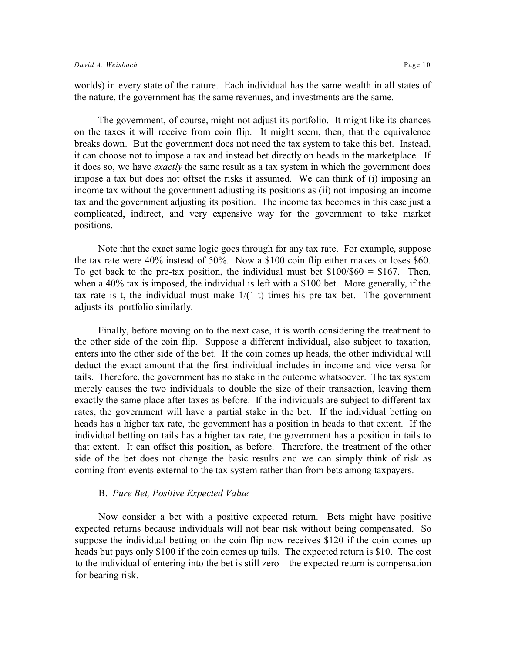worlds) in every state of the nature. Each individual has the same wealth in all states of the nature, the government has the same revenues, and investments are the same.

The government, of course, might not adjust its portfolio. It might like its chances on the taxes it will receive from coin flip. It might seem, then, that the equivalence breaks down. But the government does not need the tax system to take this bet. Instead, it can choose not to impose a tax and instead bet directly on heads in the marketplace. If it does so, we have *exactly* the same result as a tax system in which the government does impose a tax but does not offset the risks it assumed. We can think of (i) imposing an income tax without the government adjusting its positions as (ii) not imposing an income tax and the government adjusting its position. The income tax becomes in this case just a complicated, indirect, and very expensive way for the government to take market positions.

Note that the exact same logic goes through for any tax rate. For example, suppose the tax rate were 40% instead of 50%. Now a \$100 coin flip either makes or loses \$60. To get back to the pre-tax position, the individual must bet  $$100/$60 = $167$ . Then, when a 40% tax is imposed, the individual is left with a \$100 bet. More generally, if the tax rate is t, the individual must make  $1/(1-t)$  times his pre-tax bet. The government adjusts its portfolio similarly.

Finally, before moving on to the next case, it is worth considering the treatment to the other side of the coin flip. Suppose a different individual, also subject to taxation, enters into the other side of the bet. If the coin comes up heads, the other individual will deduct the exact amount that the first individual includes in income and vice versa for tails. Therefore, the government has no stake in the outcome whatsoever. The tax system merely causes the two individuals to double the size of their transaction, leaving them exactly the same place after taxes as before. If the individuals are subject to different tax rates, the government will have a partial stake in the bet. If the individual betting on heads has a higher tax rate, the government has a position in heads to that extent. If the individual betting on tails has a higher tax rate, the government has a position in tails to that extent. It can offset this position, as before. Therefore, the treatment of the other side of the bet does not change the basic results and we can simply think of risk as coming from events external to the tax system rather than from bets among taxpayers.

#### B. *Pure Bet, Positive Expected Value*

Now consider a bet with a positive expected return. Bets might have positive expected returns because individuals will not bear risk without being compensated. So suppose the individual betting on the coin flip now receives \$120 if the coin comes up heads but pays only \$100 if the coin comes up tails. The expected return is \$10. The cost to the individual of entering into the bet is still zero – the expected return is compensation for bearing risk.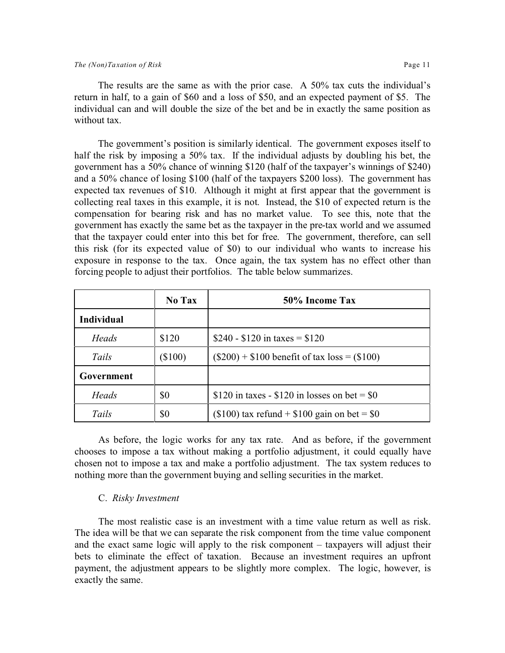The results are the same as with the prior case. A 50% tax cuts the individual's return in half, to a gain of \$60 and a loss of \$50, and an expected payment of \$5. The individual can and will double the size of the bet and be in exactly the same position as without tax.

The government's position is similarly identical. The government exposes itself to half the risk by imposing a 50% tax. If the individual adjusts by doubling his bet, the government has a 50% chance of winning \$120 (half of the taxpayer's winnings of \$240) and a 50% chance of losing \$100 (half of the taxpayers \$200 loss). The government has expected tax revenues of \$10. Although it might at first appear that the government is collecting real taxes in this example, it is not. Instead, the \$10 of expected return is the compensation for bearing risk and has no market value. To see this, note that the government has exactly the same bet as the taxpayer in the pre-tax world and we assumed that the taxpayer could enter into this bet for free. The government, therefore, can sell this risk (for its expected value of \$0) to our individual who wants to increase his exposure in response to the tax. Once again, the tax system has no effect other than forcing people to adjust their portfolios. The table below summarizes.

|                   | No Tax    | 50% Income Tax                                    |
|-------------------|-----------|---------------------------------------------------|
| <b>Individual</b> |           |                                                   |
| Heads             | \$120     | \$240 - \$120 in taxes = \$120                    |
| Tails             | $(\$100)$ | $(\$200) + \$100$ benefit of tax $loss = (\$100)$ |
| Government        |           |                                                   |
| Heads             | \$0       | \$120 in taxes - \$120 in losses on bet = $\$0$   |
| Tails             | \$0       | (\$100) tax refund + $$100$ gain on bet = \$0     |

As before, the logic works for any tax rate. And as before, if the government chooses to impose a tax without making a portfolio adjustment, it could equally have chosen not to impose a tax and make a portfolio adjustment. The tax system reduces to nothing more than the government buying and selling securities in the market.

#### C. *Risky Investment*

The most realistic case is an investment with a time value return as well as risk. The idea will be that we can separate the risk component from the time value component and the exact same logic will apply to the risk component – taxpayers will adjust their bets to eliminate the effect of taxation. Because an investment requires an upfront payment, the adjustment appears to be slightly more complex. The logic, however, is exactly the same.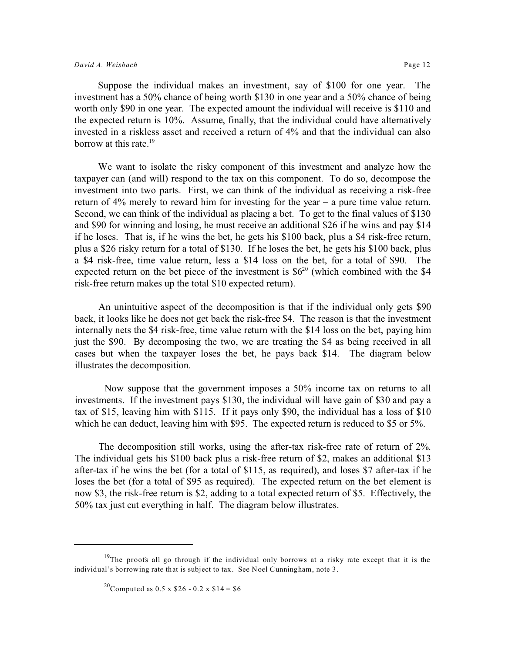Suppose the individual makes an investment, say of \$100 for one year. The investment has a 50% chance of being worth \$130 in one year and a 50% chance of being worth only \$90 in one year. The expected amount the individual will receive is \$110 and the expected return is 10%. Assume, finally, that the individual could have alternatively invested in a riskless asset and received a return of 4% and that the individual can also borrow at this rate.<sup>19</sup>

We want to isolate the risky component of this investment and analyze how the taxpayer can (and will) respond to the tax on this component. To do so, decompose the investment into two parts. First, we can think of the individual as receiving a risk-free return of 4% merely to reward him for investing for the year – a pure time value return. Second, we can think of the individual as placing a bet. To get to the final values of \$130 and \$90 for winning and losing, he must receive an additional \$26 if he wins and pay \$14 if he loses. That is, if he wins the bet, he gets his \$100 back, plus a \$4 risk-free return, plus a \$26 risky return for a total of \$130. If he loses the bet, he gets his \$100 back, plus a \$4 risk-free, time value return, less a \$14 loss on the bet, for a total of \$90. The expected return on the bet piece of the investment is  $$6^{20}$  (which combined with the \$4 risk-free return makes up the total \$10 expected return).

An unintuitive aspect of the decomposition is that if the individual only gets \$90 back, it looks like he does not get back the risk-free \$4. The reason is that the investment internally nets the \$4 risk-free, time value return with the \$14 loss on the bet, paying him just the \$90. By decomposing the two, we are treating the \$4 as being received in all cases but when the taxpayer loses the bet, he pays back \$14. The diagram below illustrates the decomposition.

Now suppose that the government imposes a 50% income tax on returns to all investments. If the investment pays \$130, the individual will have gain of \$30 and pay a tax of \$15, leaving him with \$115. If it pays only \$90, the individual has a loss of \$10 which he can deduct, leaving him with \$95. The expected return is reduced to \$5 or 5%.

The decomposition still works, using the after-tax risk-free rate of return of 2%. The individual gets his \$100 back plus a risk-free return of \$2, makes an additional \$13 after-tax if he wins the bet (for a total of \$115, as required), and loses \$7 after-tax if he loses the bet (for a total of \$95 as required). The expected return on the bet element is now \$3, the risk-free return is \$2, adding to a total expected return of \$5. Effectively, the 50% tax just cut everything in half. The diagram below illustrates.

<sup>&</sup>lt;sup>19</sup>The proofs all go through if the individual only borrows at a risky rate except that it is the individual's borrowing rate that is subject to tax. See Noel Cunningham, note 3.

<sup>&</sup>lt;sup>20</sup>Computed as 0.5 x \$26 - 0.2 x \$14 = \$6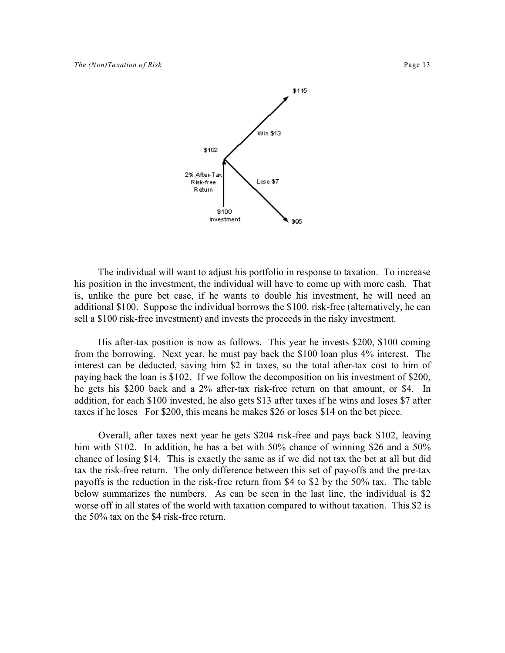

The individual will want to adjust his portfolio in response to taxation. To increase his position in the investment, the individual will have to come up with more cash. That is, unlike the pure bet case, if he wants to double his investment, he will need an additional \$100. Suppose the individual borrows the \$100, risk-free (alternatively, he can sell a \$100 risk-free investment) and invests the proceeds in the risky investment.

His after-tax position is now as follows. This year he invests \$200, \$100 coming from the borrowing. Next year, he must pay back the \$100 loan plus 4% interest. The interest can be deducted, saving him \$2 in taxes, so the total after-tax cost to him of paying back the loan is \$102. If we follow the decomposition on his investment of \$200, he gets his \$200 back and a 2% after-tax risk-free return on that amount, or \$4. In addition, for each \$100 invested, he also gets \$13 after taxes if he wins and loses \$7 after taxes if he loses For \$200, this means he makes \$26 or loses \$14 on the bet piece.

Overall, after taxes next year he gets \$204 risk-free and pays back \$102, leaving him with \$102. In addition, he has a bet with 50% chance of winning \$26 and a 50% chance of losing \$14. This is exactly the same as if we did not tax the bet at all but did tax the risk-free return. The only difference between this set of pay-offs and the pre-tax payoffs is the reduction in the risk-free return from \$4 to \$2 by the 50% tax. The table below summarizes the numbers. As can be seen in the last line, the individual is \$2 worse off in all states of the world with taxation compared to without taxation. This \$2 is the 50% tax on the \$4 risk-free return.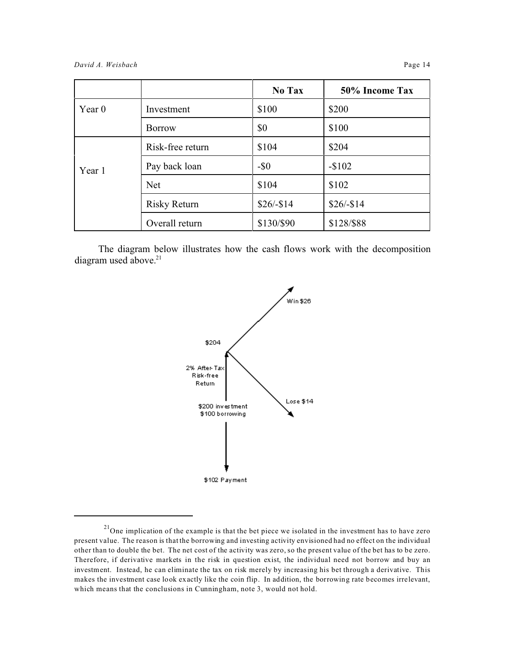|          |                     | No Tax     | 50% Income Tax |
|----------|---------------------|------------|----------------|
| Year $0$ | Investment          | \$100      | \$200          |
|          | <b>Borrow</b>       | \$0        | \$100          |
| Year 1   | Risk-free return    | \$104      | \$204          |
|          | Pay back loan       | $-$ \$0    | $-$102$        |
|          | <b>Net</b>          | \$104      | \$102          |
|          | <b>Risky Return</b> | $$26/-$14$ | $$26/-$14$     |
|          | Overall return      | \$130/\$90 | \$128/\$88     |

The diagram below illustrates how the cash flows work with the decomposition diagram used above.<sup>21</sup>



 $21$ One implication of the example is that the bet piece we isolated in the investment has to have zero present value. The reason is that the borrowing and investing activity envisioned had no effect on the individual other than to double the bet. The net cost of the activity was zero, so the present value of the bet has to be zero. Therefore, if derivative markets in the risk in question exist, the individual need not borrow and buy an investment. Instead, he can eliminate the tax on risk merely by increasing his bet through a derivative. This makes the investment case look exactly like the coin flip. In addition, the borrowing rate becomes irrelevant, which means that the conclusions in Cunningham, note 3, would not hold.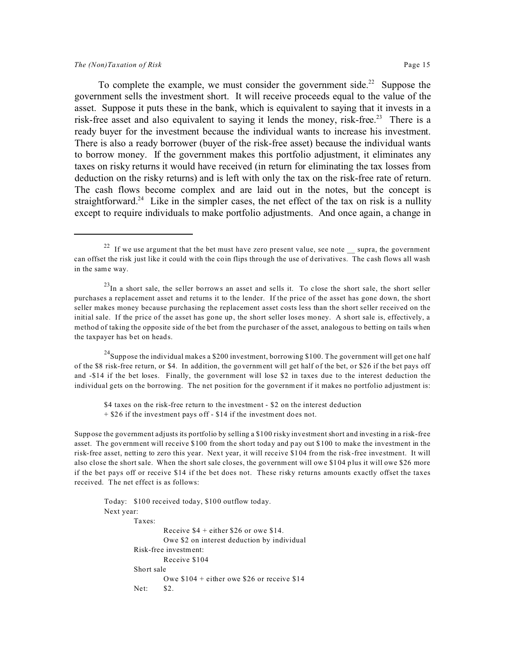To complete the example, we must consider the government side.<sup>22</sup> Suppose the government sells the investment short. It will receive proceeds equal to the value of the asset. Suppose it puts these in the bank, which is equivalent to saying that it invests in a risk-free asset and also equivalent to saying it lends the money, risk-free.<sup>23</sup> There is a ready buyer for the investment because the individual wants to increase his investment. There is also a ready borrower (buyer of the risk-free asset) because the individual wants to borrow money. If the government makes this portfolio adjustment, it eliminates any taxes on risky returns it would have received (in return for eliminating the tax losses from deduction on the risky returns) and is left with only the tax on the risk-free rate of return. The cash flows become complex and are laid out in the notes, but the concept is straightforward.<sup>24</sup> Like in the simpler cases, the net effect of the tax on risk is a nullity except to require individuals to make portfolio adjustments. And once again, a change in

<sup>24</sup>Suppose the individual makes a \$200 investment, borrowing \$100. The government will get one half of the \$8 risk-free return, or \$4. In addition, the government will get half of the bet, or \$26 if the bet pays off and -\$14 if the bet loses. Finally, the government will lose \$2 in taxes due to the interest deduction the individual gets on the borrowing. The net position for the government if it makes no portfolio adjustment is:

\$4 taxes on the risk-free return to the investment - \$2 on the interest deduction + \$26 if the investment pays off - \$14 if the investment does not.

Suppose the government adjusts its portfolio by selling a \$100 risky investment short and investing in a risk-free asset. The government will receive \$100 from the short today and pay out \$100 to make the investment in the risk-free asset, netting to zero this year. Next year, it will receive \$104 from the risk-free investment. It will also close the short sale. When the short sale closes, the government will owe \$104 plus it will owe \$26 more if the bet pays off or receive \$14 if the bet does not. These risky returns amounts exactly offset the taxes received. The net effect is as follows:

```
Today: $100 received today, $100 outflow today.
Next year:
        Taxes: 
                 Receive $4 + either $26 or owe $14.
                 Owe $2 on interest deduction by individual
        Risk-free investment:
                Receive $104
        Short sale
                 Owe $104 + either owe $26 or receive $14
        Net: $2.
```
<sup>&</sup>lt;sup>22</sup> If we use argument that the bet must have zero present value, see note  $\equiv$  supra, the government can offset the risk just like it could with the coin flips through the use of derivatives. The cash flows all wash in the same way.

 $^{23}$ In a short sale, the seller borrows an asset and sells it. To close the short sale, the short seller purchases a replacement asset and returns it to the lender. If the price of the asset has gone down, the short seller makes money because purchasing the replacement asset costs less than the short seller received on the initial sale. If the price of the asset has gone up, the short seller loses money. A short sale is, effectively, a method of taking the opposite side of the bet from the purchaser of the asset, analogous to betting on tails when the taxpayer has bet on heads.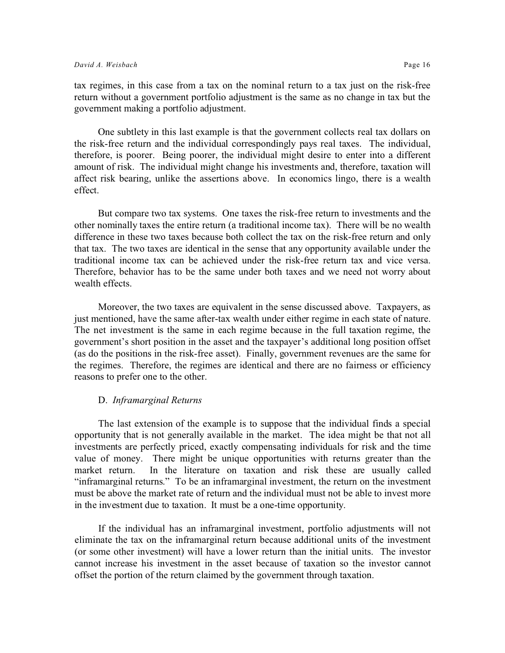tax regimes, in this case from a tax on the nominal return to a tax just on the risk-free return without a government portfolio adjustment is the same as no change in tax but the government making a portfolio adjustment.

One subtlety in this last example is that the government collects real tax dollars on the risk-free return and the individual correspondingly pays real taxes. The individual, therefore, is poorer. Being poorer, the individual might desire to enter into a different amount of risk. The individual might change his investments and, therefore, taxation will affect risk bearing, unlike the assertions above. In economics lingo, there is a wealth effect.

But compare two tax systems. One taxes the risk-free return to investments and the other nominally taxes the entire return (a traditional income tax). There will be no wealth difference in these two taxes because both collect the tax on the risk-free return and only that tax. The two taxes are identical in the sense that any opportunity available under the traditional income tax can be achieved under the risk-free return tax and vice versa. Therefore, behavior has to be the same under both taxes and we need not worry about wealth effects.

Moreover, the two taxes are equivalent in the sense discussed above. Taxpayers, as just mentioned, have the same after-tax wealth under either regime in each state of nature. The net investment is the same in each regime because in the full taxation regime, the government's short position in the asset and the taxpayer's additional long position offset (as do the positions in the risk-free asset). Finally, government revenues are the same for the regimes. Therefore, the regimes are identical and there are no fairness or efficiency reasons to prefer one to the other.

#### D. *Inframarginal Returns*

The last extension of the example is to suppose that the individual finds a special opportunity that is not generally available in the market. The idea might be that not all investments are perfectly priced, exactly compensating individuals for risk and the time value of money. There might be unique opportunities with returns greater than the market return. In the literature on taxation and risk these are usually called "inframarginal returns." To be an inframarginal investment, the return on the investment must be above the market rate of return and the individual must not be able to invest more in the investment due to taxation. It must be a one-time opportunity.

If the individual has an inframarginal investment, portfolio adjustments will not eliminate the tax on the inframarginal return because additional units of the investment (or some other investment) will have a lower return than the initial units. The investor cannot increase his investment in the asset because of taxation so the investor cannot offset the portion of the return claimed by the government through taxation.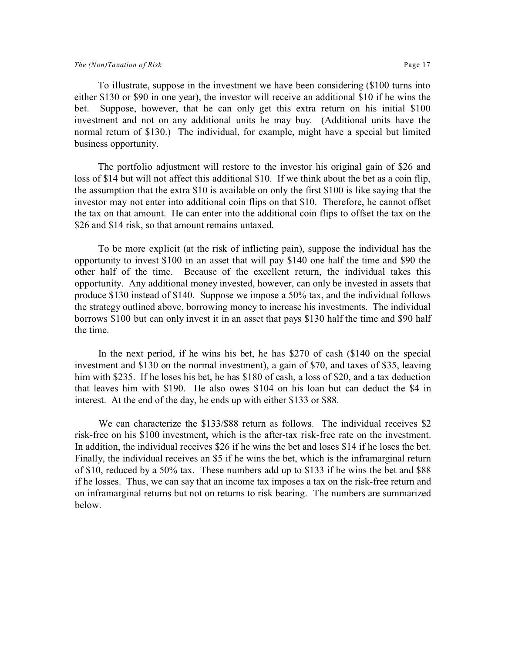To illustrate, suppose in the investment we have been considering (\$100 turns into either \$130 or \$90 in one year), the investor will receive an additional \$10 if he wins the bet. Suppose, however, that he can only get this extra return on his initial \$100 investment and not on any additional units he may buy. (Additional units have the normal return of \$130.) The individual, for example, might have a special but limited business opportunity.

The portfolio adjustment will restore to the investor his original gain of \$26 and loss of \$14 but will not affect this additional \$10. If we think about the bet as a coin flip, the assumption that the extra \$10 is available on only the first \$100 is like saying that the investor may not enter into additional coin flips on that \$10. Therefore, he cannot offset the tax on that amount. He can enter into the additional coin flips to offset the tax on the \$26 and \$14 risk, so that amount remains untaxed.

To be more explicit (at the risk of inflicting pain), suppose the individual has the opportunity to invest \$100 in an asset that will pay \$140 one half the time and \$90 the other half of the time. Because of the excellent return, the individual takes this opportunity. Any additional money invested, however, can only be invested in assets that produce \$130 instead of \$140. Suppose we impose a 50% tax, and the individual follows the strategy outlined above, borrowing money to increase his investments. The individual borrows \$100 but can only invest it in an asset that pays \$130 half the time and \$90 half the time.

In the next period, if he wins his bet, he has \$270 of cash (\$140 on the special investment and \$130 on the normal investment), a gain of \$70, and taxes of \$35, leaving him with \$235. If he loses his bet, he has \$180 of cash, a loss of \$20, and a tax deduction that leaves him with \$190. He also owes \$104 on his loan but can deduct the \$4 in interest. At the end of the day, he ends up with either \$133 or \$88.

We can characterize the \$133/\$88 return as follows. The individual receives \$2 risk-free on his \$100 investment, which is the after-tax risk-free rate on the investment. In addition, the individual receives \$26 if he wins the bet and loses \$14 if he loses the bet. Finally, the individual receives an \$5 if he wins the bet, which is the inframarginal return of \$10, reduced by a 50% tax. These numbers add up to \$133 if he wins the bet and \$88 if he losses. Thus, we can say that an income tax imposes a tax on the risk-free return and on inframarginal returns but not on returns to risk bearing. The numbers are summarized below.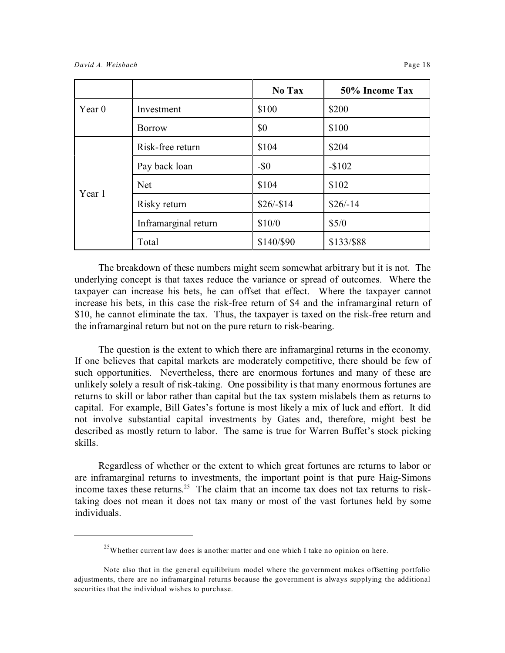|          |                      | No Tax     | 50% Income Tax |
|----------|----------------------|------------|----------------|
| Year $0$ | Investment           | \$100      | \$200          |
|          | <b>Borrow</b>        | \$0        | \$100          |
| Year 1   | Risk-free return     | \$104      | \$204          |
|          | Pay back loan        | $-\$0$     | $-$102$        |
|          | <b>Net</b>           | \$104      | \$102          |
|          | Risky return         | $$26/-$14$ | $$26/-14$      |
|          | Inframarginal return | \$10/0     | \$5/0          |
|          | Total                | \$140/\$90 | \$133/\$88     |

The breakdown of these numbers might seem somewhat arbitrary but it is not. The underlying concept is that taxes reduce the variance or spread of outcomes. Where the taxpayer can increase his bets, he can offset that effect. Where the taxpayer cannot increase his bets, in this case the risk-free return of \$4 and the inframarginal return of \$10, he cannot eliminate the tax. Thus, the taxpayer is taxed on the risk-free return and the inframarginal return but not on the pure return to risk-bearing.

The question is the extent to which there are inframarginal returns in the economy. If one believes that capital markets are moderately competitive, there should be few of such opportunities. Nevertheless, there are enormous fortunes and many of these are unlikely solely a result of risk-taking. One possibility is that many enormous fortunes are returns to skill or labor rather than capital but the tax system mislabels them as returns to capital. For example, Bill Gates's fortune is most likely a mix of luck and effort. It did not involve substantial capital investments by Gates and, therefore, might best be described as mostly return to labor. The same is true for Warren Buffet's stock picking skills.

Regardless of whether or the extent to which great fortunes are returns to labor or are inframarginal returns to investments, the important point is that pure Haig-Simons income taxes these returns.<sup>25</sup> The claim that an income tax does not tax returns to risktaking does not mean it does not tax many or most of the vast fortunes held by some individuals.

 $25$ Whether current law does is another matter and one which I take no opinion on here.

Note also that in the general equilibrium model where the government makes offsetting portfolio adjustments, there are no inframarginal returns because the government is always supplying the additional securities that the individual wishes to purchase.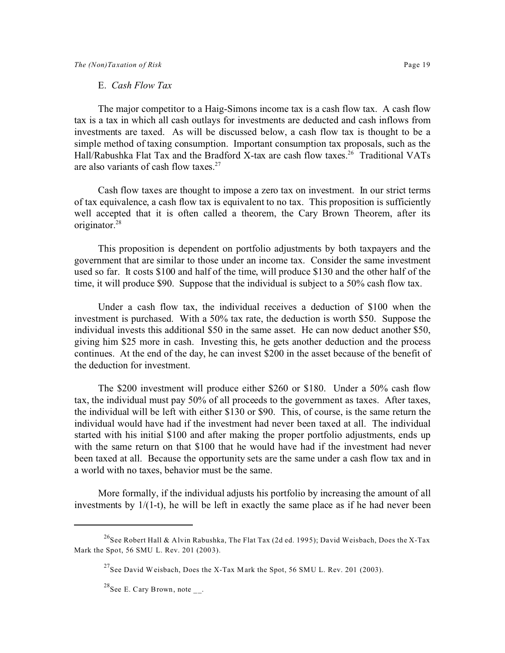The major competitor to a Haig-Simons income tax is a cash flow tax. A cash flow tax is a tax in which all cash outlays for investments are deducted and cash inflows from investments are taxed. As will be discussed below, a cash flow tax is thought to be a simple method of taxing consumption. Important consumption tax proposals, such as the Hall/Rabushka Flat Tax and the Bradford X-tax are cash flow taxes.<sup>26</sup> Traditional VATs are also variants of cash flow taxes. $27$ 

Cash flow taxes are thought to impose a zero tax on investment. In our strict terms of tax equivalence, a cash flow tax is equivalent to no tax. This proposition is sufficiently well accepted that it is often called a theorem, the Cary Brown Theorem, after its originator.<sup>28</sup>

This proposition is dependent on portfolio adjustments by both taxpayers and the government that are similar to those under an income tax. Consider the same investment used so far. It costs \$100 and half of the time, will produce \$130 and the other half of the time, it will produce \$90. Suppose that the individual is subject to a 50% cash flow tax.

Under a cash flow tax, the individual receives a deduction of \$100 when the investment is purchased. With a 50% tax rate, the deduction is worth \$50. Suppose the individual invests this additional \$50 in the same asset. He can now deduct another \$50, giving him \$25 more in cash. Investing this, he gets another deduction and the process continues. At the end of the day, he can invest \$200 in the asset because of the benefit of the deduction for investment.

The \$200 investment will produce either \$260 or \$180. Under a 50% cash flow tax, the individual must pay 50% of all proceeds to the government as taxes. After taxes, the individual will be left with either \$130 or \$90. This, of course, is the same return the individual would have had if the investment had never been taxed at all. The individual started with his initial \$100 and after making the proper portfolio adjustments, ends up with the same return on that \$100 that he would have had if the investment had never been taxed at all. Because the opportunity sets are the same under a cash flow tax and in a world with no taxes, behavior must be the same.

More formally, if the individual adjusts his portfolio by increasing the amount of all investments by 1/(1-t), he will be left in exactly the same place as if he had never been

<sup>&</sup>lt;sup>26</sup>See Robert Hall & Alvin Rabushka, The Flat Tax (2d ed. 1995); David Weisbach, Does the X-Tax Mark the Spot, 56 SMU L. Rev. 201 (2003).

<sup>&</sup>lt;sup>27</sup>See David Weisbach, Does the X-Tax Mark the Spot, 56 SMU L. Rev. 201 (2003).

<sup>&</sup>lt;sup>28</sup>See E. Cary Brown, note  $\overline{\phantom{a}}$ .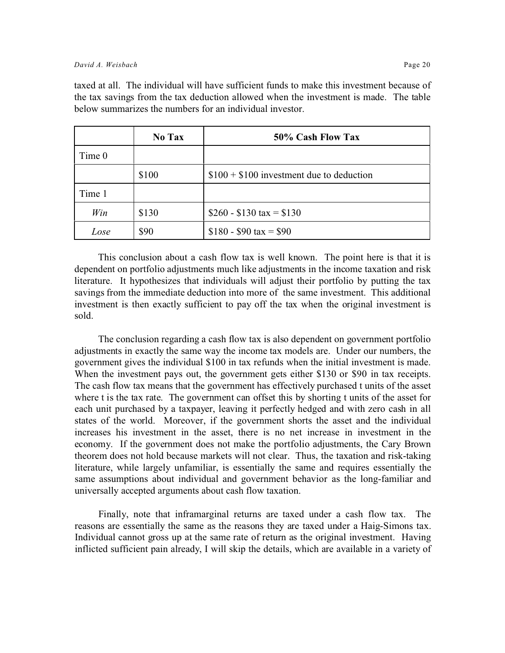taxed at all. The individual will have sufficient funds to make this investment because of the tax savings from the tax deduction allowed when the investment is made. The table below summarizes the numbers for an individual investor.

|        | <b>No Tax</b> | 50% Cash Flow Tax                         |
|--------|---------------|-------------------------------------------|
| Time 0 |               |                                           |
|        | \$100         | $$100 + $100$ investment due to deduction |
| Time 1 |               |                                           |
| Win    | \$130         | $$260 - $130 \text{ tax} = $130$          |
| Lose   | \$90          | $$180 - $90 \text{ tax} = $90$            |

This conclusion about a cash flow tax is well known. The point here is that it is dependent on portfolio adjustments much like adjustments in the income taxation and risk literature. It hypothesizes that individuals will adjust their portfolio by putting the tax savings from the immediate deduction into more of the same investment. This additional investment is then exactly sufficient to pay off the tax when the original investment is sold.

The conclusion regarding a cash flow tax is also dependent on government portfolio adjustments in exactly the same way the income tax models are. Under our numbers, the government gives the individual \$100 in tax refunds when the initial investment is made. When the investment pays out, the government gets either \$130 or \$90 in tax receipts. The cash flow tax means that the government has effectively purchased t units of the asset where t is the tax rate. The government can offset this by shorting t units of the asset for each unit purchased by a taxpayer, leaving it perfectly hedged and with zero cash in all states of the world. Moreover, if the government shorts the asset and the individual increases his investment in the asset, there is no net increase in investment in the economy. If the government does not make the portfolio adjustments, the Cary Brown theorem does not hold because markets will not clear. Thus, the taxation and risk-taking literature, while largely unfamiliar, is essentially the same and requires essentially the same assumptions about individual and government behavior as the long-familiar and universally accepted arguments about cash flow taxation.

Finally, note that inframarginal returns are taxed under a cash flow tax. The reasons are essentially the same as the reasons they are taxed under a Haig-Simons tax. Individual cannot gross up at the same rate of return as the original investment. Having inflicted sufficient pain already, I will skip the details, which are available in a variety of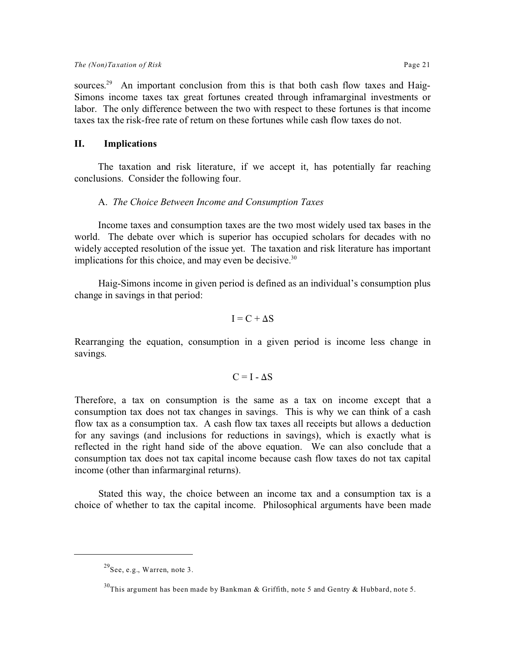sources.<sup>29</sup> An important conclusion from this is that both cash flow taxes and Haig-Simons income taxes tax great fortunes created through inframarginal investments or labor. The only difference between the two with respect to these fortunes is that income taxes tax the risk-free rate of return on these fortunes while cash flow taxes do not.

#### **II. Implications**

The taxation and risk literature, if we accept it, has potentially far reaching conclusions. Consider the following four.

#### A. *The Choice Between Income and Consumption Taxes*

Income taxes and consumption taxes are the two most widely used tax bases in the world. The debate over which is superior has occupied scholars for decades with no widely accepted resolution of the issue yet. The taxation and risk literature has important implications for this choice, and may even be decisive. $30$ 

Haig-Simons income in given period is defined as an individual's consumption plus change in savings in that period:

$$
I = C + \Delta S
$$

Rearranging the equation, consumption in a given period is income less change in savings.

$$
C = I - \Delta S
$$

Therefore, a tax on consumption is the same as a tax on income except that a consumption tax does not tax changes in savings. This is why we can think of a cash flow tax as a consumption tax. A cash flow tax taxes all receipts but allows a deduction for any savings (and inclusions for reductions in savings), which is exactly what is reflected in the right hand side of the above equation. We can also conclude that a consumption tax does not tax capital income because cash flow taxes do not tax capital income (other than infarmarginal returns).

Stated this way, the choice between an income tax and a consumption tax is a choice of whether to tax the capital income. Philosophical arguments have been made

 $^{29}$ See, e.g., Warren, note 3.

<sup>&</sup>lt;sup>30</sup>This argument has been made by Bankman & Griffith, note 5 and Gentry & Hubbard, note 5.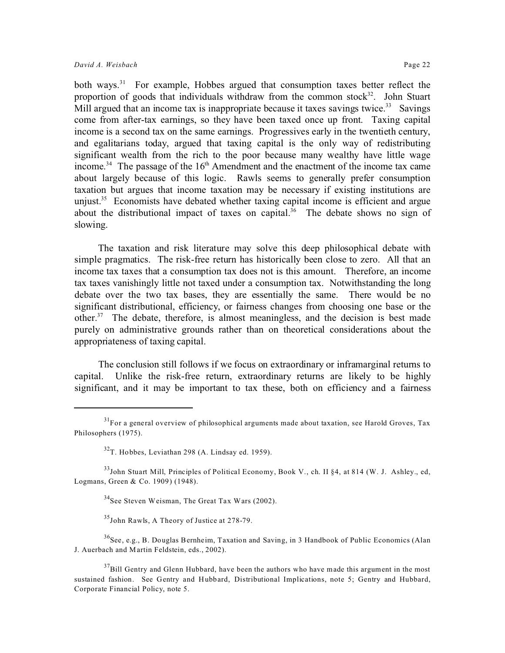slowing.

both ways.<sup>31</sup> For example, Hobbes argued that consumption taxes better reflect the proportion of goods that individuals withdraw from the common stock $32$ . John Stuart Mill argued that an income tax is inappropriate because it taxes savings twice.<sup>33</sup> Savings come from after-tax earnings, so they have been taxed once up front. Taxing capital income is a second tax on the same earnings. Progressives early in the twentieth century, and egalitarians today, argued that taxing capital is the only way of redistributing significant wealth from the rich to the poor because many wealthy have little wage income.<sup>34</sup> The passage of the  $16<sup>th</sup>$  Amendment and the enactment of the income tax came about largely because of this logic. Rawls seems to generally prefer consumption taxation but argues that income taxation may be necessary if existing institutions are unjust.<sup>35</sup> Economists have debated whether taxing capital income is efficient and argue about the distributional impact of taxes on capital.<sup>36</sup> The debate shows no sign of

The taxation and risk literature may solve this deep philosophical debate with simple pragmatics. The risk-free return has historically been close to zero. All that an income tax taxes that a consumption tax does not is this amount. Therefore, an income tax taxes vanishingly little not taxed under a consumption tax. Notwithstanding the long debate over the two tax bases, they are essentially the same. There would be no significant distributional, efficiency, or fairness changes from choosing one base or the other.<sup>37</sup> The debate, therefore, is almost meaningless, and the decision is best made purely on administrative grounds rather than on theoretical considerations about the appropriateness of taxing capital.

The conclusion still follows if we focus on extraordinary or inframarginal returns to capital. Unlike the risk-free return, extraordinary returns are likely to be highly significant, and it may be important to tax these, both on efficiency and a fairness

<sup>35</sup>John Rawls, A Theory of Justice at 278-79.

 $36$ See, e.g., B. Douglas Bernheim, Taxation and Saving, in 3 Handbook of Public Economics (Alan J. Auerbach and Martin Feldstein, eds., 2002).

<sup>&</sup>lt;sup>31</sup>For a general overview of philosophical arguments made about taxation, see Harold Groves, Tax Philosophers (1975).

 $32$ T. Hobbes, Leviathan 298 (A. Lindsay ed. 1959).

<sup>&</sup>lt;sup>33</sup>John Stuart Mill, Principles of Political Economy, Book V., ch. II §4, at 814 (W. J. Ashley., ed, Logmans, Green & Co. 1909) (1948).

 $34$ See Steven Weisman, The Great Tax Wars (2002).

 $37B$ ill Gentry and Glenn Hubbard, have been the authors who have made this argument in the most sustained fashion. See Gentry and Hubbard, Distributional Implications, note 5; Gentry and Hubbard, Corporate Financial Policy, note 5.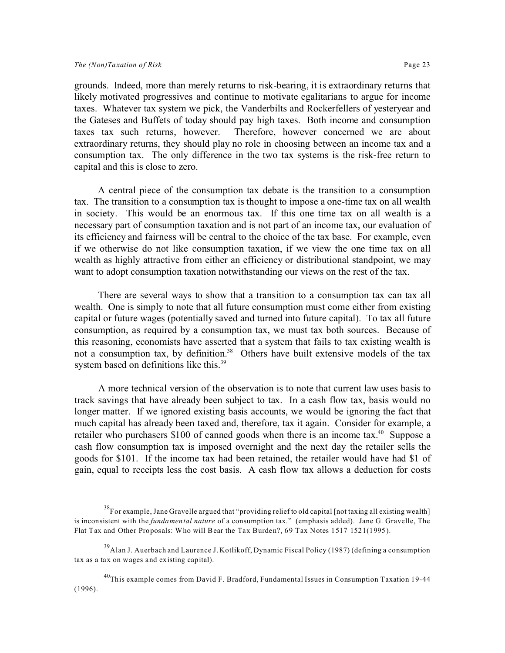grounds. Indeed, more than merely returns to risk-bearing, it is extraordinary returns that likely motivated progressives and continue to motivate egalitarians to argue for income taxes. Whatever tax system we pick, the Vanderbilts and Rockerfellers of yesteryear and the Gateses and Buffets of today should pay high taxes. Both income and consumption taxes tax such returns, however. Therefore, however concerned we are about extraordinary returns, they should play no role in choosing between an income tax and a consumption tax. The only difference in the two tax systems is the risk-free return to capital and this is close to zero.

A central piece of the consumption tax debate is the transition to a consumption tax. The transition to a consumption tax is thought to impose a one-time tax on all wealth in society. This would be an enormous tax. If this one time tax on all wealth is a necessary part of consumption taxation and is not part of an income tax, our evaluation of its efficiency and fairness will be central to the choice of the tax base. For example, even if we otherwise do not like consumption taxation, if we view the one time tax on all wealth as highly attractive from either an efficiency or distributional standpoint, we may want to adopt consumption taxation notwithstanding our views on the rest of the tax.

There are several ways to show that a transition to a consumption tax can tax all wealth. One is simply to note that all future consumption must come either from existing capital or future wages (potentially saved and turned into future capital). To tax all future consumption, as required by a consumption tax, we must tax both sources. Because of this reasoning, economists have asserted that a system that fails to tax existing wealth is not a consumption tax, by definition.<sup>38</sup> Others have built extensive models of the tax system based on definitions like this.<sup>39</sup>

A more technical version of the observation is to note that current law uses basis to track savings that have already been subject to tax. In a cash flow tax, basis would no longer matter. If we ignored existing basis accounts, we would be ignoring the fact that much capital has already been taxed and, therefore, tax it again. Consider for example, a retailer who purchasers \$100 of canned goods when there is an income tax.<sup>40</sup> Suppose a cash flow consumption tax is imposed overnight and the next day the retailer sells the goods for \$101. If the income tax had been retained, the retailer would have had \$1 of gain, equal to receipts less the cost basis. A cash flow tax allows a deduction for costs

<sup>38</sup>For example, Jane Gravelle argued that "providing relief to old capital [not taxing all existing wealth] is inconsistent with the *fundamental nature* of a consumption tax." (emphasis added). Jane G. Gravelle, The Flat Tax and Other Proposals: Who will Bear the Tax Burden?, 69 Tax Notes 1517 1521(1995).

<sup>&</sup>lt;sup>39</sup>Alan J. Auerbach and Laurence J. Kotlikoff, Dynamic Fiscal Policy (1987) (defining a consumption tax as a tax on wages and existing capital).

<sup>&</sup>lt;sup>40</sup>This example comes from David F. Bradford, Fundamental Issues in Consumption Taxation 19-44 (1996).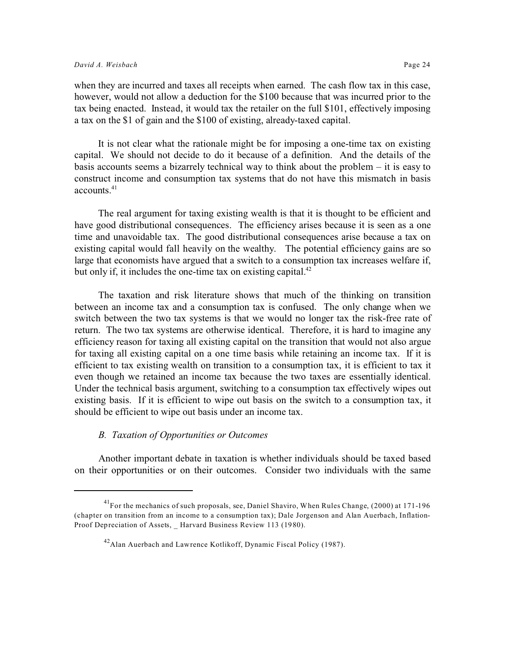when they are incurred and taxes all receipts when earned. The cash flow tax in this case, however, would not allow a deduction for the \$100 because that was incurred prior to the tax being enacted. Instead, it would tax the retailer on the full \$101, effectively imposing a tax on the \$1 of gain and the \$100 of existing, already-taxed capital.

It is not clear what the rationale might be for imposing a one-time tax on existing capital. We should not decide to do it because of a definition. And the details of the basis accounts seems a bizarrely technical way to think about the problem – it is easy to construct income and consumption tax systems that do not have this mismatch in basis  $\arccon$  accounts.  $41$ 

The real argument for taxing existing wealth is that it is thought to be efficient and have good distributional consequences. The efficiency arises because it is seen as a one time and unavoidable tax. The good distributional consequences arise because a tax on existing capital would fall heavily on the wealthy. The potential efficiency gains are so large that economists have argued that a switch to a consumption tax increases welfare if, but only if, it includes the one-time tax on existing capital. $^{42}$ 

The taxation and risk literature shows that much of the thinking on transition between an income tax and a consumption tax is confused. The only change when we switch between the two tax systems is that we would no longer tax the risk-free rate of return. The two tax systems are otherwise identical. Therefore, it is hard to imagine any efficiency reason for taxing all existing capital on the transition that would not also argue for taxing all existing capital on a one time basis while retaining an income tax. If it is efficient to tax existing wealth on transition to a consumption tax, it is efficient to tax it even though we retained an income tax because the two taxes are essentially identical. Under the technical basis argument, switching to a consumption tax effectively wipes out existing basis. If it is efficient to wipe out basis on the switch to a consumption tax, it should be efficient to wipe out basis under an income tax.

#### *B. Taxation of Opportunities or Outcomes*

Another important debate in taxation is whether individuals should be taxed based on their opportunities or on their outcomes. Consider two individuals with the same

<sup>&</sup>lt;sup>41</sup>For the mechanics of such proposals, see, Daniel Shaviro, When Rules Change, (2000) at 171-196 (chapter on transition from an income to a consumption tax); Dale Jorgenson and Alan Auerbach, Inflation-Proof Depreciation of Assets, Harvard Business Review 113 (1980).

 $^{42}$ Alan Auerbach and Lawrence Kotlikoff, Dynamic Fiscal Policy (1987).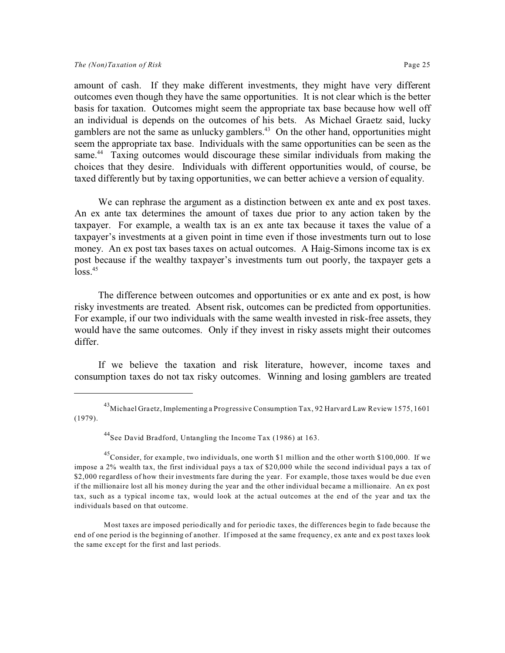amount of cash. If they make different investments, they might have very different outcomes even though they have the same opportunities. It is not clear which is the better basis for taxation. Outcomes might seem the appropriate tax base because how well off an individual is depends on the outcomes of his bets. As Michael Graetz said, lucky gamblers are not the same as unlucky gamblers.<sup>43</sup> On the other hand, opportunities might seem the appropriate tax base. Individuals with the same opportunities can be seen as the same.<sup>44</sup> Taxing outcomes would discourage these similar individuals from making the choices that they desire. Individuals with different opportunities would, of course, be taxed differently but by taxing opportunities, we can better achieve a version of equality.

We can rephrase the argument as a distinction between ex ante and ex post taxes. An ex ante tax determines the amount of taxes due prior to any action taken by the taxpayer. For example, a wealth tax is an ex ante tax because it taxes the value of a taxpayer's investments at a given point in time even if those investments turn out to lose money. An ex post tax bases taxes on actual outcomes. A Haig-Simons income tax is ex post because if the wealthy taxpayer's investments turn out poorly, the taxpayer gets a  $loss.<sup>45</sup>$ 

The difference between outcomes and opportunities or ex ante and ex post, is how risky investments are treated. Absent risk, outcomes can be predicted from opportunities. For example, if our two individuals with the same wealth invested in risk-free assets, they would have the same outcomes. Only if they invest in risky assets might their outcomes differ.

If we believe the taxation and risk literature, however, income taxes and consumption taxes do not tax risky outcomes. Winning and losing gamblers are treated

<sup>&</sup>lt;sup>43</sup>Michael Graetz, Implementing a Progressive Consumption Tax, 92 Harvard Law Review 1575, 1601 (1979).

<sup>44</sup>See David Bradford, Untangling the Income Tax (1986) at 163.

<sup>&</sup>lt;sup>45</sup>Consider, for example, two individuals, one worth \$1 million and the other worth \$100,000. If we impose a 2% wealth tax, the first individual pays a tax of \$20,000 while the second individual pays a tax of \$2,000 regardless of how their investments fare during the year. For example, those taxes would be due even if the millionaire lost all his money during the year and the other individual became a millionaire. An ex post tax, such as a typical income tax, would look at the actual outcomes at the end of the year and tax the individuals based on that outcome.

Most taxes are imposed periodically and for periodic taxes, the differences begin to fade because the end of one period is the beginning of another. If imposed at the same frequency, ex ante and ex post taxes look the same except for the first and last periods.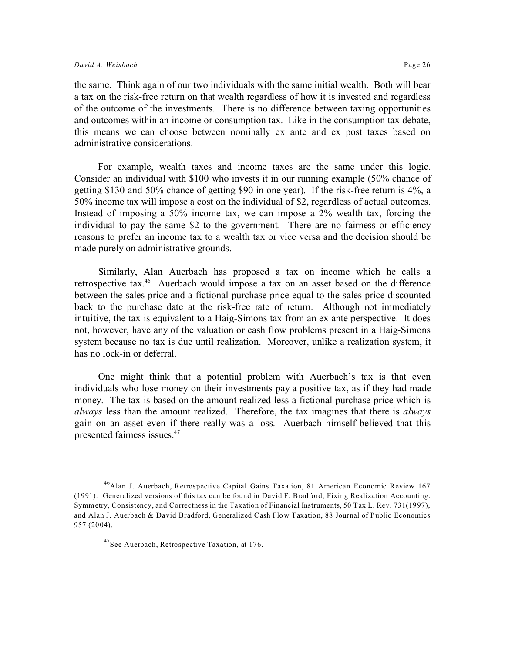the same. Think again of our two individuals with the same initial wealth. Both will bear a tax on the risk-free return on that wealth regardless of how it is invested and regardless of the outcome of the investments. There is no difference between taxing opportunities and outcomes within an income or consumption tax. Like in the consumption tax debate, this means we can choose between nominally ex ante and ex post taxes based on administrative considerations.

For example, wealth taxes and income taxes are the same under this logic. Consider an individual with \$100 who invests it in our running example (50% chance of getting \$130 and 50% chance of getting \$90 in one year). If the risk-free return is 4%, a 50% income tax will impose a cost on the individual of \$2, regardless of actual outcomes. Instead of imposing a 50% income tax, we can impose a 2% wealth tax, forcing the individual to pay the same \$2 to the government. There are no fairness or efficiency reasons to prefer an income tax to a wealth tax or vice versa and the decision should be made purely on administrative grounds.

Similarly, Alan Auerbach has proposed a tax on income which he calls a retrospective tax.<sup>46</sup> Auerbach would impose a tax on an asset based on the difference between the sales price and a fictional purchase price equal to the sales price discounted back to the purchase date at the risk-free rate of return. Although not immediately intuitive, the tax is equivalent to a Haig-Simons tax from an ex ante perspective. It does not, however, have any of the valuation or cash flow problems present in a Haig-Simons system because no tax is due until realization. Moreover, unlike a realization system, it has no lock-in or deferral.

One might think that a potential problem with Auerbach's tax is that even individuals who lose money on their investments pay a positive tax, as if they had made money. The tax is based on the amount realized less a fictional purchase price which is *always* less than the amount realized. Therefore, the tax imagines that there is *always* gain on an asset even if there really was a loss. Auerbach himself believed that this presented fairness issues.<sup>47</sup>

<sup>46</sup>Alan J. Auerbach, Retrospective Capital Gains Taxation, 81 American Economic Review 167 (1991). Generalized versions of this tax can be found in David F. Bradford, Fixing Realization Accounting: Symmetry, Consistency, and Correctness in the Taxation of Financial Instruments, 50 Tax L. Rev. 731(1997), and Alan J. Auerbach & David Bradford, Generalized Cash Flow Taxation, 88 Journal of Public Economics 957 (2004).

<sup>&</sup>lt;sup>47</sup>See Auerbach, Retrospective Taxation, at 176.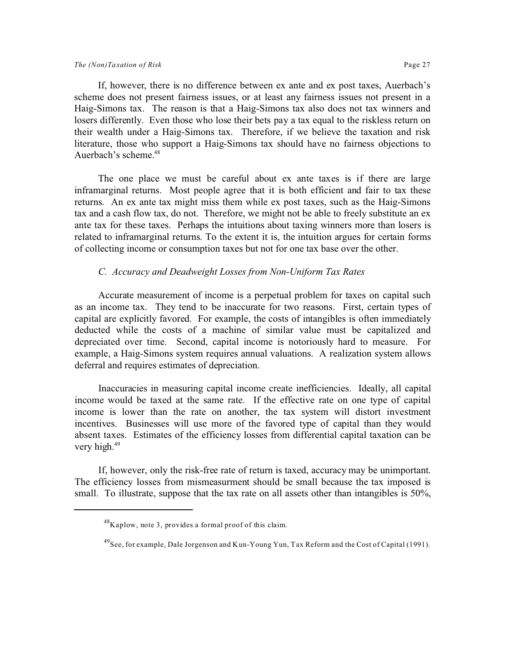If, however, there is no difference between ex ante and ex post taxes, Auerbach's scheme does not present fairness issues, or at least any fairness issues not present in a Haig-Simons tax. The reason is that a Haig-Simons tax also does not tax winners and losers differently. Even those who lose their bets pay a tax equal to the riskless return on their wealth under a Haig-Simons tax. Therefore, if we believe the taxation and risk literature, those who support a Haig-Simons tax should have no fairness objections to Auerbach's scheme.<sup>48</sup>

The one place we must be careful about ex ante taxes is if there are large inframarginal returns. Most people agree that it is both efficient and fair to tax these returns. An ex ante tax might miss them while ex post taxes, such as the Haig-Simons tax and a cash flow tax, do not. Therefore, we might not be able to freely substitute an ex ante tax for these taxes. Perhaps the intuitions about taxing winners more than losers is related to inframarginal returns. To the extent it is, the intuition argues for certain forms of collecting income or consumption taxes but not for one tax base over the other.

#### *C. Accuracy and Deadweight Losses from Non-Uniform Tax Rates*

Accurate measurement of income is a perpetual problem for taxes on capital such as an income tax. They tend to be inaccurate for two reasons. First, certain types of capital are explicitly favored. For example, the costs of intangibles is often immediately deducted while the costs of a machine of similar value must be capitalized and depreciated over time. Second, capital income is notoriously hard to measure. For example, a Haig-Simons system requires annual valuations. A realization system allows deferral and requires estimates of depreciation.

Inaccuracies in measuring capital income create inefficiencies. Ideally, all capital income would be taxed at the same rate. If the effective rate on one type of capital income is lower than the rate on another, the tax system will distort investment incentives. Businesses will use more of the favored type of capital than they would absent taxes. Estimates of the efficiency losses from differential capital taxation can be very high. $49$ 

If, however, only the risk-free rate of return is taxed, accuracy may be unimportant. The efficiency losses from mismeasurment should be small because the tax imposed is small. To illustrate, suppose that the tax rate on all assets other than intangibles is 50%,

<sup>48</sup>Kaplow, note 3, provides a formal proof of this claim.

<sup>49</sup>See, for example, Dale Jorgenson and Kun-Young Yun, Tax Reform and the Cost of Capital (1991).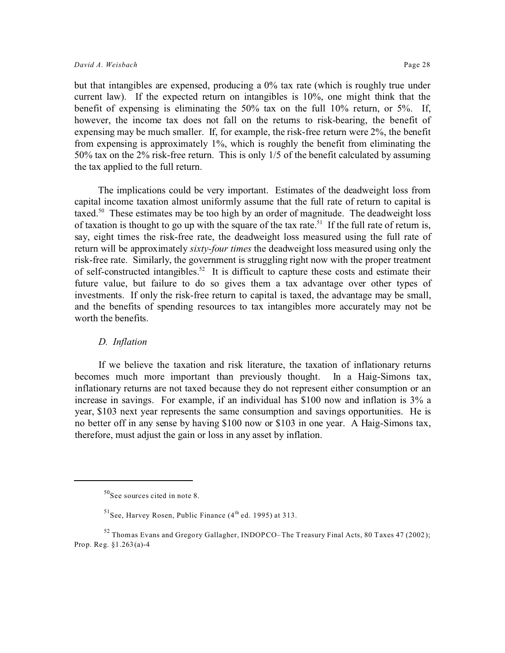but that intangibles are expensed, producing a 0% tax rate (which is roughly true under current law). If the expected return on intangibles is 10%, one might think that the benefit of expensing is eliminating the 50% tax on the full 10% return, or 5%. If, however, the income tax does not fall on the returns to risk-bearing, the benefit of expensing may be much smaller. If, for example, the risk-free return were 2%, the benefit from expensing is approximately 1%, which is roughly the benefit from eliminating the 50% tax on the 2% risk-free return. This is only 1/5 of the benefit calculated by assuming the tax applied to the full return.

The implications could be very important. Estimates of the deadweight loss from capital income taxation almost uniformly assume that the full rate of return to capital is taxed.<sup>50</sup> These estimates may be too high by an order of magnitude. The deadweight loss of taxation is thought to go up with the square of the tax rate.<sup>51</sup> If the full rate of return is, say, eight times the risk-free rate, the deadweight loss measured using the full rate of return will be approximately *sixty-four times* the deadweight loss measured using only the risk-free rate. Similarly, the government is struggling right now with the proper treatment of self-constructed intangibles.<sup>52</sup> It is difficult to capture these costs and estimate their future value, but failure to do so gives them a tax advantage over other types of investments. If only the risk-free return to capital is taxed, the advantage may be small, and the benefits of spending resources to tax intangibles more accurately may not be worth the benefits.

#### *D. Inflation*

If we believe the taxation and risk literature, the taxation of inflationary returns becomes much more important than previously thought. In a Haig-Simons tax, inflationary returns are not taxed because they do not represent either consumption or an increase in savings. For example, if an individual has \$100 now and inflation is 3% a year, \$103 next year represents the same consumption and savings opportunities. He is no better off in any sense by having \$100 now or \$103 in one year. A Haig-Simons tax, therefore, must adjust the gain or loss in any asset by inflation.

 $50$ See sources cited in note 8.

 $51$ See, Harvey Rosen, Public Finance (4<sup>th</sup> ed. 1995) at 313.

 $52$  Thomas Evans and Gregory Gallagher, INDOPCO–The Treasury Final Acts, 80 Taxes 47 (2002); Prop. Reg. §1.263(a)-4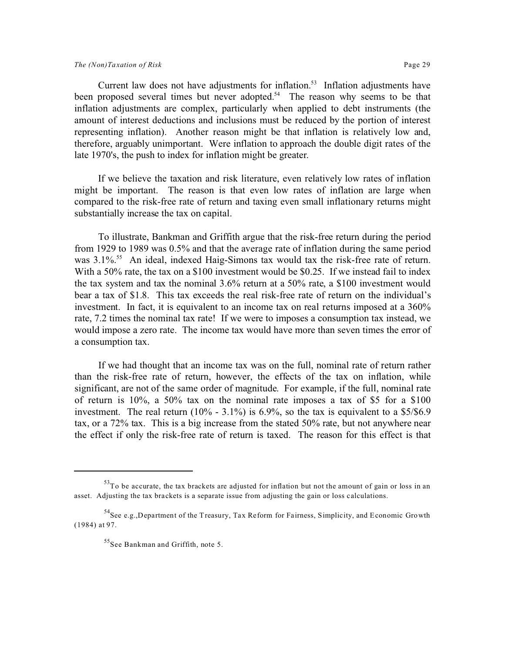Current law does not have adjustments for inflation.<sup>53</sup> Inflation adjustments have been proposed several times but never adopted.<sup>54</sup> The reason why seems to be that inflation adjustments are complex, particularly when applied to debt instruments (the amount of interest deductions and inclusions must be reduced by the portion of interest representing inflation). Another reason might be that inflation is relatively low and, therefore, arguably unimportant. Were inflation to approach the double digit rates of the late 1970's, the push to index for inflation might be greater.

If we believe the taxation and risk literature, even relatively low rates of inflation might be important. The reason is that even low rates of inflation are large when compared to the risk-free rate of return and taxing even small inflationary returns might substantially increase the tax on capital.

To illustrate, Bankman and Griffith argue that the risk-free return during the period from 1929 to 1989 was 0.5% and that the average rate of inflation during the same period was 3.1%<sup>55</sup> An ideal, indexed Haig-Simons tax would tax the risk-free rate of return. With a 50% rate, the tax on a \$100 investment would be \$0.25. If we instead fail to index the tax system and tax the nominal 3.6% return at a 50% rate, a \$100 investment would bear a tax of \$1.8. This tax exceeds the real risk-free rate of return on the individual's investment. In fact, it is equivalent to an income tax on real returns imposed at a 360% rate, 7.2 times the nominal tax rate! If we were to imposes a consumption tax instead, we would impose a zero rate. The income tax would have more than seven times the error of a consumption tax.

If we had thought that an income tax was on the full, nominal rate of return rather than the risk-free rate of return, however, the effects of the tax on inflation, while significant, are not of the same order of magnitude. For example, if the full, nominal rate of return is 10%, a 50% tax on the nominal rate imposes a tax of \$5 for a \$100 investment. The real return  $(10\% - 3.1\%)$  is 6.9%, so the tax is equivalent to a \$5/\$6.9 tax, or a 72% tax. This is a big increase from the stated 50% rate, but not anywhere near the effect if only the risk-free rate of return is taxed. The reason for this effect is that

<sup>53</sup>To be accurate, the tax brackets are adjusted for inflation but not the amount of gain or loss in an asset. Adjusting the tax brackets is a separate issue from adjusting the gain or loss calculations.

 $<sup>54</sup>$ See e.g.,Department of the Treasury, Tax Reform for Fairness, Simplicity, and Economic Growth</sup> (1984) at 97.

<sup>55</sup>See Bankman and Griffith, note 5.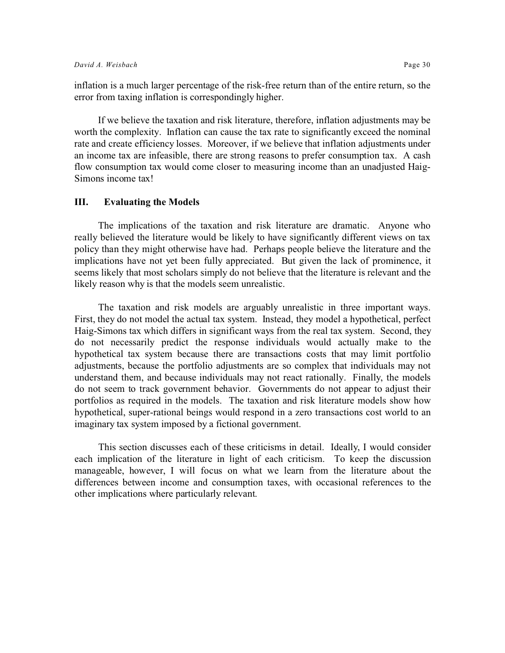inflation is a much larger percentage of the risk-free return than of the entire return, so the error from taxing inflation is correspondingly higher.

If we believe the taxation and risk literature, therefore, inflation adjustments may be worth the complexity. Inflation can cause the tax rate to significantly exceed the nominal rate and create efficiency losses. Moreover, if we believe that inflation adjustments under an income tax are infeasible, there are strong reasons to prefer consumption tax. A cash flow consumption tax would come closer to measuring income than an unadjusted Haig-Simons income tax!

#### **III. Evaluating the Models**

The implications of the taxation and risk literature are dramatic. Anyone who really believed the literature would be likely to have significantly different views on tax policy than they might otherwise have had. Perhaps people believe the literature and the implications have not yet been fully appreciated. But given the lack of prominence, it seems likely that most scholars simply do not believe that the literature is relevant and the likely reason why is that the models seem unrealistic.

The taxation and risk models are arguably unrealistic in three important ways. First, they do not model the actual tax system. Instead, they model a hypothetical, perfect Haig-Simons tax which differs in significant ways from the real tax system. Second, they do not necessarily predict the response individuals would actually make to the hypothetical tax system because there are transactions costs that may limit portfolio adjustments, because the portfolio adjustments are so complex that individuals may not understand them, and because individuals may not react rationally. Finally, the models do not seem to track government behavior. Governments do not appear to adjust their portfolios as required in the models. The taxation and risk literature models show how hypothetical, super-rational beings would respond in a zero transactions cost world to an imaginary tax system imposed by a fictional government.

This section discusses each of these criticisms in detail. Ideally, I would consider each implication of the literature in light of each criticism. To keep the discussion manageable, however, I will focus on what we learn from the literature about the differences between income and consumption taxes, with occasional references to the other implications where particularly relevant.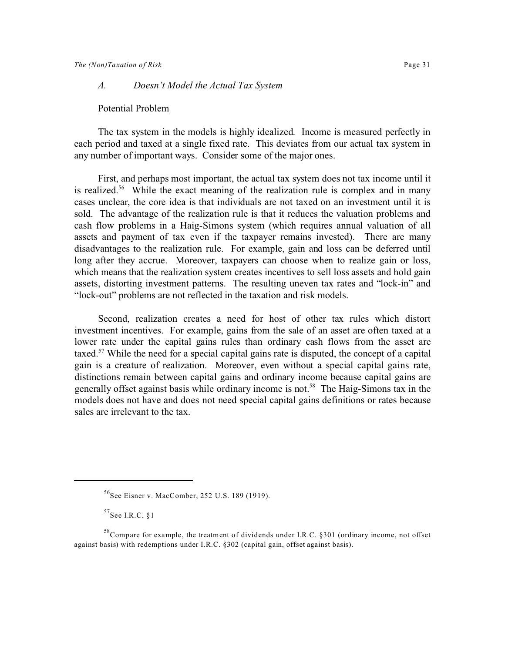#### *A. Doesn't Model the Actual Tax System*

#### Potential Problem

The tax system in the models is highly idealized. Income is measured perfectly in each period and taxed at a single fixed rate. This deviates from our actual tax system in any number of important ways. Consider some of the major ones.

First, and perhaps most important, the actual tax system does not tax income until it is realized.<sup>56</sup> While the exact meaning of the realization rule is complex and in many cases unclear, the core idea is that individuals are not taxed on an investment until it is sold. The advantage of the realization rule is that it reduces the valuation problems and cash flow problems in a Haig-Simons system (which requires annual valuation of all assets and payment of tax even if the taxpayer remains invested). There are many disadvantages to the realization rule. For example, gain and loss can be deferred until long after they accrue. Moreover, taxpayers can choose when to realize gain or loss, which means that the realization system creates incentives to sell loss assets and hold gain assets, distorting investment patterns. The resulting uneven tax rates and "lock-in" and "lock-out" problems are not reflected in the taxation and risk models.

Second, realization creates a need for host of other tax rules which distort investment incentives. For example, gains from the sale of an asset are often taxed at a lower rate under the capital gains rules than ordinary cash flows from the asset are taxed.<sup>57</sup> While the need for a special capital gains rate is disputed, the concept of a capital gain is a creature of realization. Moreover, even without a special capital gains rate, distinctions remain between capital gains and ordinary income because capital gains are generally offset against basis while ordinary income is not.<sup>58</sup> The Haig-Simons tax in the models does not have and does not need special capital gains definitions or rates because sales are irrelevant to the tax.

<sup>&</sup>lt;sup>56</sup>See Eisner v. MacComber, 252 U.S. 189 (1919).

 $57$ See I.R.C.  $81$ 

 $58^{\circ}$ Compare for example, the treatment of dividends under I.R.C. §301 (ordinary income, not offset against basis) with redemptions under I.R.C. §302 (capital gain, offset against basis).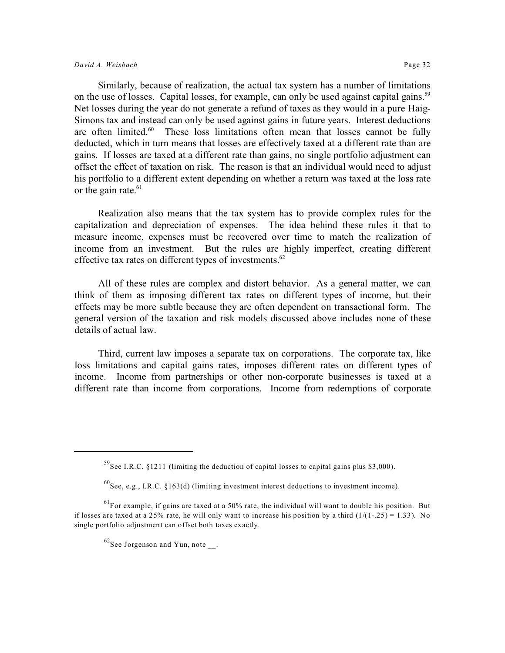Similarly, because of realization, the actual tax system has a number of limitations on the use of losses. Capital losses, for example, can only be used against capital gains.<sup>59</sup> Net losses during the year do not generate a refund of taxes as they would in a pure Haig-Simons tax and instead can only be used against gains in future years. Interest deductions are often limited. $60$  These loss limitations often mean that losses cannot be fully deducted, which in turn means that losses are effectively taxed at a different rate than are gains. If losses are taxed at a different rate than gains, no single portfolio adjustment can offset the effect of taxation on risk. The reason is that an individual would need to adjust his portfolio to a different extent depending on whether a return was taxed at the loss rate or the gain rate. $61$ 

Realization also means that the tax system has to provide complex rules for the capitalization and depreciation of expenses. The idea behind these rules it that to measure income, expenses must be recovered over time to match the realization of income from an investment. But the rules are highly imperfect, creating different effective tax rates on different types of investments.<sup>62</sup>

All of these rules are complex and distort behavior. As a general matter, we can think of them as imposing different tax rates on different types of income, but their effects may be more subtle because they are often dependent on transactional form. The general version of the taxation and risk models discussed above includes none of these details of actual law.

Third, current law imposes a separate tax on corporations. The corporate tax, like loss limitations and capital gains rates, imposes different rates on different types of income. Income from partnerships or other non-corporate businesses is taxed at a different rate than income from corporations. Income from redemptions of corporate

 $^{59}$ See I.R.C. §1211 (limiting the deduction of capital losses to capital gains plus \$3,000).

 $^{60}$ See, e.g., I.R.C. §163(d) (limiting investment interest deductions to investment income).

 $<sup>61</sup>$  For example, if gains are taxed at a 50% rate, the individual will want to double his position. But</sup> if losses are taxed at a 25% rate, he will only want to increase his position by a third  $(1/(1-25) = 1.33)$ . No single portfolio adjustment can offset both taxes exactly.

 $62$ See Jorgenson and Yun, note.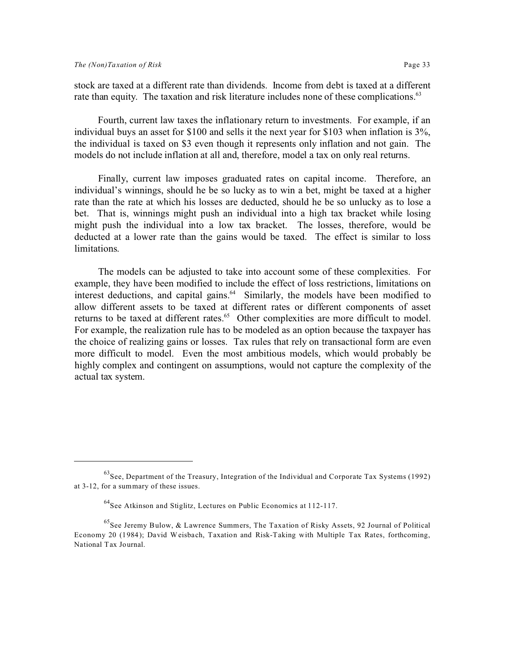stock are taxed at a different rate than dividends. Income from debt is taxed at a different rate than equity. The taxation and risk literature includes none of these complications.<sup>63</sup>

Fourth, current law taxes the inflationary return to investments. For example, if an individual buys an asset for \$100 and sells it the next year for \$103 when inflation is 3%, the individual is taxed on \$3 even though it represents only inflation and not gain. The models do not include inflation at all and, therefore, model a tax on only real returns.

Finally, current law imposes graduated rates on capital income. Therefore, an individual's winnings, should he be so lucky as to win a bet, might be taxed at a higher rate than the rate at which his losses are deducted, should he be so unlucky as to lose a bet. That is, winnings might push an individual into a high tax bracket while losing might push the individual into a low tax bracket. The losses, therefore, would be deducted at a lower rate than the gains would be taxed. The effect is similar to loss limitations.

The models can be adjusted to take into account some of these complexities. For example, they have been modified to include the effect of loss restrictions, limitations on interest deductions, and capital gains.<sup>64</sup> Similarly, the models have been modified to allow different assets to be taxed at different rates or different components of asset returns to be taxed at different rates.<sup>65</sup> Other complexities are more difficult to model. For example, the realization rule has to be modeled as an option because the taxpayer has the choice of realizing gains or losses. Tax rules that rely on transactional form are even more difficult to model. Even the most ambitious models, which would probably be highly complex and contingent on assumptions, would not capture the complexity of the actual tax system.

 $^{63}$ See, Department of the Treasury, Integration of the Individual and Corporate Tax Systems (1992) at 3-12, for a summary of these issues.

<sup>64</sup>See Atkinson and Stiglitz, Lectures on Public Economics at 112-117.

 $^{65}$ See Jeremy Bulow, & Lawrence Summers, The Taxation of Risky Assets, 92 Journal of Political Economy 20 (1984); David Weisbach, Taxation and Risk-Taking with Multiple Tax Rates, forthcoming, National Tax Journal.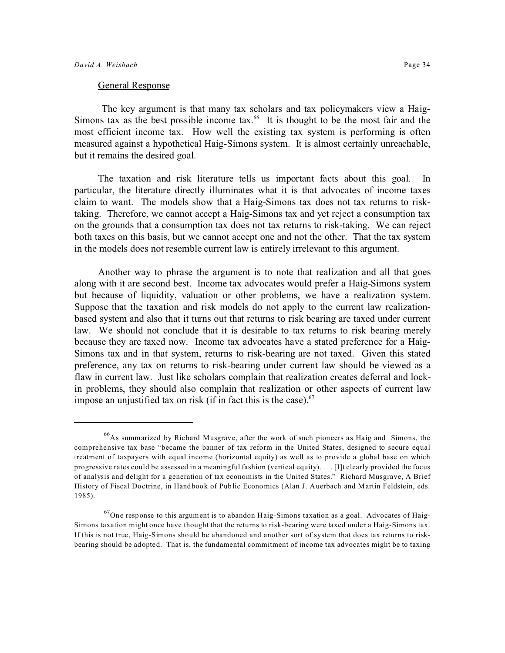#### General Response

 The key argument is that many tax scholars and tax policymakers view a Haig-Simons tax as the best possible income tax. $^{66}$  It is thought to be the most fair and the most efficient income tax. How well the existing tax system is performing is often measured against a hypothetical Haig-Simons system. It is almost certainly unreachable, but it remains the desired goal.

The taxation and risk literature tells us important facts about this goal. In particular, the literature directly illuminates what it is that advocates of income taxes claim to want. The models show that a Haig-Simons tax does not tax returns to risktaking. Therefore, we cannot accept a Haig-Simons tax and yet reject a consumption tax on the grounds that a consumption tax does not tax returns to risk-taking. We can reject both taxes on this basis, but we cannot accept one and not the other. That the tax system in the models does not resemble current law is entirely irrelevant to this argument.

Another way to phrase the argument is to note that realization and all that goes along with it are second best. Income tax advocates would prefer a Haig-Simons system but because of liquidity, valuation or other problems, we have a realization system. Suppose that the taxation and risk models do not apply to the current law realizationbased system and also that it turns out that returns to risk bearing are taxed under current law. We should not conclude that it is desirable to tax returns to risk bearing merely because they are taxed now. Income tax advocates have a stated preference for a Haig-Simons tax and in that system, returns to risk-bearing are not taxed. Given this stated preference, any tax on returns to risk-bearing under current law should be viewed as a flaw in current law. Just like scholars complain that realization creates deferral and lockin problems, they should also complain that realization or other aspects of current law impose an unjustified tax on risk (if in fact this is the case). $67$ 

<sup>66</sup>As summarized by Richard Musgrave, after the work of such pioneers as Haig and Simons, the comprehensive tax base "became the banner of tax reform in the United States, designed to secure equal treatment of taxpayers with equal income (horizontal equity) as well as to provide a global base on which progressive rates could be assessed in a meaningful fashion (vertical equity). . . . [I]t clearly provided the focus of analysis and delight for a generation of tax economists in the United States." Richard Musgrave, A Brief History of Fiscal Doctrine, in Handbook of Public Economics (Alan J. Auerbach and Martin Feldstein, eds. 1985).

 $^{67}$ One response to this argument is to abandon Haig-Simons taxation as a goal. Advocates of Haig-Simons taxation might once have thought that the returns to risk-bearing were taxed under a Haig-Simons tax. If this is not true, Haig-Simons should be abandoned and another sort of system that does tax returns to riskbearing should be adopted. That is, the fundamental commitment of income tax advocates might be to taxing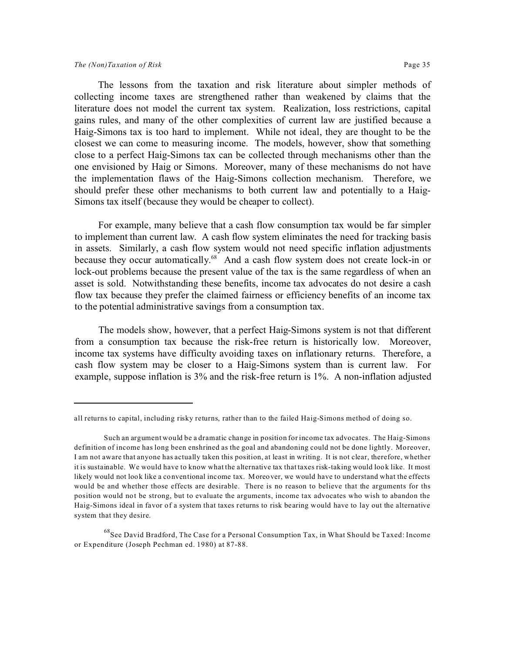The lessons from the taxation and risk literature about simpler methods of collecting income taxes are strengthened rather than weakened by claims that the literature does not model the current tax system. Realization, loss restrictions, capital gains rules, and many of the other complexities of current law are justified because a Haig-Simons tax is too hard to implement. While not ideal, they are thought to be the closest we can come to measuring income. The models, however, show that something close to a perfect Haig-Simons tax can be collected through mechanisms other than the one envisioned by Haig or Simons. Moreover, many of these mechanisms do not have the implementation flaws of the Haig-Simons collection mechanism. Therefore, we should prefer these other mechanisms to both current law and potentially to a Haig-Simons tax itself (because they would be cheaper to collect).

For example, many believe that a cash flow consumption tax would be far simpler to implement than current law. A cash flow system eliminates the need for tracking basis in assets. Similarly, a cash flow system would not need specific inflation adjustments because they occur automatically.<sup>68</sup> And a cash flow system does not create lock-in or lock-out problems because the present value of the tax is the same regardless of when an asset is sold. Notwithstanding these benefits, income tax advocates do not desire a cash flow tax because they prefer the claimed fairness or efficiency benefits of an income tax to the potential administrative savings from a consumption tax.

The models show, however, that a perfect Haig-Simons system is not that different from a consumption tax because the risk-free return is historically low. Moreover, income tax systems have difficulty avoiding taxes on inflationary returns. Therefore, a cash flow system may be closer to a Haig-Simons system than is current law. For example, suppose inflation is 3% and the risk-free return is 1%. A non-inflation adjusted

all returns to capital, including risky returns, rather than to the failed Haig-Simons method of doing so.

Such an argument would be a dramatic change in position for income tax advocates. The Haig-Simons definition of income has long been enshrined as the goal and abandoning could not be done lightly. Moreover, I am not aware that anyone has actually taken this position, at least in writing. It is not clear, therefore, whether it is sustainable. We would have to know what the alternative tax that taxes risk-taking would look like. It most likely would not look like a conventional income tax. Moreover, we would have to understand what the effects would be and whether those effects are desirable. There is no reason to believe that the arguments for ths position would not be strong, but to evaluate the arguments, income tax advocates who wish to abandon the Haig-Simons ideal in favor of a system that taxes returns to risk bearing would have to lay out the alternative system that they desire.

<sup>&</sup>lt;sup>68</sup>See David Bradford, The Case for a Personal Consumption Tax, in What Should be Taxed: Income or Expenditure (Joseph Pechman ed. 1980) at 87-88.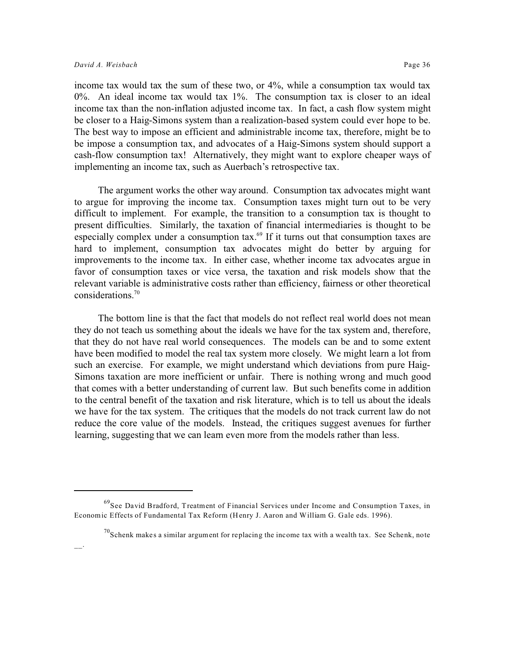income tax would tax the sum of these two, or 4%, while a consumption tax would tax 0%. An ideal income tax would tax 1%. The consumption tax is closer to an ideal income tax than the non-inflation adjusted income tax. In fact, a cash flow system might be closer to a Haig-Simons system than a realization-based system could ever hope to be. The best way to impose an efficient and administrable income tax, therefore, might be to be impose a consumption tax, and advocates of a Haig-Simons system should support a cash-flow consumption tax! Alternatively, they might want to explore cheaper ways of implementing an income tax, such as Auerbach's retrospective tax.

The argument works the other way around. Consumption tax advocates might want to argue for improving the income tax. Consumption taxes might turn out to be very difficult to implement. For example, the transition to a consumption tax is thought to present difficulties. Similarly, the taxation of financial intermediaries is thought to be especially complex under a consumption tax.<sup>69</sup> If it turns out that consumption taxes are hard to implement, consumption tax advocates might do better by arguing for improvements to the income tax. In either case, whether income tax advocates argue in favor of consumption taxes or vice versa, the taxation and risk models show that the relevant variable is administrative costs rather than efficiency, fairness or other theoretical considerations.<sup>70</sup>

The bottom line is that the fact that models do not reflect real world does not mean they do not teach us something about the ideals we have for the tax system and, therefore, that they do not have real world consequences. The models can be and to some extent have been modified to model the real tax system more closely. We might learn a lot from such an exercise. For example, we might understand which deviations from pure Haig-Simons taxation are more inefficient or unfair. There is nothing wrong and much good that comes with a better understanding of current law. But such benefits come in addition to the central benefit of the taxation and risk literature, which is to tell us about the ideals we have for the tax system. The critiques that the models do not track current law do not reduce the core value of the models. Instead, the critiques suggest avenues for further learning, suggesting that we can learn even more from the models rather than less.

<sup>&</sup>lt;sup>69</sup>See David Bradford, Treatment of Financial Services under Income and Consumption Taxes, in Economic Effects of Fundamental Tax Reform (Henry J. Aaron and William G. Gale eds. 1996).

 $^{70}$ Schenk makes a similar argument for replacing the income tax with a wealth tax. See Schenk, note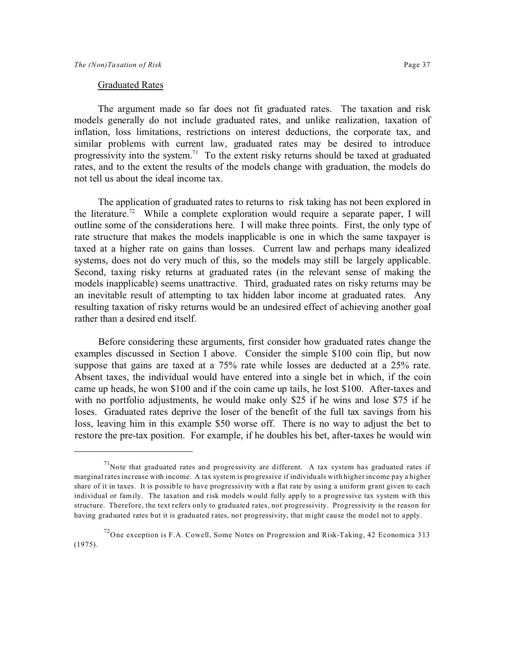#### Graduated Rates

The argument made so far does not fit graduated rates. The taxation and risk models generally do not include graduated rates, and unlike realization, taxation of inflation, loss limitations, restrictions on interest deductions, the corporate tax, and similar problems with current law, graduated rates may be desired to introduce progressivity into the system.<sup>71</sup> To the extent risky returns should be taxed at graduated rates, and to the extent the results of the models change with graduation, the models do not tell us about the ideal income tax.

The application of graduated rates to returns to risk taking has not been explored in the literature.<sup>72</sup> While a complete exploration would require a separate paper, I will outline some of the considerations here. I will make three points. First, the only type of rate structure that makes the models inapplicable is one in which the same taxpayer is taxed at a higher rate on gains than losses. Current law and perhaps many idealized systems, does not do very much of this, so the models may still be largely applicable. Second, taxing risky returns at graduated rates (in the relevant sense of making the models inapplicable) seems unattractive. Third, graduated rates on risky returns may be an inevitable result of attempting to tax hidden labor income at graduated rates. Any resulting taxation of risky returns would be an undesired effect of achieving another goal rather than a desired end itself.

Before considering these arguments, first consider how graduated rates change the examples discussed in Section I above. Consider the simple \$100 coin flip, but now suppose that gains are taxed at a 75% rate while losses are deducted at a 25% rate. Absent taxes, the individual would have entered into a single bet in which, if the coin came up heads, he won \$100 and if the coin came up tails, he lost \$100. After-taxes and with no portfolio adjustments, he would make only \$25 if he wins and lose \$75 if he loses. Graduated rates deprive the loser of the benefit of the full tax savings from his loss, leaving him in this example \$50 worse off. There is no way to adjust the bet to restore the pre-tax position. For example, if he doubles his bet, after-taxes he would win

 $17$ Note that graduated rates and progressivity are different. A tax system has graduated rates if marginal rates increase with income. A tax system is progressive if individuals with higher income pay a higher share of it in taxes. It is possible to have progressivity with a flat rate by using a uniform grant given to each individual or family. The taxation and risk models would fully apply to a progressive tax system with this structure. Therefore, the text refers only to graduated rates, not progressivity. Progressivity is the reason for having graduated rates but it is graduated rates, not progressivity, that might cause the model not to apply.

 $^{72}$ One exception is F.A. Cowell, Some Notes on Progression and Risk-Taking, 42 Economica 313  $(1975)$ .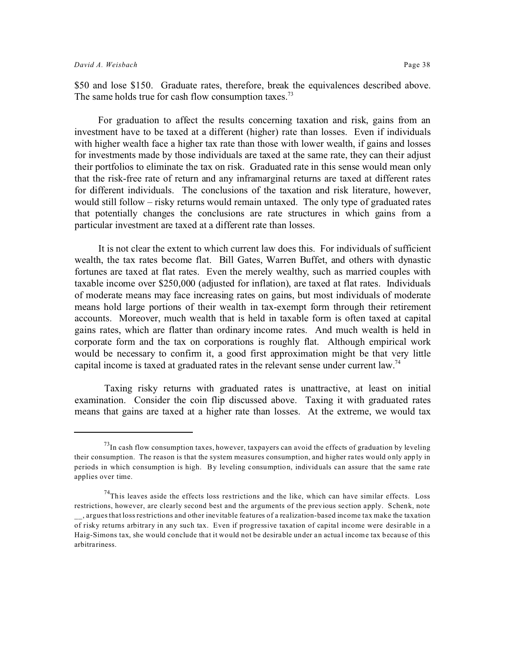\$50 and lose \$150. Graduate rates, therefore, break the equivalences described above. The same holds true for cash flow consumption taxes.<sup>73</sup>

For graduation to affect the results concerning taxation and risk, gains from an investment have to be taxed at a different (higher) rate than losses. Even if individuals with higher wealth face a higher tax rate than those with lower wealth, if gains and losses for investments made by those individuals are taxed at the same rate, they can their adjust their portfolios to eliminate the tax on risk. Graduated rate in this sense would mean only that the risk-free rate of return and any inframarginal returns are taxed at different rates for different individuals. The conclusions of the taxation and risk literature, however, would still follow – risky returns would remain untaxed. The only type of graduated rates that potentially changes the conclusions are rate structures in which gains from a particular investment are taxed at a different rate than losses.

It is not clear the extent to which current law does this. For individuals of sufficient wealth, the tax rates become flat. Bill Gates, Warren Buffet, and others with dynastic fortunes are taxed at flat rates. Even the merely wealthy, such as married couples with taxable income over \$250,000 (adjusted for inflation), are taxed at flat rates. Individuals of moderate means may face increasing rates on gains, but most individuals of moderate means hold large portions of their wealth in tax-exempt form through their retirement accounts. Moreover, much wealth that is held in taxable form is often taxed at capital gains rates, which are flatter than ordinary income rates. And much wealth is held in corporate form and the tax on corporations is roughly flat. Although empirical work would be necessary to confirm it, a good first approximation might be that very little capital income is taxed at graduated rates in the relevant sense under current law.<sup>74</sup>

Taxing risky returns with graduated rates is unattractive, at least on initial examination. Consider the coin flip discussed above. Taxing it with graduated rates means that gains are taxed at a higher rate than losses. At the extreme, we would tax

 $^{73}$ In cash flow consumption taxes, however, taxpayers can avoid the effects of graduation by leveling their consumption. The reason is that the system measures consumption, and higher rates would only apply in periods in which consumption is high. By leveling consumption, individuals can assure that the same rate applies over time.

 $^{74}$ This leaves aside the effects loss restrictions and the like, which can have similar effects. Loss restrictions, however, are clearly second best and the arguments of the previous section apply. Schenk, note \_\_, argues that loss restrictions and other inevitable features of a realization-based income tax make the taxation of risky returns arbitrary in any such tax. Even if progressive taxation of capital income were desirable in a Haig-Simons tax, she would conclude that it would not be desirable under an actual income tax because of this arbitrariness.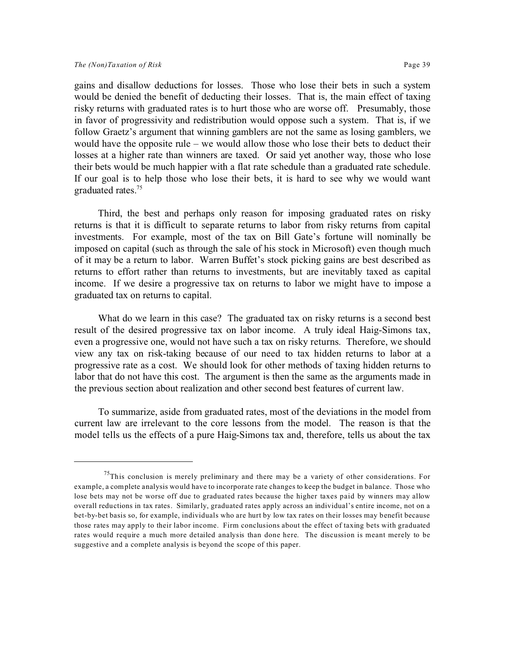#### *The (Non)Taxation of Risk* Page 39

gains and disallow deductions for losses. Those who lose their bets in such a system would be denied the benefit of deducting their losses. That is, the main effect of taxing risky returns with graduated rates is to hurt those who are worse off. Presumably, those in favor of progressivity and redistribution would oppose such a system. That is, if we follow Graetz's argument that winning gamblers are not the same as losing gamblers, we would have the opposite rule – we would allow those who lose their bets to deduct their losses at a higher rate than winners are taxed. Or said yet another way, those who lose their bets would be much happier with a flat rate schedule than a graduated rate schedule. If our goal is to help those who lose their bets, it is hard to see why we would want graduated rates.<sup>75</sup>

Third, the best and perhaps only reason for imposing graduated rates on risky returns is that it is difficult to separate returns to labor from risky returns from capital investments. For example, most of the tax on Bill Gate's fortune will nominally be imposed on capital (such as through the sale of his stock in Microsoft) even though much of it may be a return to labor. Warren Buffet's stock picking gains are best described as returns to effort rather than returns to investments, but are inevitably taxed as capital income. If we desire a progressive tax on returns to labor we might have to impose a graduated tax on returns to capital.

What do we learn in this case? The graduated tax on risky returns is a second best result of the desired progressive tax on labor income. A truly ideal Haig-Simons tax, even a progressive one, would not have such a tax on risky returns. Therefore, we should view any tax on risk-taking because of our need to tax hidden returns to labor at a progressive rate as a cost. We should look for other methods of taxing hidden returns to labor that do not have this cost. The argument is then the same as the arguments made in the previous section about realization and other second best features of current law.

To summarize, aside from graduated rates, most of the deviations in the model from current law are irrelevant to the core lessons from the model. The reason is that the model tells us the effects of a pure Haig-Simons tax and, therefore, tells us about the tax

 $75$ This conclusion is merely preliminary and there may be a variety of other considerations. For example, a complete analysis would have to incorporate rate changes to keep the budget in balance. Those who lose bets may not be worse off due to graduated rates because the higher taxes paid by winners may allow overall reductions in tax rates. Similarly, graduated rates apply across an individual's entire income, not on a bet-by-bet basis so, for example, individuals who are hurt by low tax rates on their losses may benefit because those rates may apply to their labor income. Firm conclusions about the effect of taxing bets with graduated rates would require a much more detailed analysis than done here. The discussion is meant merely to be suggestive and a complete analysis is beyond the scope of this paper.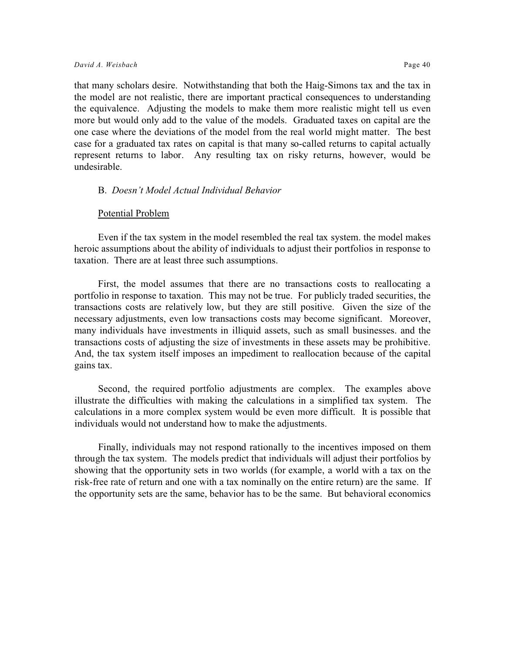that many scholars desire. Notwithstanding that both the Haig-Simons tax and the tax in the model are not realistic, there are important practical consequences to understanding the equivalence. Adjusting the models to make them more realistic might tell us even more but would only add to the value of the models. Graduated taxes on capital are the one case where the deviations of the model from the real world might matter. The best case for a graduated tax rates on capital is that many so-called returns to capital actually represent returns to labor. Any resulting tax on risky returns, however, would be undesirable.

#### B. *Doesn't Model Actual Individual Behavior*

#### Potential Problem

Even if the tax system in the model resembled the real tax system. the model makes heroic assumptions about the ability of individuals to adjust their portfolios in response to taxation. There are at least three such assumptions.

First, the model assumes that there are no transactions costs to reallocating a portfolio in response to taxation. This may not be true. For publicly traded securities, the transactions costs are relatively low, but they are still positive. Given the size of the necessary adjustments, even low transactions costs may become significant. Moreover, many individuals have investments in illiquid assets, such as small businesses. and the transactions costs of adjusting the size of investments in these assets may be prohibitive. And, the tax system itself imposes an impediment to reallocation because of the capital gains tax.

Second, the required portfolio adjustments are complex. The examples above illustrate the difficulties with making the calculations in a simplified tax system. The calculations in a more complex system would be even more difficult. It is possible that individuals would not understand how to make the adjustments.

Finally, individuals may not respond rationally to the incentives imposed on them through the tax system. The models predict that individuals will adjust their portfolios by showing that the opportunity sets in two worlds (for example, a world with a tax on the risk-free rate of return and one with a tax nominally on the entire return) are the same. If the opportunity sets are the same, behavior has to be the same. But behavioral economics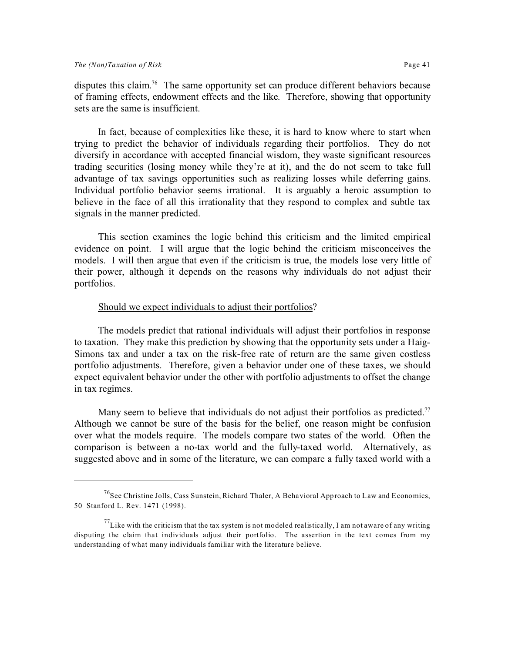disputes this claim.<sup>76</sup> The same opportunity set can produce different behaviors because of framing effects, endowment effects and the like. Therefore, showing that opportunity sets are the same is insufficient.

In fact, because of complexities like these, it is hard to know where to start when trying to predict the behavior of individuals regarding their portfolios. They do not diversify in accordance with accepted financial wisdom, they waste significant resources trading securities (losing money while they're at it), and the do not seem to take full advantage of tax savings opportunities such as realizing losses while deferring gains. Individual portfolio behavior seems irrational. It is arguably a heroic assumption to believe in the face of all this irrationality that they respond to complex and subtle tax signals in the manner predicted.

This section examines the logic behind this criticism and the limited empirical evidence on point. I will argue that the logic behind the criticism misconceives the models. I will then argue that even if the criticism is true, the models lose very little of their power, although it depends on the reasons why individuals do not adjust their portfolios.

#### Should we expect individuals to adjust their portfolios?

The models predict that rational individuals will adjust their portfolios in response to taxation. They make this prediction by showing that the opportunity sets under a Haig-Simons tax and under a tax on the risk-free rate of return are the same given costless portfolio adjustments. Therefore, given a behavior under one of these taxes, we should expect equivalent behavior under the other with portfolio adjustments to offset the change in tax regimes.

Many seem to believe that individuals do not adjust their portfolios as predicted.<sup>77</sup> Although we cannot be sure of the basis for the belief, one reason might be confusion over what the models require. The models compare two states of the world. Often the comparison is between a no-tax world and the fully-taxed world. Alternatively, as suggested above and in some of the literature, we can compare a fully taxed world with a

<sup>&</sup>lt;sup>76</sup>See Christine Jolls, Cass Sunstein, Richard Thaler, A Behavioral Approach to Law and Economics, 50 Stanford L. Rev. 1471 (1998).

 $^{77}$ Like with the criticism that the tax system is not modeled realistically, I am not aware of any writing disputing the claim that individuals adjust their portfolio. The assertion in the text comes from my understanding of what many individuals familiar with the literature believe.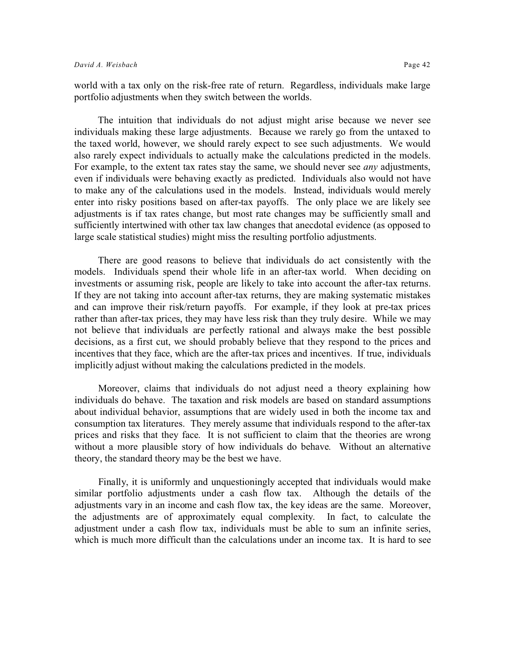world with a tax only on the risk-free rate of return. Regardless, individuals make large portfolio adjustments when they switch between the worlds.

The intuition that individuals do not adjust might arise because we never see individuals making these large adjustments. Because we rarely go from the untaxed to the taxed world, however, we should rarely expect to see such adjustments. We would also rarely expect individuals to actually make the calculations predicted in the models. For example, to the extent tax rates stay the same, we should never see *any* adjustments, even if individuals were behaving exactly as predicted. Individuals also would not have to make any of the calculations used in the models. Instead, individuals would merely enter into risky positions based on after-tax payoffs. The only place we are likely see adjustments is if tax rates change, but most rate changes may be sufficiently small and sufficiently intertwined with other tax law changes that anecdotal evidence (as opposed to large scale statistical studies) might miss the resulting portfolio adjustments.

There are good reasons to believe that individuals do act consistently with the models. Individuals spend their whole life in an after-tax world. When deciding on investments or assuming risk, people are likely to take into account the after-tax returns. If they are not taking into account after-tax returns, they are making systematic mistakes and can improve their risk/return payoffs. For example, if they look at pre-tax prices rather than after-tax prices, they may have less risk than they truly desire. While we may not believe that individuals are perfectly rational and always make the best possible decisions, as a first cut, we should probably believe that they respond to the prices and incentives that they face, which are the after-tax prices and incentives. If true, individuals implicitly adjust without making the calculations predicted in the models.

Moreover, claims that individuals do not adjust need a theory explaining how individuals do behave. The taxation and risk models are based on standard assumptions about individual behavior, assumptions that are widely used in both the income tax and consumption tax literatures. They merely assume that individuals respond to the after-tax prices and risks that they face. It is not sufficient to claim that the theories are wrong without a more plausible story of how individuals do behave. Without an alternative theory, the standard theory may be the best we have.

Finally, it is uniformly and unquestioningly accepted that individuals would make similar portfolio adjustments under a cash flow tax. Although the details of the adjustments vary in an income and cash flow tax, the key ideas are the same. Moreover, the adjustments are of approximately equal complexity. In fact, to calculate the adjustment under a cash flow tax, individuals must be able to sum an infinite series, which is much more difficult than the calculations under an income tax. It is hard to see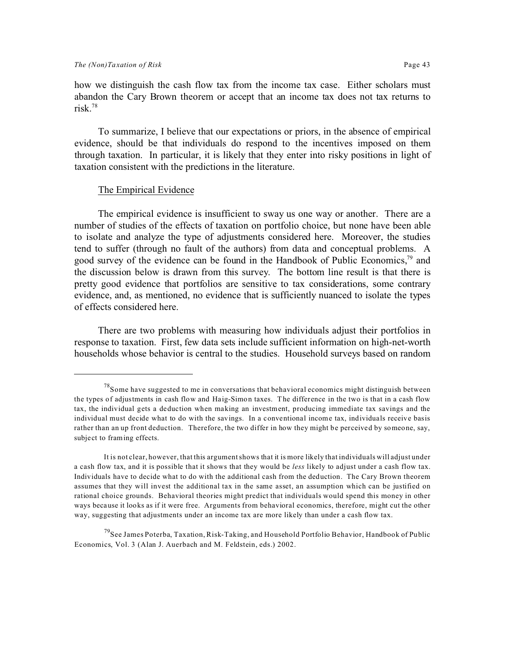how we distinguish the cash flow tax from the income tax case. Either scholars must abandon the Cary Brown theorem or accept that an income tax does not tax returns to risk  $^{78}$ 

To summarize, I believe that our expectations or priors, in the absence of empirical evidence, should be that individuals do respond to the incentives imposed on them through taxation. In particular, it is likely that they enter into risky positions in light of taxation consistent with the predictions in the literature.

#### The Empirical Evidence

The empirical evidence is insufficient to sway us one way or another. There are a number of studies of the effects of taxation on portfolio choice, but none have been able to isolate and analyze the type of adjustments considered here. Moreover, the studies tend to suffer (through no fault of the authors) from data and conceptual problems. A good survey of the evidence can be found in the Handbook of Public Economics,  $\frac{79}{2}$  and the discussion below is drawn from this survey. The bottom line result is that there is pretty good evidence that portfolios are sensitive to tax considerations, some contrary evidence, and, as mentioned, no evidence that is sufficiently nuanced to isolate the types of effects considered here.

There are two problems with measuring how individuals adjust their portfolios in response to taxation. First, few data sets include sufficient information on high-net-worth households whose behavior is central to the studies. Household surveys based on random

 $^{78}$ Some have suggested to me in conversations that behavioral economics might distinguish between the types of adjustments in cash flow and Haig-Simon taxes. The difference in the two is that in a cash flow tax, the individual gets a deduction when making an investment, producing immediate tax savings and the individual must decide what to do with the savings. In a conventional income tax, individuals receive basis rather than an up front deduction. Therefore, the two differ in how they might be perceived by someone, say, subject to framing effects.

It is not clear, however, that this argument shows that it is more likely that individuals will adjust under a cash flow tax, and it is possible that it shows that they would be *less* likely to adjust under a cash flow tax. Individuals have to decide what to do with the additional cash from the deduction. The Cary Brown theorem assumes that they will invest the additional tax in the same asset, an assumption which can be justified on rational choice grounds. Behavioral theories might predict that individuals would spend this money in other ways because it looks as if it were free. Arguments from behavioral economics, therefore, might cut the other way, suggesting that adjustments under an income tax are more likely than under a cash flow tax.

<sup>&</sup>lt;sup>79</sup>See James Poterba, Taxation, Risk-Taking, and Household Portfolio Behavior, Handbook of Public Economics, Vol. 3 (Alan J. Auerbach and M. Feldstein, eds.) 2002.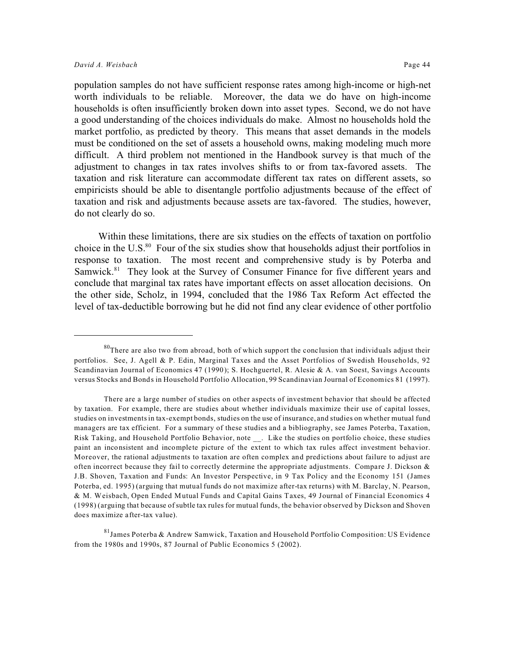population samples do not have sufficient response rates among high-income or high-net worth individuals to be reliable. Moreover, the data we do have on high-income households is often insufficiently broken down into asset types. Second, we do not have a good understanding of the choices individuals do make. Almost no households hold the market portfolio, as predicted by theory. This means that asset demands in the models must be conditioned on the set of assets a household owns, making modeling much more difficult. A third problem not mentioned in the Handbook survey is that much of the adjustment to changes in tax rates involves shifts to or from tax-favored assets. The taxation and risk literature can accommodate different tax rates on different assets, so empiricists should be able to disentangle portfolio adjustments because of the effect of taxation and risk and adjustments because assets are tax-favored. The studies, however, do not clearly do so.

Within these limitations, there are six studies on the effects of taxation on portfolio choice in the U.S.<sup>80</sup> Four of the six studies show that households adjust their portfolios in response to taxation. The most recent and comprehensive study is by Poterba and Samwick.<sup>81</sup> They look at the Survey of Consumer Finance for five different years and conclude that marginal tax rates have important effects on asset allocation decisions. On the other side, Scholz, in 1994, concluded that the 1986 Tax Reform Act effected the level of tax-deductible borrowing but he did not find any clear evidence of other portfolio

 $80^{\circ}$ There are also two from abroad, both of which support the conclusion that individuals adjust their portfolios. See, J. Agell & P. Edin, Marginal Taxes and the Asset Portfolios of Swedish Households, 92 Scandinavian Journal of Economics 47 (1990); S. Hochguertel, R. Alesie & A. van Soest, Savings Accounts versus Stocks and Bonds in Household Portfolio Allocation, 99 Scandinavian Journal of Economics 81 (1997).

There are a large number of studies on other aspects of investment behavior that should be affected by taxation. For example, there are studies about whether individuals maximize their use of capital losses, studies on investments in tax-exempt bonds, studies on the use of insurance, and studies on whether mutual fund managers are tax efficient. For a summary of these studies and a bibliography, see James Poterba, Taxation, Risk Taking, and Household Portfolio Behavior, note . Like the studies on portfolio choice, these studies paint an inconsistent and incomplete picture of the extent to which tax rules affect investment behavior. Moreover, the rational adjustments to taxation are often complex and predictions about failure to adjust are often incorrect because they fail to correctly determine the appropriate adjustments. Compare J. Dickson & J.B. Shoven, Taxation and Funds: An Investor Perspective, in 9 Tax Policy and the Economy 151 (James Poterba, ed. 1995) (arguing that mutual funds do not maximize after-tax returns) with M. Barclay, N. Pearson, & M. Weisbach, Open Ended Mutual Funds and Capital Gains Taxes, 49 Journal of Financial Economics 4 (1998) (arguing that because of subtle tax rules for mutual funds, the behavior observed by Dickson and Shoven does maximize after-tax value).

<sup>81</sup>James Poterba & Andrew Samwick, Taxation and Household Portfolio Composition: US Evidence from the 1980s and 1990s, 87 Journal of Public Economics 5 (2002).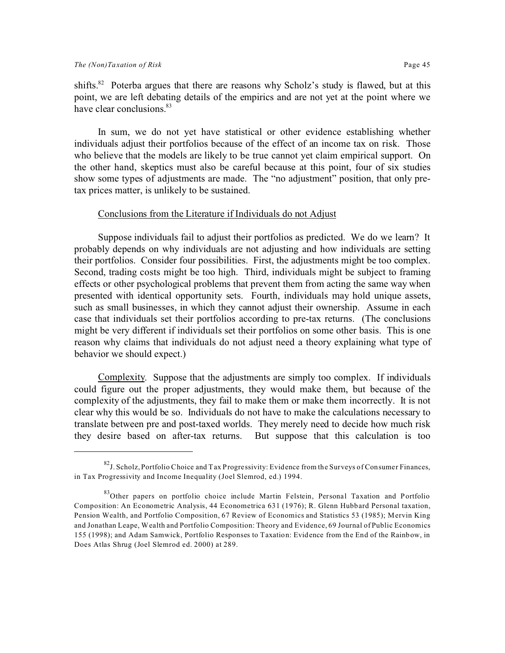shifts.<sup>82</sup> Poterba argues that there are reasons why Scholz's study is flawed, but at this point, we are left debating details of the empirics and are not yet at the point where we have clear conclusions.<sup>83</sup>

In sum, we do not yet have statistical or other evidence establishing whether individuals adjust their portfolios because of the effect of an income tax on risk. Those who believe that the models are likely to be true cannot yet claim empirical support. On the other hand, skeptics must also be careful because at this point, four of six studies show some types of adjustments are made. The "no adjustment" position, that only pretax prices matter, is unlikely to be sustained.

#### Conclusions from the Literature if Individuals do not Adjust

Suppose individuals fail to adjust their portfolios as predicted. We do we learn? It probably depends on why individuals are not adjusting and how individuals are setting their portfolios. Consider four possibilities. First, the adjustments might be too complex. Second, trading costs might be too high. Third, individuals might be subject to framing effects or other psychological problems that prevent them from acting the same way when presented with identical opportunity sets. Fourth, individuals may hold unique assets, such as small businesses, in which they cannot adjust their ownership. Assume in each case that individuals set their portfolios according to pre-tax returns. (The conclusions might be very different if individuals set their portfolios on some other basis. This is one reason why claims that individuals do not adjust need a theory explaining what type of behavior we should expect.)

Complexity. Suppose that the adjustments are simply too complex. If individuals could figure out the proper adjustments, they would make them, but because of the complexity of the adjustments, they fail to make them or make them incorrectly. It is not clear why this would be so. Individuals do not have to make the calculations necessary to translate between pre and post-taxed worlds. They merely need to decide how much risk they desire based on after-tax returns. But suppose that this calculation is too

 ${}^{82}$ J. Scholz, Portfolio Choice and Tax Progressivity: Evidence from the Surveys of Consumer Finances, in Tax Progressivity and Income Inequality (Joel Slemrod, ed.) 1994.

<sup>&</sup>lt;sup>83</sup>Other papers on portfolio choice include Martin Felstein, Personal Taxation and Portfolio Composition: An Econometric Analysis, 44 Econometrica 631 (1976); R. Glenn Hubbard Personal taxation, Pension Wealth, and Portfolio Composition, 67 Review of Economics and Statistics 53 (1985); Mervin King and Jonathan Leape, Wealth and Portfolio Composition: Theory and Evidence, 69 Journal of Public Economics 155 (1998); and Adam Samwick, Portfolio Responses to Taxation: Evidence from the End of the Rainbow, in Does Atlas Shrug (Joel Slemrod ed. 2000) at 289.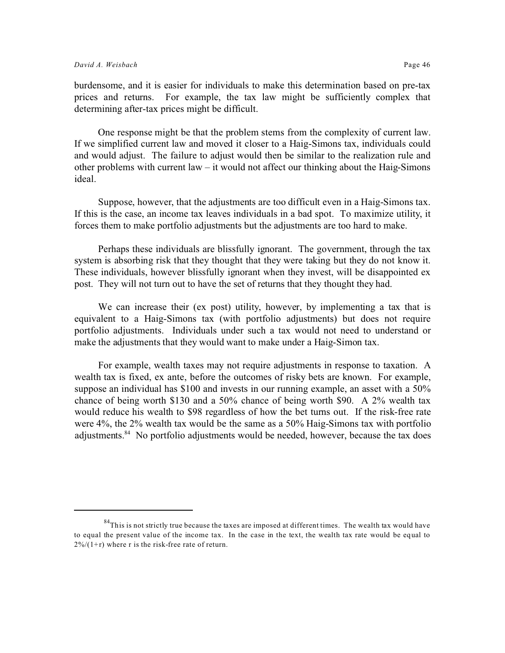burdensome, and it is easier for individuals to make this determination based on pre-tax prices and returns. For example, the tax law might be sufficiently complex that determining after-tax prices might be difficult.

One response might be that the problem stems from the complexity of current law. If we simplified current law and moved it closer to a Haig-Simons tax, individuals could and would adjust. The failure to adjust would then be similar to the realization rule and other problems with current law – it would not affect our thinking about the Haig-Simons ideal.

Suppose, however, that the adjustments are too difficult even in a Haig-Simons tax. If this is the case, an income tax leaves individuals in a bad spot. To maximize utility, it forces them to make portfolio adjustments but the adjustments are too hard to make.

Perhaps these individuals are blissfully ignorant. The government, through the tax system is absorbing risk that they thought that they were taking but they do not know it. These individuals, however blissfully ignorant when they invest, will be disappointed ex post. They will not turn out to have the set of returns that they thought they had.

We can increase their (ex post) utility, however, by implementing a tax that is equivalent to a Haig-Simons tax (with portfolio adjustments) but does not require portfolio adjustments. Individuals under such a tax would not need to understand or make the adjustments that they would want to make under a Haig-Simon tax.

For example, wealth taxes may not require adjustments in response to taxation. A wealth tax is fixed, ex ante, before the outcomes of risky bets are known. For example, suppose an individual has \$100 and invests in our running example, an asset with a 50% chance of being worth \$130 and a 50% chance of being worth \$90. A 2% wealth tax would reduce his wealth to \$98 regardless of how the bet turns out. If the risk-free rate were 4%, the 2% wealth tax would be the same as a 50% Haig-Simons tax with portfolio adjustments.<sup>84</sup> No portfolio adjustments would be needed, however, because the tax does

 $84$ This is not strictly true because the taxes are imposed at different times. The wealth tax would have to equal the present value of the income tax. In the case in the text, the wealth tax rate would be equal to  $2\frac{\sqrt{2}}{\sqrt{1+r}}$  where r is the risk-free rate of return.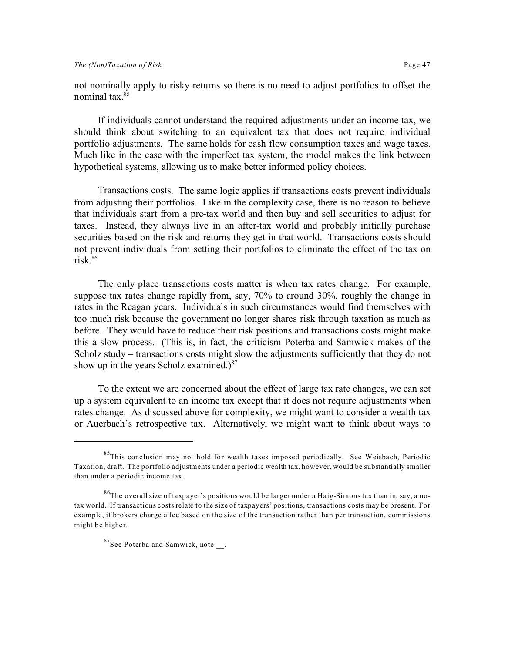not nominally apply to risky returns so there is no need to adjust portfolios to offset the nominal tax.<sup>85</sup>

If individuals cannot understand the required adjustments under an income tax, we should think about switching to an equivalent tax that does not require individual portfolio adjustments. The same holds for cash flow consumption taxes and wage taxes. Much like in the case with the imperfect tax system, the model makes the link between hypothetical systems, allowing us to make better informed policy choices.

Transactions costs. The same logic applies if transactions costs prevent individuals from adjusting their portfolios. Like in the complexity case, there is no reason to believe that individuals start from a pre-tax world and then buy and sell securities to adjust for taxes. Instead, they always live in an after-tax world and probably initially purchase securities based on the risk and returns they get in that world. Transactions costs should not prevent individuals from setting their portfolios to eliminate the effect of the tax on risk. $86$ 

The only place transactions costs matter is when tax rates change. For example, suppose tax rates change rapidly from, say, 70% to around 30%, roughly the change in rates in the Reagan years. Individuals in such circumstances would find themselves with too much risk because the government no longer shares risk through taxation as much as before. They would have to reduce their risk positions and transactions costs might make this a slow process. (This is, in fact, the criticism Poterba and Samwick makes of the Scholz study – transactions costs might slow the adjustments sufficiently that they do not show up in the years Scholz examined.) $87$ 

To the extent we are concerned about the effect of large tax rate changes, we can set up a system equivalent to an income tax except that it does not require adjustments when rates change. As discussed above for complexity, we might want to consider a wealth tax or Auerbach's retrospective tax. Alternatively, we might want to think about ways to

<sup>&</sup>lt;sup>85</sup>This conclusion may not hold for wealth taxes imposed periodically. See Weisbach, Periodic Taxation, draft. The portfolio adjustments under a periodic wealth tax, however, would be substantially smaller than under a periodic income tax.

 $^{86}$ The overall size of taxpayer's positions would be larger under a Haig-Simons tax than in, say, a notax world. If transactions costs relate to the size of taxpayers' positions, transactions costs may be present. For example, if brokers charge a fee based on the size of the transaction rather than per transaction, commissions might be higher.

 $87$ See Poterba and Samwick, note.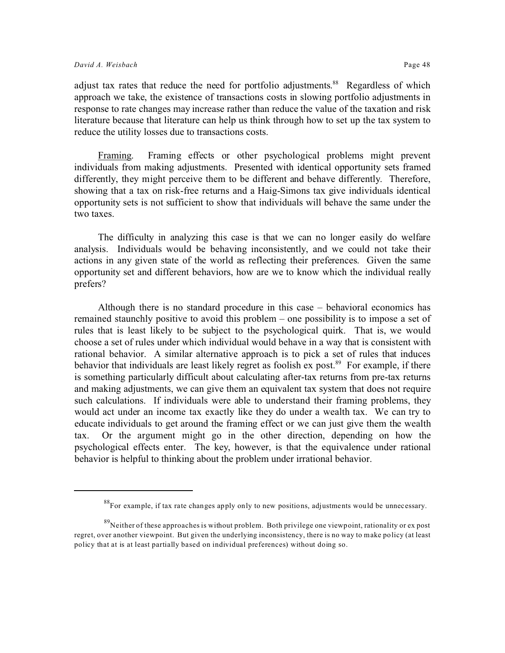adjust tax rates that reduce the need for portfolio adjustments.<sup>88</sup> Regardless of which approach we take, the existence of transactions costs in slowing portfolio adjustments in response to rate changes may increase rather than reduce the value of the taxation and risk literature because that literature can help us think through how to set up the tax system to reduce the utility losses due to transactions costs.

Framing. Framing effects or other psychological problems might prevent individuals from making adjustments. Presented with identical opportunity sets framed differently, they might perceive them to be different and behave differently. Therefore, showing that a tax on risk-free returns and a Haig-Simons tax give individuals identical opportunity sets is not sufficient to show that individuals will behave the same under the two taxes.

The difficulty in analyzing this case is that we can no longer easily do welfare analysis. Individuals would be behaving inconsistently, and we could not take their actions in any given state of the world as reflecting their preferences. Given the same opportunity set and different behaviors, how are we to know which the individual really prefers?

Although there is no standard procedure in this case – behavioral economics has remained staunchly positive to avoid this problem – one possibility is to impose a set of rules that is least likely to be subject to the psychological quirk. That is, we would choose a set of rules under which individual would behave in a way that is consistent with rational behavior. A similar alternative approach is to pick a set of rules that induces behavior that individuals are least likely regret as foolish  $ex$  post.<sup>89</sup> For example, if there is something particularly difficult about calculating after-tax returns from pre-tax returns and making adjustments, we can give them an equivalent tax system that does not require such calculations. If individuals were able to understand their framing problems, they would act under an income tax exactly like they do under a wealth tax. We can try to educate individuals to get around the framing effect or we can just give them the wealth tax. Or the argument might go in the other direction, depending on how the psychological effects enter. The key, however, is that the equivalence under rational behavior is helpful to thinking about the problem under irrational behavior.

<sup>&</sup>lt;sup>88</sup>For example, if tax rate changes apply only to new positions, adjustments would be unnecessary.

<sup>&</sup>lt;sup>89</sup>Neither of these approaches is without problem. Both privilege one viewpoint, rationality or ex post regret, over another viewpoint. But given the underlying inconsistency, there is no way to make policy (at least policy that at is at least partially based on individual preferences) without doing so.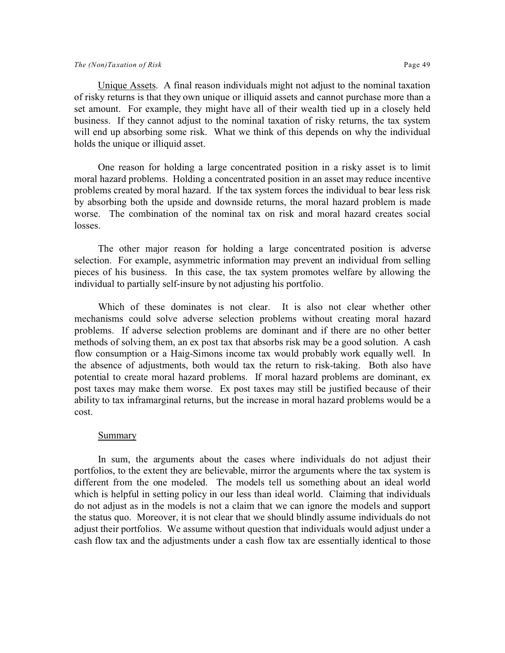Unique Assets. A final reason individuals might not adjust to the nominal taxation of risky returns is that they own unique or illiquid assets and cannot purchase more than a set amount. For example, they might have all of their wealth tied up in a closely held business. If they cannot adjust to the nominal taxation of risky returns, the tax system will end up absorbing some risk. What we think of this depends on why the individual holds the unique or illiquid asset.

One reason for holding a large concentrated position in a risky asset is to limit moral hazard problems. Holding a concentrated position in an asset may reduce incentive problems created by moral hazard. If the tax system forces the individual to bear less risk by absorbing both the upside and downside returns, the moral hazard problem is made worse. The combination of the nominal tax on risk and moral hazard creates social losses.

The other major reason for holding a large concentrated position is adverse selection. For example, asymmetric information may prevent an individual from selling pieces of his business. In this case, the tax system promotes welfare by allowing the individual to partially self-insure by not adjusting his portfolio.

Which of these dominates is not clear. It is also not clear whether other mechanisms could solve adverse selection problems without creating moral hazard problems. If adverse selection problems are dominant and if there are no other better methods of solving them, an ex post tax that absorbs risk may be a good solution. A cash flow consumption or a Haig-Simons income tax would probably work equally well. In the absence of adjustments, both would tax the return to risk-taking. Both also have potential to create moral hazard problems. If moral hazard problems are dominant, ex post taxes may make them worse. Ex post taxes may still be justified because of their ability to tax inframarginal returns, but the increase in moral hazard problems would be a cost.

#### Summary

In sum, the arguments about the cases where individuals do not adjust their portfolios, to the extent they are believable, mirror the arguments where the tax system is different from the one modeled. The models tell us something about an ideal world which is helpful in setting policy in our less than ideal world. Claiming that individuals do not adjust as in the models is not a claim that we can ignore the models and support the status quo. Moreover, it is not clear that we should blindly assume individuals do not adjust their portfolios. We assume without question that individuals would adjust under a cash flow tax and the adjustments under a cash flow tax are essentially identical to those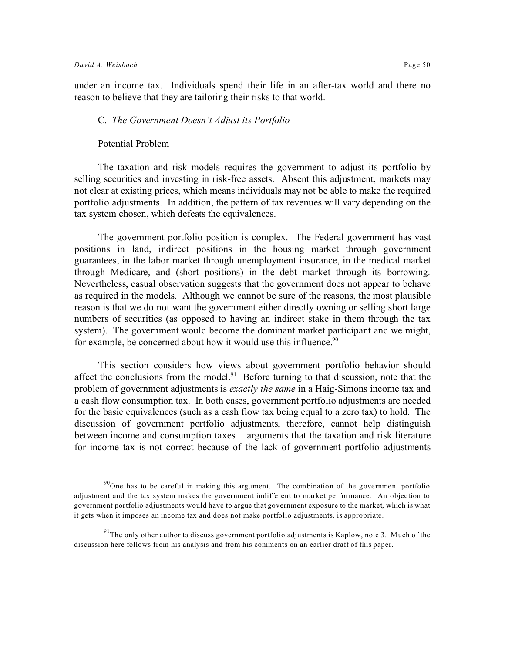under an income tax. Individuals spend their life in an after-tax world and there no reason to believe that they are tailoring their risks to that world.

#### C. *The Government Doesn't Adjust its Portfolio*

#### Potential Problem

The taxation and risk models requires the government to adjust its portfolio by selling securities and investing in risk-free assets. Absent this adjustment, markets may not clear at existing prices, which means individuals may not be able to make the required portfolio adjustments. In addition, the pattern of tax revenues will vary depending on the tax system chosen, which defeats the equivalences.

The government portfolio position is complex. The Federal government has vast positions in land, indirect positions in the housing market through government guarantees, in the labor market through unemployment insurance, in the medical market through Medicare, and (short positions) in the debt market through its borrowing. Nevertheless, casual observation suggests that the government does not appear to behave as required in the models. Although we cannot be sure of the reasons, the most plausible reason is that we do not want the government either directly owning or selling short large numbers of securities (as opposed to having an indirect stake in them through the tax system). The government would become the dominant market participant and we might, for example, be concerned about how it would use this influence.<sup>90</sup>

This section considers how views about government portfolio behavior should affect the conclusions from the model.<sup>91</sup> Before turning to that discussion, note that the problem of government adjustments is *exactly the same* in a Haig-Simons income tax and a cash flow consumption tax. In both cases, government portfolio adjustments are needed for the basic equivalences (such as a cash flow tax being equal to a zero tax) to hold. The discussion of government portfolio adjustments, therefore, cannot help distinguish between income and consumption taxes – arguments that the taxation and risk literature for income tax is not correct because of the lack of government portfolio adjustments

 $90$ One has to be careful in making this argument. The combination of the government portfolio adjustment and the tax system makes the government indifferent to market performance. An objection to government portfolio adjustments would have to argue that government exposure to the market, which is what it gets when it imposes an income tax and does not make portfolio adjustments, is appropriate.

 $91$ <sup>91</sup>The only other author to discuss government portfolio adjustments is Kaplow, note 3. Much of the discussion here follows from his analysis and from his comments on an earlier draft of this paper.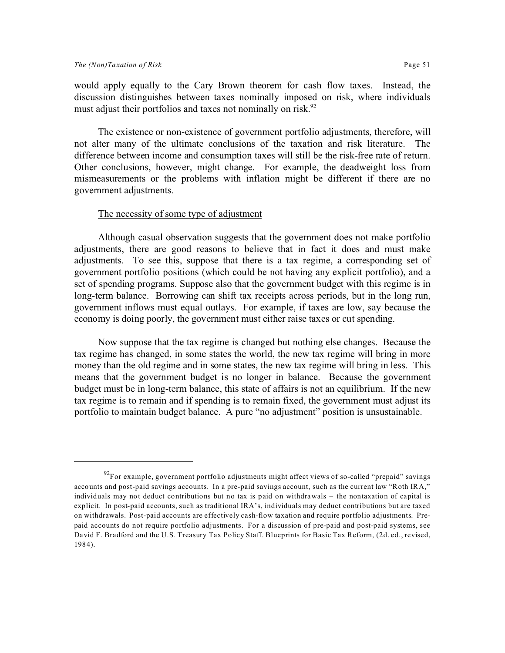would apply equally to the Cary Brown theorem for cash flow taxes. Instead, the discussion distinguishes between taxes nominally imposed on risk, where individuals must adjust their portfolios and taxes not nominally on risk. $92$ 

The existence or non-existence of government portfolio adjustments, therefore, will not alter many of the ultimate conclusions of the taxation and risk literature. The difference between income and consumption taxes will still be the risk-free rate of return. Other conclusions, however, might change. For example, the deadweight loss from mismeasurements or the problems with inflation might be different if there are no government adjustments.

#### The necessity of some type of adjustment

Although casual observation suggests that the government does not make portfolio adjustments, there are good reasons to believe that in fact it does and must make adjustments. To see this, suppose that there is a tax regime, a corresponding set of government portfolio positions (which could be not having any explicit portfolio), and a set of spending programs. Suppose also that the government budget with this regime is in long-term balance. Borrowing can shift tax receipts across periods, but in the long run, government inflows must equal outlays. For example, if taxes are low, say because the economy is doing poorly, the government must either raise taxes or cut spending.

Now suppose that the tax regime is changed but nothing else changes. Because the tax regime has changed, in some states the world, the new tax regime will bring in more money than the old regime and in some states, the new tax regime will bring in less. This means that the government budget is no longer in balance. Because the government budget must be in long-term balance, this state of affairs is not an equilibrium. If the new tax regime is to remain and if spending is to remain fixed, the government must adjust its portfolio to maintain budget balance. A pure "no adjustment" position is unsustainable.

 $92$ For example, government portfolio adjustments might affect views of so-called "prepaid" savings accounts and post-paid savings accounts. In a pre-paid savings account, such as the current law "Roth IRA," individuals may not deduct contributions but no tax is paid on withdrawals – the nontaxation of capital is explicit. In post-paid accounts, such as traditional IRA's, individuals may deduct contributions but are taxed on withdrawals. Post-paid accounts are effectively cash-flow taxation and require portfolio adjustments. Prepaid accounts do not require portfolio adjustments. For a discussion of pre-paid and post-paid systems, see David F. Bradford and the U.S. Treasury Tax Policy Staff. Blueprints for Basic Tax Reform, (2d. ed., revised, 1984).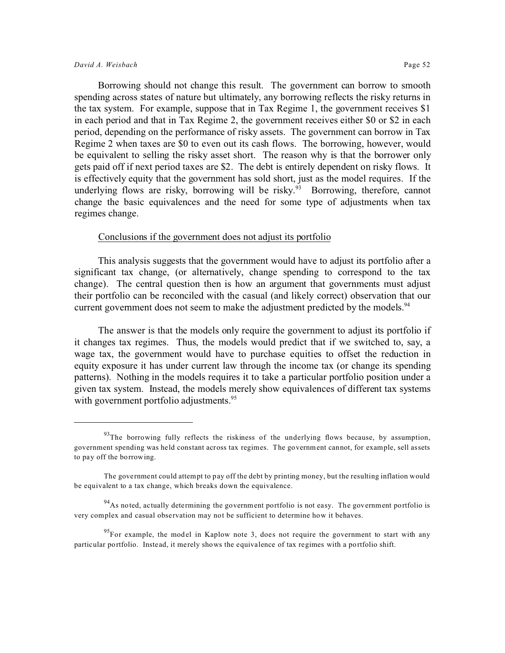Borrowing should not change this result. The government can borrow to smooth spending across states of nature but ultimately, any borrowing reflects the risky returns in the tax system. For example, suppose that in Tax Regime 1, the government receives \$1 in each period and that in Tax Regime 2, the government receives either \$0 or \$2 in each period, depending on the performance of risky assets. The government can borrow in Tax Regime 2 when taxes are \$0 to even out its cash flows. The borrowing, however, would be equivalent to selling the risky asset short. The reason why is that the borrower only gets paid off if next period taxes are \$2. The debt is entirely dependent on risky flows. It is effectively equity that the government has sold short, just as the model requires. If the underlying flows are risky, borrowing will be risky.<sup>93</sup> Borrowing, therefore, cannot change the basic equivalences and the need for some type of adjustments when tax regimes change.

#### Conclusions if the government does not adjust its portfolio

This analysis suggests that the government would have to adjust its portfolio after a significant tax change, (or alternatively, change spending to correspond to the tax change). The central question then is how an argument that governments must adjust their portfolio can be reconciled with the casual (and likely correct) observation that our current government does not seem to make the adjustment predicted by the models.<sup>94</sup>

The answer is that the models only require the government to adjust its portfolio if it changes tax regimes. Thus, the models would predict that if we switched to, say, a wage tax, the government would have to purchase equities to offset the reduction in equity exposure it has under current law through the income tax (or change its spending patterns). Nothing in the models requires it to take a particular portfolio position under a given tax system. Instead, the models merely show equivalences of different tax systems with government portfolio adjustments.<sup>95</sup>

 $93$ The borrowing fully reflects the riskiness of the underlying flows because, by assumption, government spending was held constant across tax regimes. The government cannot, for example, sell assets to pay off the borrowing.

The government could attempt to pay off the debt by printing money, but the resulting inflation would be equivalent to a tax change, which breaks down the equivalence.

 $^{94}$ As noted, actually determining the government portfolio is not easy. The government portfolio is very complex and casual observation may not be sufficient to determine how it behaves.

 $95$ For example, the model in Kaplow note 3, does not require the government to start with any particular portfolio. Instead, it merely shows the equivalence of tax regimes with a portfolio shift.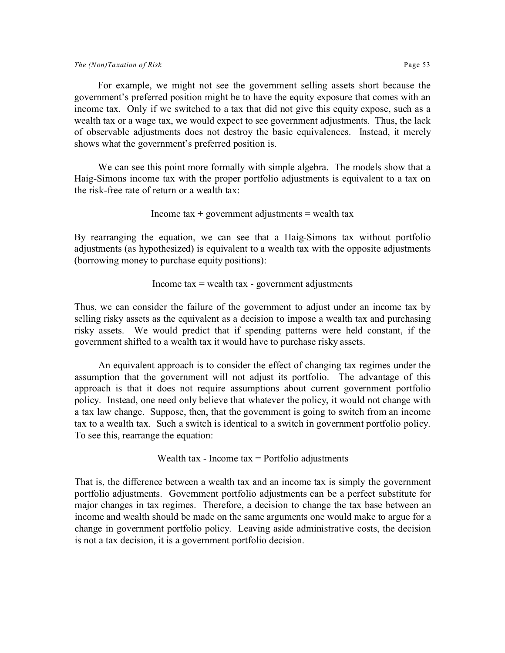wealth tax or a wage tax, we would expect to see government adjustments. Thus, the lack of observable adjustments does not destroy the basic equivalences. Instead, it merely shows what the government's preferred position is.

We can see this point more formally with simple algebra. The models show that a Haig-Simons income tax with the proper portfolio adjustments is equivalent to a tax on the risk-free rate of return or a wealth tax:

$$
Income tax+ government adjustments= wealth tax
$$

By rearranging the equation, we can see that a Haig-Simons tax without portfolio adjustments (as hypothesized) is equivalent to a wealth tax with the opposite adjustments (borrowing money to purchase equity positions):

#### Income  $tax = wealth tax - government adjustments$

Thus, we can consider the failure of the government to adjust under an income tax by selling risky assets as the equivalent as a decision to impose a wealth tax and purchasing risky assets. We would predict that if spending patterns were held constant, if the government shifted to a wealth tax it would have to purchase risky assets.

An equivalent approach is to consider the effect of changing tax regimes under the assumption that the government will not adjust its portfolio. The advantage of this approach is that it does not require assumptions about current government portfolio policy. Instead, one need only believe that whatever the policy, it would not change with a tax law change. Suppose, then, that the government is going to switch from an income tax to a wealth tax. Such a switch is identical to a switch in government portfolio policy. To see this, rearrange the equation:

#### Wealth tax - Income  $tax =$  Portfolio adjustments

That is, the difference between a wealth tax and an income tax is simply the government portfolio adjustments. Government portfolio adjustments can be a perfect substitute for major changes in tax regimes. Therefore, a decision to change the tax base between an income and wealth should be made on the same arguments one would make to argue for a change in government portfolio policy. Leaving aside administrative costs, the decision is not a tax decision, it is a government portfolio decision.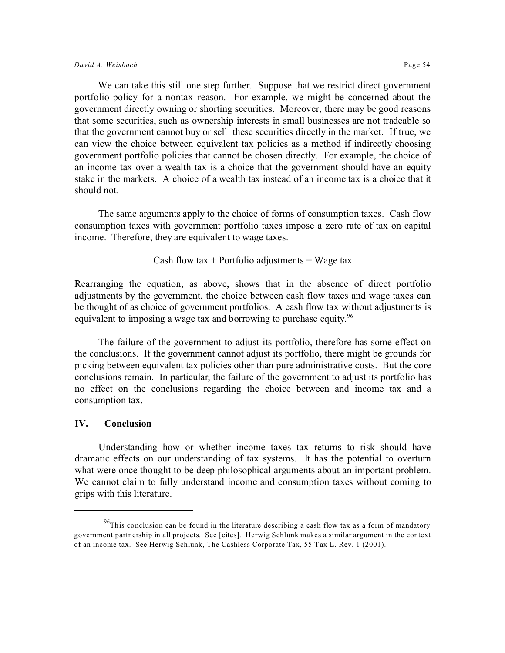We can take this still one step further. Suppose that we restrict direct government portfolio policy for a nontax reason. For example, we might be concerned about the government directly owning or shorting securities. Moreover, there may be good reasons that some securities, such as ownership interests in small businesses are not tradeable so that the government cannot buy or sell these securities directly in the market. If true, we can view the choice between equivalent tax policies as a method if indirectly choosing government portfolio policies that cannot be chosen directly. For example, the choice of an income tax over a wealth tax is a choice that the government should have an equity stake in the markets. A choice of a wealth tax instead of an income tax is a choice that it should not.

The same arguments apply to the choice of forms of consumption taxes. Cash flow consumption taxes with government portfolio taxes impose a zero rate of tax on capital income. Therefore, they are equivalent to wage taxes.

Cash flow tax + Portfolio adjustments = Wage tax

Rearranging the equation, as above, shows that in the absence of direct portfolio adjustments by the government, the choice between cash flow taxes and wage taxes can be thought of as choice of government portfolios. A cash flow tax without adjustments is equivalent to imposing a wage tax and borrowing to purchase equity.<sup>96</sup>

The failure of the government to adjust its portfolio, therefore has some effect on the conclusions. If the government cannot adjust its portfolio, there might be grounds for picking between equivalent tax policies other than pure administrative costs. But the core conclusions remain. In particular, the failure of the government to adjust its portfolio has no effect on the conclusions regarding the choice between and income tax and a consumption tax.

#### **IV. Conclusion**

Understanding how or whether income taxes tax returns to risk should have dramatic effects on our understanding of tax systems. It has the potential to overturn what were once thought to be deep philosophical arguments about an important problem. We cannot claim to fully understand income and consumption taxes without coming to grips with this literature.

 $^{96}$ This conclusion can be found in the literature describing a cash flow tax as a form of mandatory government partnership in all projects. See [cites]. Herwig Schlunk makes a similar argument in the context of an income tax. See Herwig Schlunk, The Cashless Corporate Tax, 55 Tax L. Rev. 1 (2001).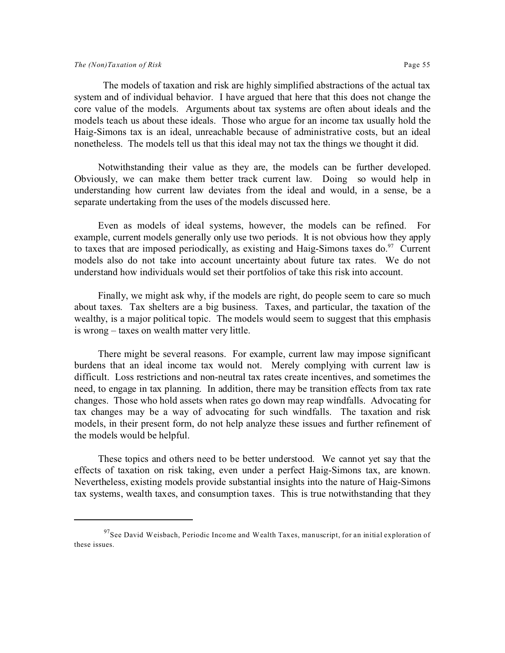#### *The (Non)Taxation of Risk* Page 55

 The models of taxation and risk are highly simplified abstractions of the actual tax system and of individual behavior. I have argued that here that this does not change the core value of the models. Arguments about tax systems are often about ideals and the models teach us about these ideals. Those who argue for an income tax usually hold the Haig-Simons tax is an ideal, unreachable because of administrative costs, but an ideal nonetheless. The models tell us that this ideal may not tax the things we thought it did.

Notwithstanding their value as they are, the models can be further developed. Obviously, we can make them better track current law. Doing so would help in understanding how current law deviates from the ideal and would, in a sense, be a separate undertaking from the uses of the models discussed here.

Even as models of ideal systems, however, the models can be refined. For example, current models generally only use two periods. It is not obvious how they apply to taxes that are imposed periodically, as existing and Haig-Simons taxes  $do.^{97}$  Current models also do not take into account uncertainty about future tax rates. We do not understand how individuals would set their portfolios of take this risk into account.

Finally, we might ask why, if the models are right, do people seem to care so much about taxes. Tax shelters are a big business. Taxes, and particular, the taxation of the wealthy, is a major political topic. The models would seem to suggest that this emphasis is wrong – taxes on wealth matter very little.

There might be several reasons. For example, current law may impose significant burdens that an ideal income tax would not. Merely complying with current law is difficult. Loss restrictions and non-neutral tax rates create incentives, and sometimes the need, to engage in tax planning. In addition, there may be transition effects from tax rate changes. Those who hold assets when rates go down may reap windfalls. Advocating for tax changes may be a way of advocating for such windfalls. The taxation and risk models, in their present form, do not help analyze these issues and further refinement of the models would be helpful.

These topics and others need to be better understood. We cannot yet say that the effects of taxation on risk taking, even under a perfect Haig-Simons tax, are known. Nevertheless, existing models provide substantial insights into the nature of Haig-Simons tax systems, wealth taxes, and consumption taxes. This is true notwithstanding that they

 $97$ See David Weisbach, Periodic Income and Wealth Taxes, manuscript, for an initial exploration of these issues.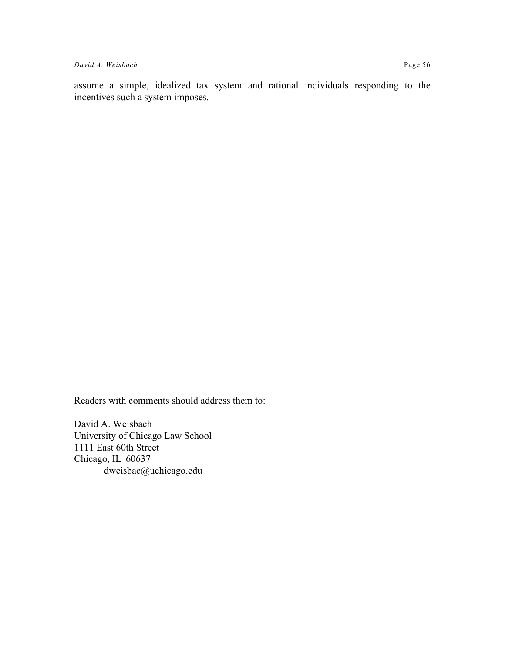assume a simple, idealized tax system and rational individuals responding to the incentives such a system imposes.

Readers with comments should address them to:

David A. Weisbach University of Chicago Law School 1111 East 60th Street Chicago, IL 60637 dweisbac@uchicago.edu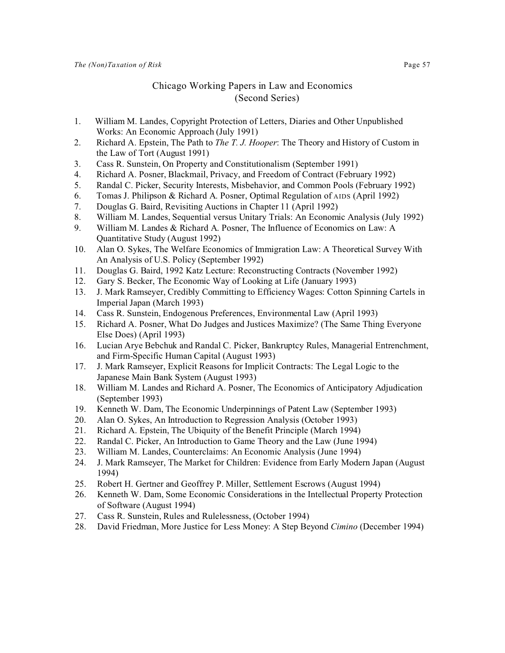#### Chicago Working Papers in Law and Economics (Second Series)

- 1. William M. Landes, Copyright Protection of Letters, Diaries and Other Unpublished Works: An Economic Approach (July 1991)
- 2. Richard A. Epstein, The Path to *The T. J. Hooper*: The Theory and History of Custom in the Law of Tort (August 1991)
- 3. Cass R. Sunstein, On Property and Constitutionalism (September 1991)
- 4. Richard A. Posner, Blackmail, Privacy, and Freedom of Contract (February 1992)
- 5. Randal C. Picker, Security Interests, Misbehavior, and Common Pools (February 1992)
- 6. Tomas J. Philipson & Richard A. Posner, Optimal Regulation of AIDS (April 1992)
- 7. Douglas G. Baird, Revisiting Auctions in Chapter 11 (April 1992)
- 8. William M. Landes, Sequential versus Unitary Trials: An Economic Analysis (July 1992)
- 9. William M. Landes & Richard A. Posner, The Influence of Economics on Law: A Quantitative Study (August 1992)
- 10. Alan O. Sykes, The Welfare Economics of Immigration Law: A Theoretical Survey With An Analysis of U.S. Policy (September 1992)
- 11. Douglas G. Baird, 1992 Katz Lecture: Reconstructing Contracts (November 1992)
- 12. Gary S. Becker, The Economic Way of Looking at Life (January 1993)
- 13. J. Mark Ramseyer, Credibly Committing to Efficiency Wages: Cotton Spinning Cartels in Imperial Japan (March 1993)
- 14. Cass R. Sunstein, Endogenous Preferences, Environmental Law (April 1993)
- 15. Richard A. Posner, What Do Judges and Justices Maximize? (The Same Thing Everyone Else Does) (April 1993)
- 16. Lucian Arye Bebchuk and Randal C. Picker, Bankruptcy Rules, Managerial Entrenchment, and Firm-Specific Human Capital (August 1993)
- 17. J. Mark Ramseyer, Explicit Reasons for Implicit Contracts: The Legal Logic to the Japanese Main Bank System (August 1993)
- 18. William M. Landes and Richard A. Posner, The Economics of Anticipatory Adjudication (September 1993)
- 19. Kenneth W. Dam, The Economic Underpinnings of Patent Law (September 1993)
- 20. Alan O. Sykes, An Introduction to Regression Analysis (October 1993)
- 21. Richard A. Epstein, The Ubiquity of the Benefit Principle (March 1994)
- 22. Randal C. Picker, An Introduction to Game Theory and the Law (June 1994)
- 23. William M. Landes, Counterclaims: An Economic Analysis (June 1994)
- 24. J. Mark Ramseyer, The Market for Children: Evidence from Early Modern Japan (August 1994)
- 25. Robert H. Gertner and Geoffrey P. Miller, Settlement Escrows (August 1994)
- 26. Kenneth W. Dam, Some Economic Considerations in the Intellectual Property Protection of Software (August 1994)
- 27. Cass R. Sunstein, Rules and Rulelessness, (October 1994)
- 28. David Friedman, More Justice for Less Money: A Step Beyond *Cimino* (December 1994)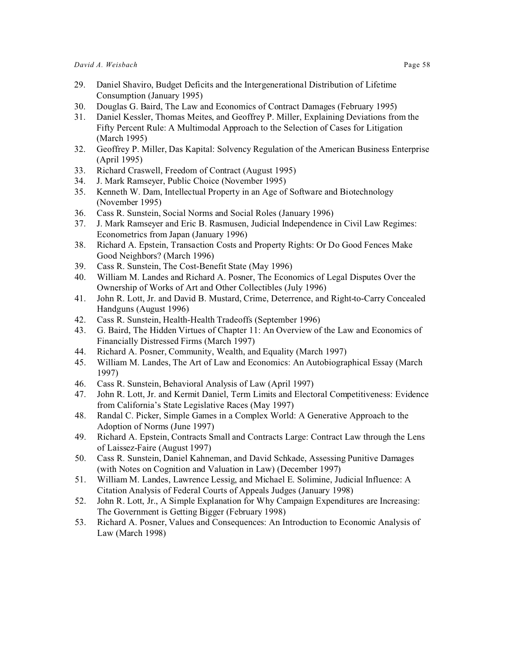- 29. Daniel Shaviro, Budget Deficits and the Intergenerational Distribution of Lifetime Consumption (January 1995)
- 30. Douglas G. Baird, The Law and Economics of Contract Damages (February 1995)
- 31. Daniel Kessler, Thomas Meites, and Geoffrey P. Miller, Explaining Deviations from the Fifty Percent Rule: A Multimodal Approach to the Selection of Cases for Litigation (March 1995)
- 32. Geoffrey P. Miller, Das Kapital: Solvency Regulation of the American Business Enterprise (April 1995)
- 33. Richard Craswell, Freedom of Contract (August 1995)
- 34. J. Mark Ramseyer, Public Choice (November 1995)
- 35. Kenneth W. Dam, Intellectual Property in an Age of Software and Biotechnology (November 1995)
- 36. Cass R. Sunstein, Social Norms and Social Roles (January 1996)
- 37. J. Mark Ramseyer and Eric B. Rasmusen, Judicial Independence in Civil Law Regimes: Econometrics from Japan (January 1996)
- 38. Richard A. Epstein, Transaction Costs and Property Rights: Or Do Good Fences Make Good Neighbors? (March 1996)
- 39. Cass R. Sunstein, The Cost-Benefit State (May 1996)
- 40. William M. Landes and Richard A. Posner, The Economics of Legal Disputes Over the Ownership of Works of Art and Other Collectibles (July 1996)
- 41. John R. Lott, Jr. and David B. Mustard, Crime, Deterrence, and Right-to-Carry Concealed Handguns (August 1996)
- 42. Cass R. Sunstein, Health-Health Tradeoffs (September 1996)
- 43. G. Baird, The Hidden Virtues of Chapter 11: An Overview of the Law and Economics of Financially Distressed Firms (March 1997)
- 44. Richard A. Posner, Community, Wealth, and Equality (March 1997)
- 45. William M. Landes, The Art of Law and Economics: An Autobiographical Essay (March 1997)
- 46. Cass R. Sunstein, Behavioral Analysis of Law (April 1997)
- 47. John R. Lott, Jr. and Kermit Daniel, Term Limits and Electoral Competitiveness: Evidence from California's State Legislative Races (May 1997)
- 48. Randal C. Picker, Simple Games in a Complex World: A Generative Approach to the Adoption of Norms (June 1997)
- 49. Richard A. Epstein, Contracts Small and Contracts Large: Contract Law through the Lens of Laissez-Faire (August 1997)
- 50. Cass R. Sunstein, Daniel Kahneman, and David Schkade, Assessing Punitive Damages (with Notes on Cognition and Valuation in Law) (December 1997)
- 51. William M. Landes, Lawrence Lessig, and Michael E. Solimine, Judicial Influence: A Citation Analysis of Federal Courts of Appeals Judges (January 1998)
- 52. John R. Lott, Jr., A Simple Explanation for Why Campaign Expenditures are Increasing: The Government is Getting Bigger (February 1998)
- 53. Richard A. Posner, Values and Consequences: An Introduction to Economic Analysis of Law (March 1998)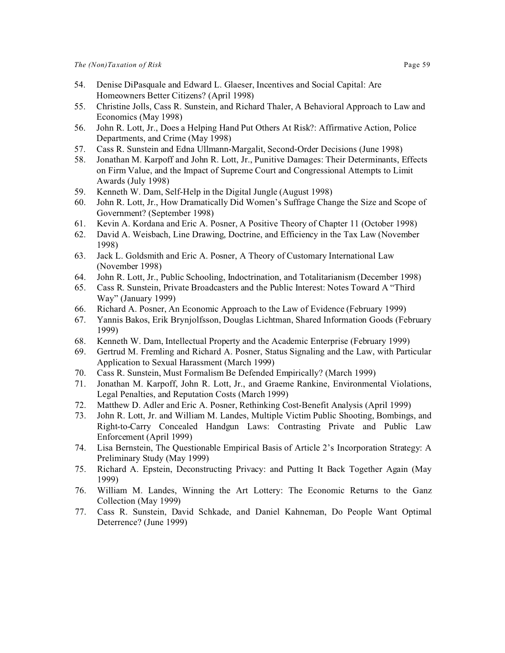- 54. Denise DiPasquale and Edward L. Glaeser, Incentives and Social Capital: Are Homeowners Better Citizens? (April 1998)
- 55. Christine Jolls, Cass R. Sunstein, and Richard Thaler, A Behavioral Approach to Law and Economics (May 1998)
- 56. John R. Lott, Jr., Does a Helping Hand Put Others At Risk?: Affirmative Action, Police Departments, and Crime (May 1998)
- 57. Cass R. Sunstein and Edna Ullmann-Margalit, Second-Order Decisions (June 1998)
- 58. Jonathan M. Karpoff and John R. Lott, Jr., Punitive Damages: Their Determinants, Effects on Firm Value, and the Impact of Supreme Court and Congressional Attempts to Limit Awards (July 1998)
- 59. Kenneth W. Dam, Self-Help in the Digital Jungle (August 1998)
- 60. John R. Lott, Jr., How Dramatically Did Women's Suffrage Change the Size and Scope of Government? (September 1998)
- 61. Kevin A. Kordana and Eric A. Posner, A Positive Theory of Chapter 11 (October 1998)
- 62. David A. Weisbach, Line Drawing, Doctrine, and Efficiency in the Tax Law (November 1998)
- 63. Jack L. Goldsmith and Eric A. Posner, A Theory of Customary International Law (November 1998)
- 64. John R. Lott, Jr., Public Schooling, Indoctrination, and Totalitarianism (December 1998)
- 65. Cass R. Sunstein, Private Broadcasters and the Public Interest: Notes Toward A "Third Way" (January 1999)
- 66. Richard A. Posner, An Economic Approach to the Law of Evidence (February 1999)
- 67. Yannis Bakos, Erik Brynjolfsson, Douglas Lichtman, Shared Information Goods (February 1999)
- 68. Kenneth W. Dam, Intellectual Property and the Academic Enterprise (February 1999)
- 69. Gertrud M. Fremling and Richard A. Posner, Status Signaling and the Law, with Particular Application to Sexual Harassment (March 1999)
- 70. Cass R. Sunstein, Must Formalism Be Defended Empirically? (March 1999)
- 71. Jonathan M. Karpoff, John R. Lott, Jr., and Graeme Rankine, Environmental Violations, Legal Penalties, and Reputation Costs (March 1999)
- 72. Matthew D. Adler and Eric A. Posner, Rethinking Cost-Benefit Analysis (April 1999)
- 73. John R. Lott, Jr. and William M. Landes, Multiple Victim Public Shooting, Bombings, and Right-to-Carry Concealed Handgun Laws: Contrasting Private and Public Law Enforcement (April 1999)
- 74. Lisa Bernstein, The Questionable Empirical Basis of Article 2's Incorporation Strategy: A Preliminary Study (May 1999)
- 75. Richard A. Epstein, Deconstructing Privacy: and Putting It Back Together Again (May 1999)
- 76. William M. Landes, Winning the Art Lottery: The Economic Returns to the Ganz Collection (May 1999)
- 77. Cass R. Sunstein, David Schkade, and Daniel Kahneman, Do People Want Optimal Deterrence? (June 1999)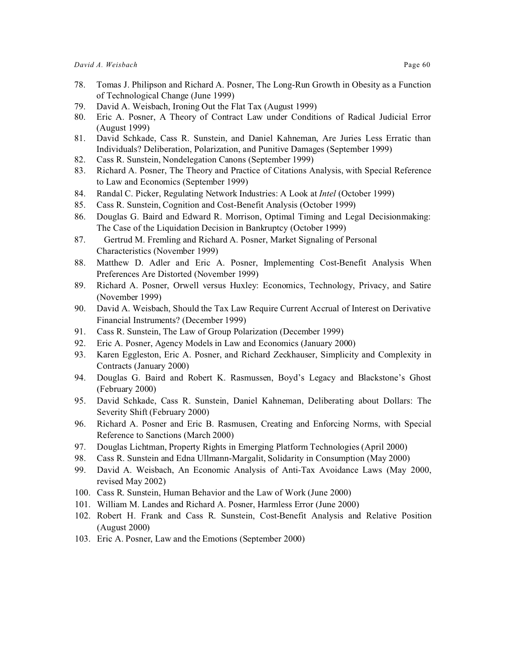- 79. David A. Weisbach, Ironing Out the Flat Tax (August 1999)
- 80. Eric A. Posner, A Theory of Contract Law under Conditions of Radical Judicial Error (August 1999)
- 81. David Schkade, Cass R. Sunstein, and Daniel Kahneman, Are Juries Less Erratic than Individuals? Deliberation, Polarization, and Punitive Damages (September 1999)
- 82. Cass R. Sunstein, Nondelegation Canons (September 1999)
- 83. Richard A. Posner, The Theory and Practice of Citations Analysis, with Special Reference to Law and Economics (September 1999)
- 84. Randal C. Picker, Regulating Network Industries: A Look at *Intel* (October 1999)
- 85. Cass R. Sunstein, Cognition and Cost-Benefit Analysis (October 1999)
- 86. Douglas G. Baird and Edward R. Morrison, Optimal Timing and Legal Decisionmaking: The Case of the Liquidation Decision in Bankruptcy (October 1999)
- 87. Gertrud M. Fremling and Richard A. Posner, Market Signaling of Personal Characteristics (November 1999)
- 88. Matthew D. Adler and Eric A. Posner, Implementing Cost-Benefit Analysis When Preferences Are Distorted (November 1999)
- 89. Richard A. Posner, Orwell versus Huxley: Economics, Technology, Privacy, and Satire (November 1999)
- 90. David A. Weisbach, Should the Tax Law Require Current Accrual of Interest on Derivative Financial Instruments? (December 1999)
- 91. Cass R. Sunstein, The Law of Group Polarization (December 1999)
- 92. Eric A. Posner, Agency Models in Law and Economics (January 2000)
- 93. Karen Eggleston, Eric A. Posner, and Richard Zeckhauser, Simplicity and Complexity in Contracts (January 2000)
- 94. Douglas G. Baird and Robert K. Rasmussen, Boyd's Legacy and Blackstone's Ghost (February 2000)
- 95. David Schkade, Cass R. Sunstein, Daniel Kahneman, Deliberating about Dollars: The Severity Shift (February 2000)
- 96. Richard A. Posner and Eric B. Rasmusen, Creating and Enforcing Norms, with Special Reference to Sanctions (March 2000)
- 97. Douglas Lichtman, Property Rights in Emerging Platform Technologies (April 2000)
- 98. Cass R. Sunstein and Edna Ullmann-Margalit, Solidarity in Consumption (May 2000)
- 99. David A. Weisbach, An Economic Analysis of Anti-Tax Avoidance Laws (May 2000, revised May 2002)
- 100. Cass R. Sunstein, Human Behavior and the Law of Work (June 2000)
- 101. William M. Landes and Richard A. Posner, Harmless Error (June 2000)
- 102. Robert H. Frank and Cass R. Sunstein, Cost-Benefit Analysis and Relative Position (August 2000)
- 103. Eric A. Posner, Law and the Emotions (September 2000)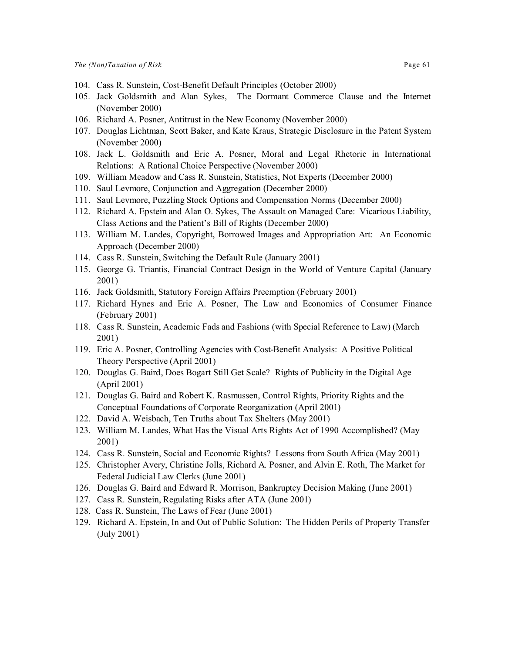- 104. Cass R. Sunstein, Cost-Benefit Default Principles (October 2000)
- 105. Jack Goldsmith and Alan Sykes, The Dormant Commerce Clause and the Internet (November 2000)
- 106. Richard A. Posner, Antitrust in the New Economy (November 2000)
- 107. Douglas Lichtman, Scott Baker, and Kate Kraus, Strategic Disclosure in the Patent System (November 2000)
- 108. Jack L. Goldsmith and Eric A. Posner, Moral and Legal Rhetoric in International Relations: A Rational Choice Perspective (November 2000)
- 109. William Meadow and Cass R. Sunstein, Statistics, Not Experts (December 2000)
- 110. Saul Levmore, Conjunction and Aggregation (December 2000)
- 111. Saul Levmore, Puzzling Stock Options and Compensation Norms (December 2000)
- 112. Richard A. Epstein and Alan O. Sykes, The Assault on Managed Care: Vicarious Liability, Class Actions and the Patient's Bill of Rights (December 2000)
- 113. William M. Landes, Copyright, Borrowed Images and Appropriation Art: An Economic Approach (December 2000)
- 114. Cass R. Sunstein, Switching the Default Rule (January 2001)
- 115. George G. Triantis, Financial Contract Design in the World of Venture Capital (January 2001)
- 116. Jack Goldsmith, Statutory Foreign Affairs Preemption (February 2001)
- 117. Richard Hynes and Eric A. Posner, The Law and Economics of Consumer Finance (February 2001)
- 118. Cass R. Sunstein, Academic Fads and Fashions (with Special Reference to Law) (March 2001)
- 119. Eric A. Posner, Controlling Agencies with Cost-Benefit Analysis: A Positive Political Theory Perspective (April 2001)
- 120. Douglas G. Baird, Does Bogart Still Get Scale? Rights of Publicity in the Digital Age (April 2001)
- 121. Douglas G. Baird and Robert K. Rasmussen, Control Rights, Priority Rights and the Conceptual Foundations of Corporate Reorganization (April 2001)
- 122. David A. Weisbach, Ten Truths about Tax Shelters (May 2001)
- 123. William M. Landes, What Has the Visual Arts Rights Act of 1990 Accomplished? (May 2001)
- 124. Cass R. Sunstein, Social and Economic Rights? Lessons from South Africa (May 2001)
- 125. Christopher Avery, Christine Jolls, Richard A. Posner, and Alvin E. Roth, The Market for Federal Judicial Law Clerks (June 2001)
- 126. Douglas G. Baird and Edward R. Morrison, Bankruptcy Decision Making (June 2001)
- 127. Cass R. Sunstein, Regulating Risks after ATA (June 2001)
- 128. Cass R. Sunstein, The Laws of Fear (June 2001)
- 129. Richard A. Epstein, In and Out of Public Solution: The Hidden Perils of Property Transfer (July 2001)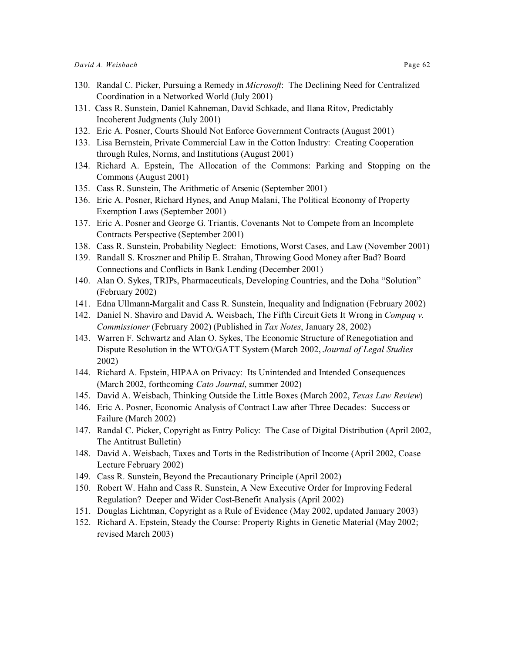- 130. Randal C. Picker, Pursuing a Remedy in *Microsoft*: The Declining Need for Centralized Coordination in a Networked World (July 2001)
- 131. Cass R. Sunstein, Daniel Kahneman, David Schkade, and Ilana Ritov, Predictably Incoherent Judgments (July 2001)
- 132. Eric A. Posner, Courts Should Not Enforce Government Contracts (August 2001)
- 133. Lisa Bernstein, Private Commercial Law in the Cotton Industry: Creating Cooperation through Rules, Norms, and Institutions (August 2001)
- 134. Richard A. Epstein, The Allocation of the Commons: Parking and Stopping on the Commons (August 2001)
- 135. Cass R. Sunstein, The Arithmetic of Arsenic (September 2001)
- 136. Eric A. Posner, Richard Hynes, and Anup Malani, The Political Economy of Property Exemption Laws (September 2001)
- 137. Eric A. Posner and George G. Triantis, Covenants Not to Compete from an Incomplete Contracts Perspective (September 2001)
- 138. Cass R. Sunstein, Probability Neglect: Emotions, Worst Cases, and Law (November 2001)
- 139. Randall S. Kroszner and Philip E. Strahan, Throwing Good Money after Bad? Board Connections and Conflicts in Bank Lending (December 2001)
- 140. Alan O. Sykes, TRIPs, Pharmaceuticals, Developing Countries, and the Doha "Solution" (February 2002)
- 141. Edna Ullmann-Margalit and Cass R. Sunstein, Inequality and Indignation (February 2002)
- 142. Daniel N. Shaviro and David A. Weisbach, The Fifth Circuit Gets It Wrong in *Compaq v. Commissioner* (February 2002) (Published in *Tax Notes*, January 28, 2002)
- 143. Warren F. Schwartz and Alan O. Sykes, The Economic Structure of Renegotiation and Dispute Resolution in the WTO/GATT System (March 2002, *Journal of Legal Studies* 2002)
- 144. Richard A. Epstein, HIPAA on Privacy: Its Unintended and Intended Consequences (March 2002, forthcoming *Cato Journal*, summer 2002)
- 145. David A. Weisbach, Thinking Outside the Little Boxes (March 2002, *Texas Law Review*)
- 146. Eric A. Posner, Economic Analysis of Contract Law after Three Decades: Success or Failure (March 2002)
- 147. Randal C. Picker, Copyright as Entry Policy: The Case of Digital Distribution (April 2002, The Antitrust Bulletin)
- 148. David A. Weisbach, Taxes and Torts in the Redistribution of Income (April 2002, Coase Lecture February 2002)
- 149. Cass R. Sunstein, Beyond the Precautionary Principle (April 2002)
- 150. Robert W. Hahn and Cass R. Sunstein, A New Executive Order for Improving Federal Regulation? Deeper and Wider Cost-Benefit Analysis (April 2002)
- 151. Douglas Lichtman, Copyright as a Rule of Evidence (May 2002, updated January 2003)
- 152. Richard A. Epstein, Steady the Course: Property Rights in Genetic Material (May 2002; revised March 2003)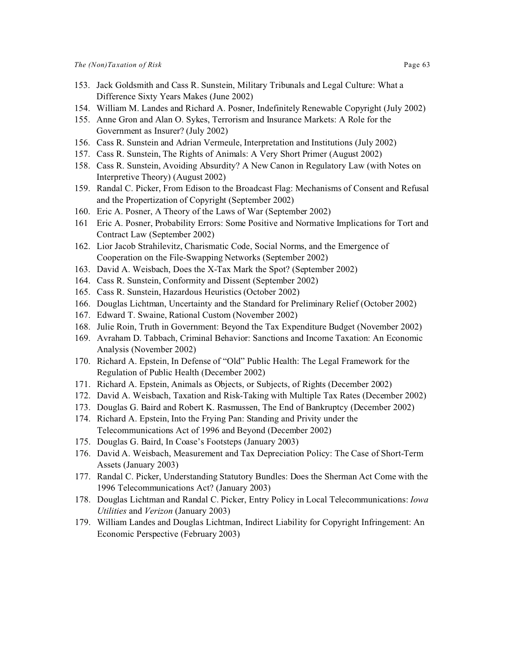- 153. Jack Goldsmith and Cass R. Sunstein, Military Tribunals and Legal Culture: What a Difference Sixty Years Makes (June 2002)
- 154. William M. Landes and Richard A. Posner, Indefinitely Renewable Copyright (July 2002)
- 155. Anne Gron and Alan O. Sykes, Terrorism and Insurance Markets: A Role for the Government as Insurer? (July 2002)
- 156. Cass R. Sunstein and Adrian Vermeule, Interpretation and Institutions (July 2002)
- 157. Cass R. Sunstein, The Rights of Animals: A Very Short Primer (August 2002)
- 158. Cass R. Sunstein, Avoiding Absurdity? A New Canon in Regulatory Law (with Notes on Interpretive Theory) (August 2002)
- 159. Randal C. Picker, From Edison to the Broadcast Flag: Mechanisms of Consent and Refusal and the Propertization of Copyright (September 2002)
- 160. Eric A. Posner, A Theory of the Laws of War (September 2002)
- 161 Eric A. Posner, Probability Errors: Some Positive and Normative Implications for Tort and Contract Law (September 2002)
- 162. Lior Jacob Strahilevitz, Charismatic Code, Social Norms, and the Emergence of Cooperation on the File-Swapping Networks (September 2002)
- 163. David A. Weisbach, Does the X-Tax Mark the Spot? (September 2002)
- 164. Cass R. Sunstein, Conformity and Dissent (September 2002)
- 165. Cass R. Sunstein, Hazardous Heuristics (October 2002)
- 166. Douglas Lichtman, Uncertainty and the Standard for Preliminary Relief (October 2002)
- 167. Edward T. Swaine, Rational Custom (November 2002)
- 168. Julie Roin, Truth in Government: Beyond the Tax Expenditure Budget (November 2002)
- 169. Avraham D. Tabbach, Criminal Behavior: Sanctions and Income Taxation: An Economic Analysis (November 2002)
- 170. Richard A. Epstein, In Defense of "Old" Public Health: The Legal Framework for the Regulation of Public Health (December 2002)
- 171. Richard A. Epstein, Animals as Objects, or Subjects, of Rights (December 2002)
- 172. David A. Weisbach, Taxation and Risk-Taking with Multiple Tax Rates (December 2002)
- 173. Douglas G. Baird and Robert K. Rasmussen, The End of Bankruptcy (December 2002)
- 174. Richard A. Epstein, Into the Frying Pan: Standing and Privity under the Telecommunications Act of 1996 and Beyond (December 2002)
- 175. Douglas G. Baird, In Coase's Footsteps (January 2003)
- 176. David A. Weisbach, Measurement and Tax Depreciation Policy: The Case of Short-Term Assets (January 2003)
- 177. Randal C. Picker, Understanding Statutory Bundles: Does the Sherman Act Come with the 1996 Telecommunications Act? (January 2003)
- 178. Douglas Lichtman and Randal C. Picker, Entry Policy in Local Telecommunications: *Iowa Utilities* and *Verizon* (January 2003)
- 179. William Landes and Douglas Lichtman, Indirect Liability for Copyright Infringement: An Economic Perspective (February 2003)